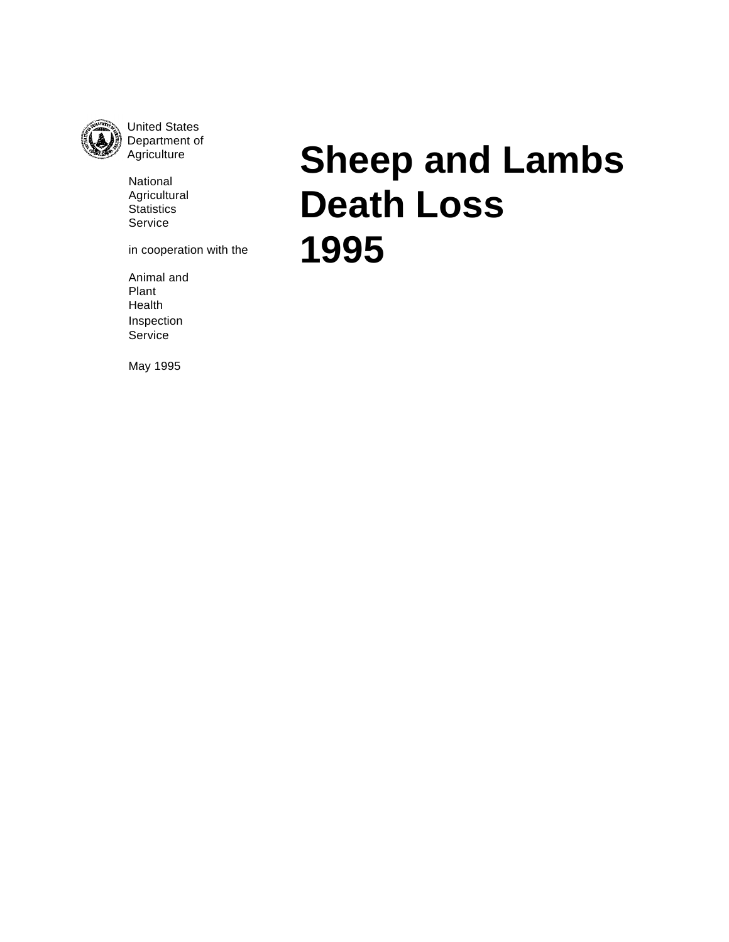

United States Department of **Agriculture** 

National Agricultural **Statistics** Service

in cooperation with the

Animal and Plant Health Inspection Service

**Sheep and Lambs Death Loss 1995**

May 1995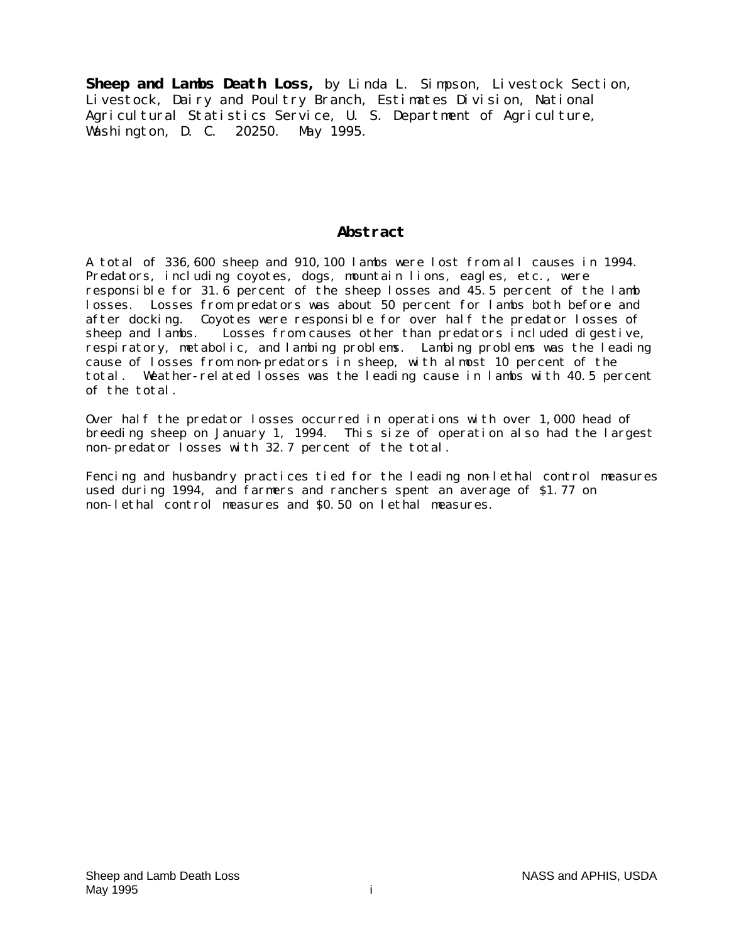**Sheep and Lambs Death Loss,** by Linda L. Simpson, Livestock Section, Livestock, Dairy and Poultry Branch, Estimates Division, National Agricultural Statistics Service, U. S. Department of Agriculture, Washington, D. C. 20250. May 1995.

# **Abstract**

A total of 336,600 sheep and 910,100 lambs were lost from all causes in 1994. Predators, including coyotes, dogs, mountain lions, eagles, etc., were responsible for 31.6 percent of the sheep losses and 45.5 percent of the lamb losses. Losses from predators was about 50 percent for lambs both before and after docking. Coyotes were responsible for over half the predator losses of sheep and lambs. Losses from causes other than predators included digestive, Losses from causes other than predators included digestive, respiratory, metabolic, and lambing problems. Lambing problems was the leading cause of losses from non-predators in sheep, with almost 10 percent of the total. Weather-related losses was the leading cause in lambs with 40.5 percent of the total.

Over half the predator losses occurred in operations with over 1,000 head of breeding sheep on January 1, 1994. This size of operation also had the largest non-predator losses with 32.7 percent of the total.

Fencing and husbandry practices tied for the leading non-lethal control measures used during 1994, and farmers and ranchers spent an average of \$1.77 on non-lethal control measures and \$0.50 on lethal measures.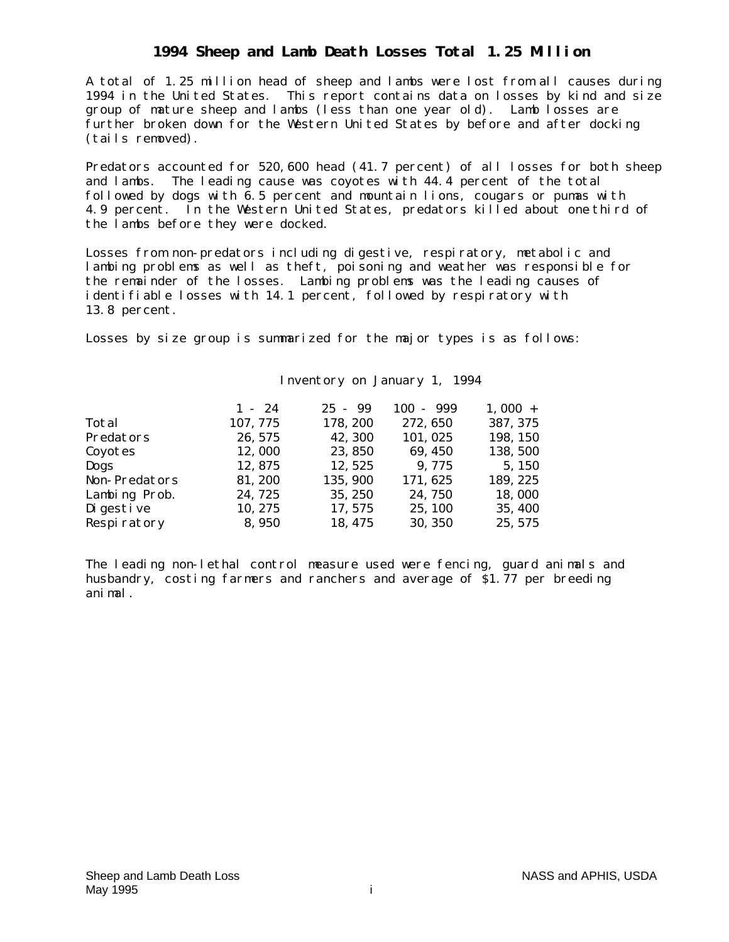# **1994 Sheep and Lamb Death Losses Total 1.25 Million**

A total of 1.25 million head of sheep and lambs were lost from all causes during 1994 in the United States. This report contains data on losses by kind and size group of mature sheep and lambs (less than one year old). Lamb losses are further broken down for the Western United States by before and after docking (tails removed).

Predators accounted for 520,600 head (41.7 percent) of all losses for both sheep and lambs. The leading cause was coyotes with 44.4 percent of the total followed by dogs with 6.5 percent and mountain lions, cougars or pumas with 4.9 percent. In the Western United States, predators killed about one third of the lambs before they were docked.

Losses from non-predators including digestive, respiratory, metabolic and lambing problems as well as theft, poisoning and weather was responsible for the remainder of the losses. Lambing problems was the leading causes of identifiable losses with 14.1 percent, followed by respiratory with 13.8 percent.

Losses by size group is summarized for the major types is as follows:

|                      | $1 - 24$ | $25 - 99$ | $100 - 999$ | $1,000 +$ |
|----------------------|----------|-----------|-------------|-----------|
| Total                | 107, 775 | 178, 200  | 272, 650    | 387, 375  |
| Predators            | 26, 575  | 42, 300   | 101, 025    | 198, 150  |
| Coyotes              | 12,000   | 23,850    | 69, 450     | 138, 500  |
| Dogs                 | 12,875   | 12, 525   | 9,775       | 5, 150    |
| <b>Non-Predators</b> | 81, 200  | 135, 900  | 171, 625    | 189, 225  |
| Lambing Prob.        | 24,725   | 35, 250   | 24,750      | 18,000    |
| Di gesti ve          | 10, 275  | 17, 575   | 25, 100     | 35, 400   |
| Respiratory          | 8,950    | 18, 475   | 30, 350     | 25, 575   |

## Inventory on January 1, 1994

The leading non-lethal control measure used were fencing, guard animals and husbandry, costing farmers and ranchers and average of \$1.77 per breeding animal.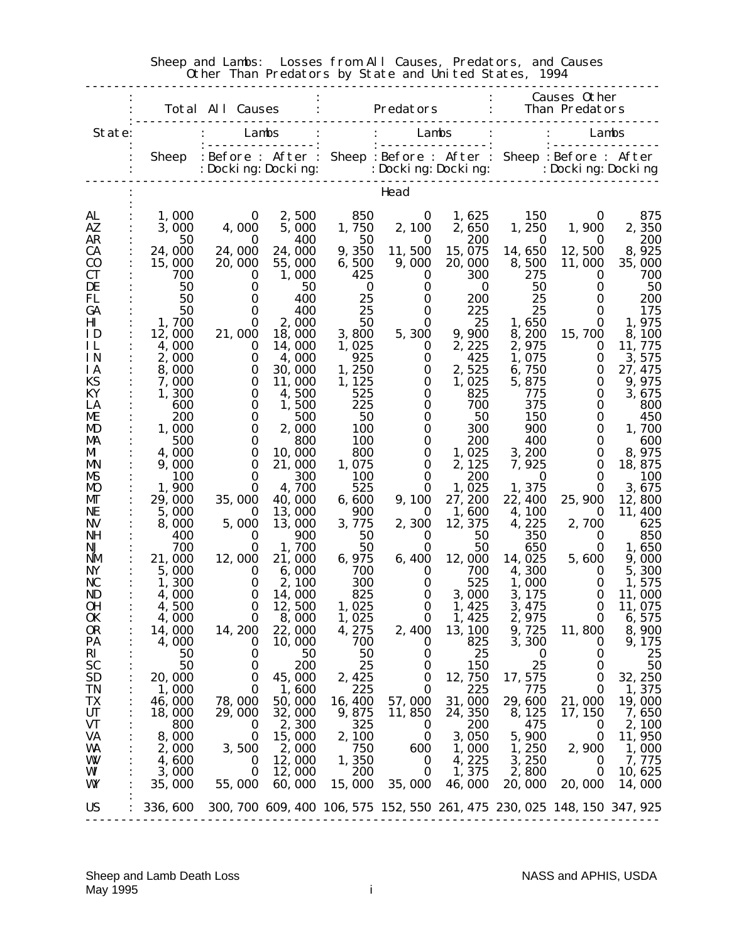|                        |                 | Total All Causes                                                                                                                                        |                  |                   | Predators                                                               |                  |                    | Causes Other<br>Than Predators |                     |
|------------------------|-----------------|---------------------------------------------------------------------------------------------------------------------------------------------------------|------------------|-------------------|-------------------------------------------------------------------------|------------------|--------------------|--------------------------------|---------------------|
| State:                 |                 |                                                                                                                                                         | Lambs            |                   | Lambs                                                                   |                  |                    |                                | Lambs               |
|                        |                 | Sheep : Before : After : Sheep : Before : After : Sheep : Before : After<br>: Docki ng: Docki ng: i Docki ng: Docki ng: i Docki ng: Docki ng : bocki ng |                  |                   |                                                                         |                  |                    |                                |                     |
|                        |                 |                                                                                                                                                         |                  |                   | Head                                                                    |                  |                    |                                |                     |
| AL                     | 1,000           | 0                                                                                                                                                       | 2,500            | 850               | $\bf{0}$                                                                | 1,625            | <b>150</b>         | $\bf{0}$                       | 875                 |
| AZ                     | 3,000           | 4,000                                                                                                                                                   | 5,000            | 1,750             |                                                                         | 2, 100 2, 650    | 1,250              | 1,900                          | 2,350               |
| AR<br><b>CA</b>        | 50<br>24,000    | $\bf{0}$<br>24,000                                                                                                                                      | 400<br>24,000    | 50<br>9,350       | $\bf{0}$<br>11,500                                                      | 200<br>15, 075   | $\bf{0}$<br>14,650 | $\bf{0}$<br>12,500             | 200<br>8,925        |
| C <sub>0</sub>         | 15,000          | 20,000                                                                                                                                                  | 55,000           | 6,500             | 9,000                                                                   | 20,000           | 8,500              | 11,000                         | 35,000              |
| <b>CT</b><br>DE        | 700<br>50       | $\bf{0}$<br>$\bf{0}$                                                                                                                                    | 1,000<br>50      | 425<br>$\bf{0}$   | $\bf{0}$<br>0                                                           | 300<br>$\bf{0}$  | 275<br>50          | $\bf{0}$<br>0                  | 700<br>50           |
| FL                     | 50              | 0                                                                                                                                                       | 400              | 25                | $\bf{0}$                                                                | 200              | 25                 | 0                              | 200                 |
| GA<br>$\mathbf{H}$     | 50<br>1,700     | 0<br>$\bf{0}$                                                                                                                                           | 400<br>2,000     | 25<br>50          | $\bf{0}$<br>0                                                           | 225<br>25        | 25<br>1,650        | $\bf{0}$<br>$\bf{0}$           | 175<br>1,975        |
| ID                     | 12,000          | 21,000                                                                                                                                                  | 18,000           | 3,800             | 5,300                                                                   | 9,900            | 8,200              | 15,700                         | 8,100               |
| IL                     | 4,000           | $\bf{0}$                                                                                                                                                | 14,000           | 1,025             | $\bf{0}$                                                                | 2, 225           | 2,975              | $\bf{0}$                       | 11,775              |
| <b>IN</b><br><b>IA</b> | 2,000<br>8,000  | $\bf{0}$<br>$\bf{0}$                                                                                                                                    | 4,000<br>30,000  | 925<br>1, 250     | $\bf{0}$<br>$\bf{0}$                                                    | 425<br>2,525     | 1,075<br>6,750     | $\bf{0}$<br>$\bf{0}$           | 3,575<br>27, 475    |
| KS                     | 7,000           | $\bf{0}$                                                                                                                                                | 11,000           | 1, 125            | $\bf{0}$                                                                | 1,025            | 5,875              | 0                              | 9,975               |
| KY<br>LA               | 1,300<br>600    | $\bf{0}$<br>0                                                                                                                                           | 4,500<br>1,500   | 525<br>225        | 0<br>$\bf{0}$                                                           | 825<br>700       | 775<br>375         | 0<br>0                         | 3,675<br>800        |
| ME                     | <b>200</b>      | $\bf{0}$                                                                                                                                                | 500              | 50                | 0                                                                       | 50               | 150                | $\bf{0}$                       | 450                 |
| MD                     | 1,000           | $\bf{0}$                                                                                                                                                | 2,000            | <b>100</b>        | 0                                                                       | 300              | 900                | 0                              | 1,700               |
| MA<br>MI               | 500<br>4,000    | 0<br>$\bf{0}$                                                                                                                                           | 800<br>10,000    | <b>100</b><br>800 | $\bf{0}$<br>$\bf{0}$                                                    | 200<br>1,025     | 400<br>3, 200      | $\bf{0}$<br>$\bf{0}$           | 600<br>8,975        |
| <b>MN</b>              | 9,000           | $\bf{0}$                                                                                                                                                | 21,000           | 1,075             | 0                                                                       | 2, 125           | 7,925              | $\bf{0}$                       | 18, 875             |
| MS<br>M <sub>D</sub>   | 100<br>1,900    | 0<br>0                                                                                                                                                  | 300<br>4,700     | <b>100</b><br>525 | $\bf{0}$<br>0                                                           | 200<br>1,025     | $\bf{0}$<br>1,375  | $\bf{0}$<br>$\bf{0}$           | <b>100</b><br>3,675 |
| MГ                     | 29,000          | 35,000                                                                                                                                                  | 40,000           | 6,600             | 9, 100                                                                  | 27, 200          | 22, 400            | 25, 900                        | 12,800              |
| NE                     | 5,000           | $\bf{0}$<br>5,000                                                                                                                                       | 13,000<br>13,000 | 900<br>3,775      | o<br>2,300                                                              | 1,600<br>12, 375 | 4,100<br>4,225     | $\bf{0}$<br>2,700              | 11, 400<br>625      |
| NV<br>NH               | 8,000<br>400    | $\bf{0}$                                                                                                                                                | 900              | 50                | $\bf{0}$                                                                | 50               | 350                | $\bf{0}$                       | 850                 |
| NJ                     | 700             | 0                                                                                                                                                       | 1, 700           | 50                | 0                                                                       | 50               | 650                | 0                              | 1,650               |
| <b>NM</b><br>NY        | 21,000<br>5,000 | 12,000<br>$\bf{0}$                                                                                                                                      | 21,000<br>6,000  | 6, 975<br>700     | 6,400<br>$\bf{0}$                                                       | 12,000<br>700    | 14,025<br>4,300    | 5,600<br>$\bf{0}$              | 9,000<br>5,300      |
| NC                     | 1,300           | $\bf{0}$                                                                                                                                                | 2, 100           | 300               | 0                                                                       | 525              | 1,000              | $\bf{0}$                       | 1,575               |
| ND<br><b>OH</b>        | 4,000<br>4,500  | $\bf{0}$<br>$\bf{0}$                                                                                                                                    | 14,000<br>12,500 | 825<br>1,025      | $\bf{0}$<br>$\bf{0}$                                                    | 3,000<br>1,425   | 3, 175<br>3, 475   | $\bf{0}$<br>$\bf{0}$           | 11,000<br>11,075    |
| <b>OK</b>              | 4,000           | $\bf{0}$                                                                                                                                                | 8,000            | 1,025             | $\bf{0}$                                                                | 1, 425           | 2, 975             | $\bf{0}$                       | 6, 575              |
| OR                     | 14,000          | 14, 200                                                                                                                                                 | 22,000           | 4,275             | 2,400                                                                   | 13, 100          | 9,725              | 11,800                         | 8,900               |
| PA<br>RI               | 4,000<br>50     | $\bf{0}$<br>$\bf{0}$                                                                                                                                    | 10,000<br>50     | 700<br>50         | $\bf{0}$<br>$\bf{0}$                                                    | 825<br>25        | 3,300<br>$\bf{0}$  | $\bf{0}$<br>0                  | 9, 175<br>25        |
| <b>SC</b>              | 50              | $\bf{0}$                                                                                                                                                | 200              | 25                | $\bf{0}$                                                                | 150              | 25                 | $\bf{0}$                       | 50                  |
| <b>SD</b><br>TN        | 20,000<br>1,000 | $\bf{0}$<br>0                                                                                                                                           | 45,000<br>1,600  | 2, 425<br>225     | $\boldsymbol{0}$<br>$\bf{0}$                                            | 12,750<br>225    | 17, 575<br>775     | $\bf{0}$<br>$\bf{0}$           | 32, 250<br>1,375    |
| TX                     | 46,000          | 78,000                                                                                                                                                  | 50,000           | 16, 400           | 57,000                                                                  | 31,000           | 29,600             | 21,000                         | 19,000              |
| <b>UT</b>              | 18,000          | 29,000                                                                                                                                                  | 32,000           | 9,875             | 11,850                                                                  | 24, 350          | 8, 125             | 17, 150                        | 7,650               |
| <b>VT</b><br>VA        | 800<br>8,000    | $\bf{0}$<br>$\bf{0}$                                                                                                                                    | 2,300<br>15,000  | 325<br>2,100      | $\bf{0}$<br>$\bf{0}$                                                    | 200<br>3,050     | 475<br>5,900       | $\bf{0}$<br>$\bf{0}$           | 2,100<br>11,950     |
| WA                     | 2,000           | 3,500                                                                                                                                                   | 2,000            | 750               | 600                                                                     | 1,000            | 1,250              | 2,900                          | 1,000               |
| W<br>WI                | 4,600<br>3,000  | $\bf{0}$<br>$\bf{0}$                                                                                                                                    | 12,000<br>12,000 | 1,350<br>200      | 0<br>$\bf{0}$                                                           | 4,225<br>1,375   | 3, 250<br>2,800    | 0<br>$\bf{0}$                  | 7,775<br>10,625     |
| WY                     | 35,000          | 55,000                                                                                                                                                  | 60,000           | 15,000            | 35,000                                                                  | 46,000           | 20,000             | 20,000                         | 14,000              |
| <b>US</b>              | <b>336, 600</b> |                                                                                                                                                         |                  |                   | 300, 700 609, 400 106, 575 152, 550 261, 475 230, 025 148, 150 347, 925 |                  |                    |                                |                     |
|                        |                 |                                                                                                                                                         |                  |                   |                                                                         |                  |                    |                                |                     |

#### Sheep and Lambs: Losses from All Causes, Predators, and Causes Other Than Predators by State and United States, 1994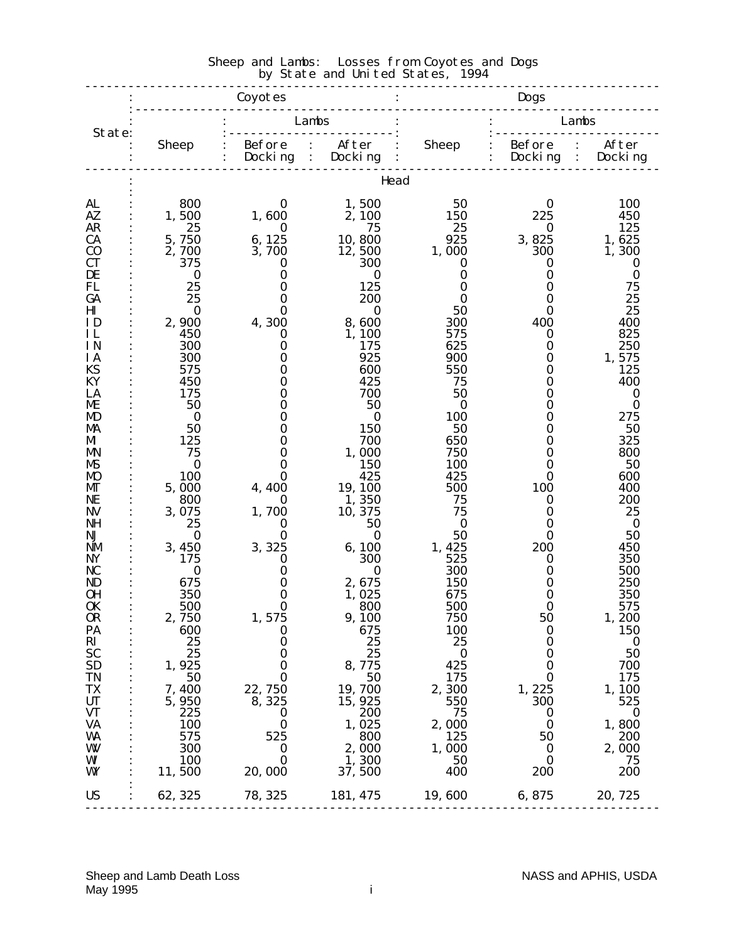#### -------------------------------------------------------------------------------- : Coyotes : Dogs :------------------------------------------------------------------------- : : Lambs : : Lambs State: :-----------------------: :----------------------- : Sheep : Before : After : Sheep : Before : After :  $\qquad \qquad$  : Docking : Docking :  $\qquad \qquad$  : Docking : Docking ------------------------------------------------------------------------------- **idead** : 1999 (Particular) AL : 800 0 1,500 50 0 100 AZ : 1,500 1,600 2,100 150 225 450 AR : 25 0 75 25 0 125 CA : 5,750 6,125 10,800 925 3,825 1,625  $C0$  : 2,700 3,700 12,500 1,000 300 1,300  $\rm CT$  : 375 0 300 0 0 0 DE : 0 0 0 0 0 0 0 FL : 25 0 125 0 0 75 GA : 25 0 200 0 0 25  $\text{H1}$  : 0 0 0 0 50 0 25 ID : 2,900 4,300 8,600 300 400 400 IL : 450 0 1,100 575 0 825 IN : 300 0 175 625 0 250  $I A$  : 300 0 925 900 0 1,575 KS :  $575$  0 600 550 0 125 KY :  $450$  0  $425$  75 0  $400$ LA : 175 0 700 50 0 0 ME :  $50$  0  $50$  0 0 0 MD : 0 0 0 100 0 275 MA : 50 0 150 50 0 50  $M$  : 125 0 700 650 0 325 MN : 75 0 1,000 750 0 800 MS : 0 0 150 100 0 50  $\mathbf{M0}$  : 100 0 425 425 0 600  $\text{MT}$  : 5,000 4,400 19,100 500 100 400 NE : 800 0 1, 350 75 0 200 NV : 3,075 1,700 10,375 75 0 25 NH : 25 0 50 0 0 0 NJ : 0 0 0 0 50 0 50 NM : 3,450 3,325 6,100 1,425 200 450 NY : 175 0 300 525 0 350 NC : 0 0 0 300 0 500 ND : 675 0 2,675 150 0 250 0H : 350 0 1,025 675 0 350 0K : 500 0 800 500 0 575  $\begin{array}{ccccccccc} \text{OR} & : & 2,750 & & 1,575 & & 9,100 & & 750 & & 50 & & 1,200 \ \text{PA} & : & 600 & & 0 & & 675 & & 100 & & 0 & & 150 \ \text{RI} & : & 25 & & 0 & & 25 & & 25 & & 0 & & 0 \ \text{SC} & : & 25 & & 0 & & 25 & & 0 & & 50 \ \text{SD} & : & 1,925 & & 0 & & 8,775 & & 425 & & 0 & & 700 \ \text{IN} & : & 50 & & 0$ PA : 600 0 675 100 0 150 RI :  $25$  0  $25$  25 0 0 SC : 25 0 25 0 0 50  $\text{SD}$  : 1,925 0 8,775 425 0 700  $TN$  : 50 0 50 175 0 175  $TX$  : 7,400 22,750 19,700 2,300 1,225 1,100 UT :  $5,950$   $8,325$   $15,925$   $550$   $300$   $525$  $\sqrt{1}$  : 225 0 200 75 0 0 VT<br>
VA : 225 0 200 75 0 0<br>
VA : 100 0 1,025 2,000 0 1,800<br>
WM : 575 525 800 125 50 200<br>
WM : 300 0 2,000 1,000 0 2,000<br>
WM : 100 0 1,300 50 0 2,000 WA :  $\begin{array}{cccccccc} 575 & 525 & 800 & 1,025 & 50 & 1,000 \ 0 & 0 & 2,000 & 1,000 & 0 & 2,000 \ 0 & 0 & 1,300 & 50 & 2 & 000 \ 0 & 0 & 1,500 & 20,000 & 37,500 & 400 & 200 & 200 \ \end{array}$  $W$  : 300 0 2,000 1,000 0 2,000 WI : 100 0 1,300 50 0 75 WY : 11,500 20,000 37,500 400 200 200 : 100 million US : 62,325 78,325 181,475 19,600 6,875 20,725 --------------------------------------------------------------------------------

# Sheep and Lambs: Losses from Coyotes and Dogs by State and United States, 1994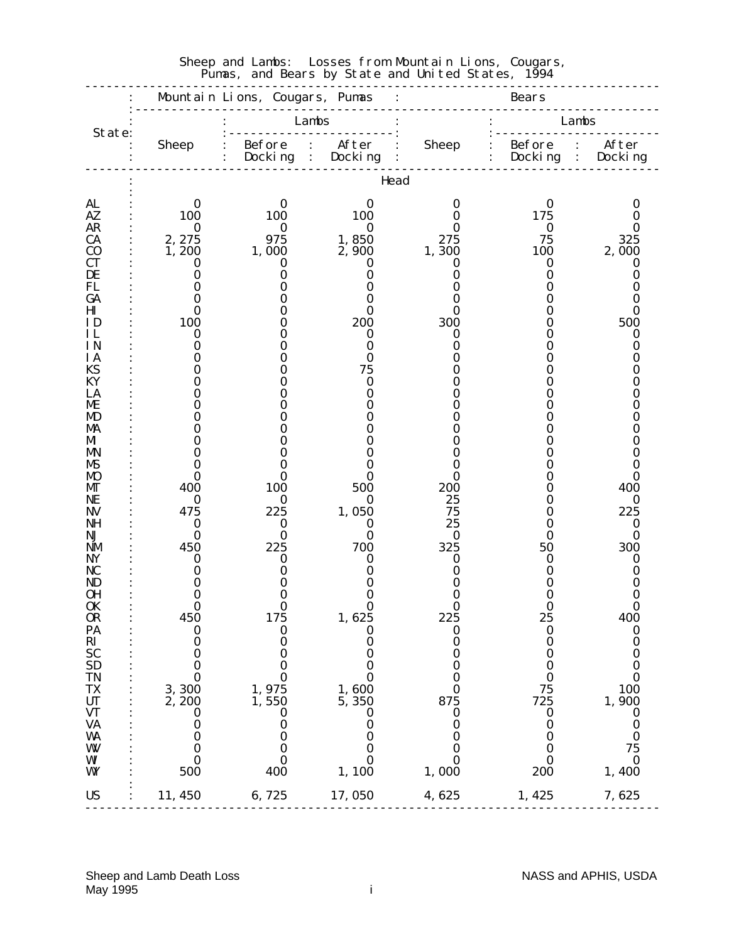| Lambs<br>Lambs<br>State:<br>: Before : After<br>: Before : After<br>: Docking : Docking<br><b>Sheep</b><br><b>Sheep</b><br>$:$ Docking :<br>Docking<br>$\ddot{\cdot}$<br>.<br>Head<br>AL<br>$\bf{0}$<br>0<br>0<br>0<br>0<br>O<br>100<br>100<br>AZ.<br>100<br>175<br>O<br>0<br><b>AR</b><br>$\bf{0}$<br>$\bf{0}$<br>$\bf{0}$<br>$\bf{0}$<br>O<br>2, 275<br>975<br>1,850<br>75<br>325<br><b>CA</b><br>275<br>C <sub>0</sub><br>1,200<br>1,000<br>2,900<br>1,300<br>100<br>2,000<br><b>CT</b><br>0<br>0<br>0<br>0<br>0<br>0<br>DE<br>0<br>0<br>0<br>0<br>0<br>0<br>FL<br>0<br>0<br>O<br>GA<br>0<br>0<br>0<br>O<br>Ш<br>0<br>0<br>0<br>0<br>0<br>0<br>100<br>200<br>300<br>500<br>ΙD<br>0<br>O<br>ΗL<br>ი<br>0<br>0<br>0<br>0<br>0<br>IN<br>$\bf{0}$<br>0<br>0<br>0<br>0<br>$\bf{0}$<br><b>IA</b><br>0<br>KS<br>75<br>0<br>0<br>KY<br>$\bf{0}$<br>0<br>LA<br>0<br>0<br>ME<br>0<br>Ո<br>0<br>MD<br>0<br>0<br>0<br>MA<br>M<br>0<br>0<br>0<br>MN<br>O<br>0<br>0<br>MS<br>0<br>0<br><b>MO</b><br>0<br>0<br>0<br>0<br>0<br>0<br>200<br>400<br>100<br>500<br>400<br>MГ<br>0<br>25<br>$\bf{0}$<br>NE<br>$\bf{0}$<br>$\bf{0}$<br>0<br>0<br>1,050<br>75<br>225<br>475<br>225<br><b>NV</b><br>0<br>25<br>NH<br>$\bf{0}$<br>0<br>0<br>0<br>$\bf{0}$<br>$\bf{0}$<br>$\bf{0}$<br>NJ<br>0<br>$\bf{0}$<br>0<br>0<br>225<br>700<br>325<br>450<br>300<br>NM<br>50<br>NY<br>$\bf{0}$<br>$\bf{0}$<br>0<br>0<br>0<br>0<br>NC<br>0<br>0<br>0<br>0<br>0<br>ND<br>0<br>0<br>0<br>OН<br>0<br>0<br>0<br><b>OK</b><br>0<br>0<br>0<br>0<br>0<br>0<br>OR<br>450<br>175<br>1, 625<br>225<br>25<br>400<br>PA<br>$\bf{0}$<br>$\boldsymbol{0}$<br>$\bf{0}$<br>$\bf{0}$<br>$\bf{0}$<br>$\bf{0}$<br>$R_{SC}$<br>$\boldsymbol{0}$<br>$\boldsymbol{0}$<br>0<br>$\boldsymbol{0}$<br>$\bf{0}$<br>$\boldsymbol{0}$<br>0<br>$\bf{0}$<br>$\bf{0}$<br>$\bf{0}$<br>$\bf{0}$<br>0<br>$\bf{0}$<br><b>SD</b><br>$\bf{0}$<br>$\bf{0}$<br>$\bf{0}$<br>$\bf{0}$<br>$\bf{0}$<br><b>TN</b><br>$\bf{0}$<br>$\bf{0}$<br>$\bf{0}$<br>$\bf{0}$<br>$\bf{0}$<br>$\bf{0}$<br><b>TX</b><br>3,300<br>75<br>100<br>1,975<br>1,600<br>$\bf{0}$<br><b>UT</b><br>2,200<br>1,550<br>5, 350<br>875<br>725<br>1,900<br><b>VT</b><br>$\boldsymbol{0}$<br>$\boldsymbol{0}$<br>$\boldsymbol{0}$<br>$\bf{0}$<br>0<br>$\bf{0}$<br><b>VA</b><br>$\bf{0}$<br>$\bf{0}$<br>0<br>0<br>0<br>$\bf{0}$<br>$\bf{0}$<br>WA<br>$\bf{0}$<br>$\bf{0}$<br>$\boldsymbol{0}$<br>$\bf{0}$<br>$\bf{0}$<br>W<br>0<br>75<br>$\bf{0}$<br>$\bf{0}$<br>$\bf{0}$<br>$\bf{0}$<br>WI<br>$\bf{0}$<br>$\bf{0}$<br>$\bf{0}$<br>$\bf{0}$<br>$\bf{0}$<br>$\bf{0}$<br>400<br>1,000<br>500<br>1,100<br>200<br>1,400<br>WY<br>11,450<br>6,725<br>17,050<br>4,625<br><b>US</b><br>1,425<br>7,625 |  | Mountain Lions, Cougars, Pumas | $\ddot{\cdot}$ | <u>.</u> | <b>Bears</b> |  |
|-----------------------------------------------------------------------------------------------------------------------------------------------------------------------------------------------------------------------------------------------------------------------------------------------------------------------------------------------------------------------------------------------------------------------------------------------------------------------------------------------------------------------------------------------------------------------------------------------------------------------------------------------------------------------------------------------------------------------------------------------------------------------------------------------------------------------------------------------------------------------------------------------------------------------------------------------------------------------------------------------------------------------------------------------------------------------------------------------------------------------------------------------------------------------------------------------------------------------------------------------------------------------------------------------------------------------------------------------------------------------------------------------------------------------------------------------------------------------------------------------------------------------------------------------------------------------------------------------------------------------------------------------------------------------------------------------------------------------------------------------------------------------------------------------------------------------------------------------------------------------------------------------------------------------------------------------------------------------------------------------------------------------------------------------------------------------------------------------------------------------------------------------------------------------------------------------------------------------------------------------------------------------------------------------------------------------------------------------------------------------------------------------------------------------------------------------------------------------------------------------------------------------------------------------------------------------------------------------------------------------------------------------------------------------------------|--|--------------------------------|----------------|----------|--------------|--|
|                                                                                                                                                                                                                                                                                                                                                                                                                                                                                                                                                                                                                                                                                                                                                                                                                                                                                                                                                                                                                                                                                                                                                                                                                                                                                                                                                                                                                                                                                                                                                                                                                                                                                                                                                                                                                                                                                                                                                                                                                                                                                                                                                                                                                                                                                                                                                                                                                                                                                                                                                                                                                                                                                   |  |                                |                |          |              |  |
|                                                                                                                                                                                                                                                                                                                                                                                                                                                                                                                                                                                                                                                                                                                                                                                                                                                                                                                                                                                                                                                                                                                                                                                                                                                                                                                                                                                                                                                                                                                                                                                                                                                                                                                                                                                                                                                                                                                                                                                                                                                                                                                                                                                                                                                                                                                                                                                                                                                                                                                                                                                                                                                                                   |  |                                |                |          |              |  |
|                                                                                                                                                                                                                                                                                                                                                                                                                                                                                                                                                                                                                                                                                                                                                                                                                                                                                                                                                                                                                                                                                                                                                                                                                                                                                                                                                                                                                                                                                                                                                                                                                                                                                                                                                                                                                                                                                                                                                                                                                                                                                                                                                                                                                                                                                                                                                                                                                                                                                                                                                                                                                                                                                   |  |                                |                |          |              |  |
|                                                                                                                                                                                                                                                                                                                                                                                                                                                                                                                                                                                                                                                                                                                                                                                                                                                                                                                                                                                                                                                                                                                                                                                                                                                                                                                                                                                                                                                                                                                                                                                                                                                                                                                                                                                                                                                                                                                                                                                                                                                                                                                                                                                                                                                                                                                                                                                                                                                                                                                                                                                                                                                                                   |  |                                |                |          |              |  |
|                                                                                                                                                                                                                                                                                                                                                                                                                                                                                                                                                                                                                                                                                                                                                                                                                                                                                                                                                                                                                                                                                                                                                                                                                                                                                                                                                                                                                                                                                                                                                                                                                                                                                                                                                                                                                                                                                                                                                                                                                                                                                                                                                                                                                                                                                                                                                                                                                                                                                                                                                                                                                                                                                   |  |                                |                |          |              |  |
|                                                                                                                                                                                                                                                                                                                                                                                                                                                                                                                                                                                                                                                                                                                                                                                                                                                                                                                                                                                                                                                                                                                                                                                                                                                                                                                                                                                                                                                                                                                                                                                                                                                                                                                                                                                                                                                                                                                                                                                                                                                                                                                                                                                                                                                                                                                                                                                                                                                                                                                                                                                                                                                                                   |  |                                |                |          |              |  |
|                                                                                                                                                                                                                                                                                                                                                                                                                                                                                                                                                                                                                                                                                                                                                                                                                                                                                                                                                                                                                                                                                                                                                                                                                                                                                                                                                                                                                                                                                                                                                                                                                                                                                                                                                                                                                                                                                                                                                                                                                                                                                                                                                                                                                                                                                                                                                                                                                                                                                                                                                                                                                                                                                   |  |                                |                |          |              |  |
|                                                                                                                                                                                                                                                                                                                                                                                                                                                                                                                                                                                                                                                                                                                                                                                                                                                                                                                                                                                                                                                                                                                                                                                                                                                                                                                                                                                                                                                                                                                                                                                                                                                                                                                                                                                                                                                                                                                                                                                                                                                                                                                                                                                                                                                                                                                                                                                                                                                                                                                                                                                                                                                                                   |  |                                |                |          |              |  |
|                                                                                                                                                                                                                                                                                                                                                                                                                                                                                                                                                                                                                                                                                                                                                                                                                                                                                                                                                                                                                                                                                                                                                                                                                                                                                                                                                                                                                                                                                                                                                                                                                                                                                                                                                                                                                                                                                                                                                                                                                                                                                                                                                                                                                                                                                                                                                                                                                                                                                                                                                                                                                                                                                   |  |                                |                |          |              |  |
|                                                                                                                                                                                                                                                                                                                                                                                                                                                                                                                                                                                                                                                                                                                                                                                                                                                                                                                                                                                                                                                                                                                                                                                                                                                                                                                                                                                                                                                                                                                                                                                                                                                                                                                                                                                                                                                                                                                                                                                                                                                                                                                                                                                                                                                                                                                                                                                                                                                                                                                                                                                                                                                                                   |  |                                |                |          |              |  |
|                                                                                                                                                                                                                                                                                                                                                                                                                                                                                                                                                                                                                                                                                                                                                                                                                                                                                                                                                                                                                                                                                                                                                                                                                                                                                                                                                                                                                                                                                                                                                                                                                                                                                                                                                                                                                                                                                                                                                                                                                                                                                                                                                                                                                                                                                                                                                                                                                                                                                                                                                                                                                                                                                   |  |                                |                |          |              |  |
|                                                                                                                                                                                                                                                                                                                                                                                                                                                                                                                                                                                                                                                                                                                                                                                                                                                                                                                                                                                                                                                                                                                                                                                                                                                                                                                                                                                                                                                                                                                                                                                                                                                                                                                                                                                                                                                                                                                                                                                                                                                                                                                                                                                                                                                                                                                                                                                                                                                                                                                                                                                                                                                                                   |  |                                |                |          |              |  |
|                                                                                                                                                                                                                                                                                                                                                                                                                                                                                                                                                                                                                                                                                                                                                                                                                                                                                                                                                                                                                                                                                                                                                                                                                                                                                                                                                                                                                                                                                                                                                                                                                                                                                                                                                                                                                                                                                                                                                                                                                                                                                                                                                                                                                                                                                                                                                                                                                                                                                                                                                                                                                                                                                   |  |                                |                |          |              |  |
|                                                                                                                                                                                                                                                                                                                                                                                                                                                                                                                                                                                                                                                                                                                                                                                                                                                                                                                                                                                                                                                                                                                                                                                                                                                                                                                                                                                                                                                                                                                                                                                                                                                                                                                                                                                                                                                                                                                                                                                                                                                                                                                                                                                                                                                                                                                                                                                                                                                                                                                                                                                                                                                                                   |  |                                |                |          |              |  |
|                                                                                                                                                                                                                                                                                                                                                                                                                                                                                                                                                                                                                                                                                                                                                                                                                                                                                                                                                                                                                                                                                                                                                                                                                                                                                                                                                                                                                                                                                                                                                                                                                                                                                                                                                                                                                                                                                                                                                                                                                                                                                                                                                                                                                                                                                                                                                                                                                                                                                                                                                                                                                                                                                   |  |                                |                |          |              |  |
|                                                                                                                                                                                                                                                                                                                                                                                                                                                                                                                                                                                                                                                                                                                                                                                                                                                                                                                                                                                                                                                                                                                                                                                                                                                                                                                                                                                                                                                                                                                                                                                                                                                                                                                                                                                                                                                                                                                                                                                                                                                                                                                                                                                                                                                                                                                                                                                                                                                                                                                                                                                                                                                                                   |  |                                |                |          |              |  |
|                                                                                                                                                                                                                                                                                                                                                                                                                                                                                                                                                                                                                                                                                                                                                                                                                                                                                                                                                                                                                                                                                                                                                                                                                                                                                                                                                                                                                                                                                                                                                                                                                                                                                                                                                                                                                                                                                                                                                                                                                                                                                                                                                                                                                                                                                                                                                                                                                                                                                                                                                                                                                                                                                   |  |                                |                |          |              |  |
|                                                                                                                                                                                                                                                                                                                                                                                                                                                                                                                                                                                                                                                                                                                                                                                                                                                                                                                                                                                                                                                                                                                                                                                                                                                                                                                                                                                                                                                                                                                                                                                                                                                                                                                                                                                                                                                                                                                                                                                                                                                                                                                                                                                                                                                                                                                                                                                                                                                                                                                                                                                                                                                                                   |  |                                |                |          |              |  |
|                                                                                                                                                                                                                                                                                                                                                                                                                                                                                                                                                                                                                                                                                                                                                                                                                                                                                                                                                                                                                                                                                                                                                                                                                                                                                                                                                                                                                                                                                                                                                                                                                                                                                                                                                                                                                                                                                                                                                                                                                                                                                                                                                                                                                                                                                                                                                                                                                                                                                                                                                                                                                                                                                   |  |                                |                |          |              |  |
|                                                                                                                                                                                                                                                                                                                                                                                                                                                                                                                                                                                                                                                                                                                                                                                                                                                                                                                                                                                                                                                                                                                                                                                                                                                                                                                                                                                                                                                                                                                                                                                                                                                                                                                                                                                                                                                                                                                                                                                                                                                                                                                                                                                                                                                                                                                                                                                                                                                                                                                                                                                                                                                                                   |  |                                |                |          |              |  |
|                                                                                                                                                                                                                                                                                                                                                                                                                                                                                                                                                                                                                                                                                                                                                                                                                                                                                                                                                                                                                                                                                                                                                                                                                                                                                                                                                                                                                                                                                                                                                                                                                                                                                                                                                                                                                                                                                                                                                                                                                                                                                                                                                                                                                                                                                                                                                                                                                                                                                                                                                                                                                                                                                   |  |                                |                |          |              |  |
|                                                                                                                                                                                                                                                                                                                                                                                                                                                                                                                                                                                                                                                                                                                                                                                                                                                                                                                                                                                                                                                                                                                                                                                                                                                                                                                                                                                                                                                                                                                                                                                                                                                                                                                                                                                                                                                                                                                                                                                                                                                                                                                                                                                                                                                                                                                                                                                                                                                                                                                                                                                                                                                                                   |  |                                |                |          |              |  |
|                                                                                                                                                                                                                                                                                                                                                                                                                                                                                                                                                                                                                                                                                                                                                                                                                                                                                                                                                                                                                                                                                                                                                                                                                                                                                                                                                                                                                                                                                                                                                                                                                                                                                                                                                                                                                                                                                                                                                                                                                                                                                                                                                                                                                                                                                                                                                                                                                                                                                                                                                                                                                                                                                   |  |                                |                |          |              |  |
|                                                                                                                                                                                                                                                                                                                                                                                                                                                                                                                                                                                                                                                                                                                                                                                                                                                                                                                                                                                                                                                                                                                                                                                                                                                                                                                                                                                                                                                                                                                                                                                                                                                                                                                                                                                                                                                                                                                                                                                                                                                                                                                                                                                                                                                                                                                                                                                                                                                                                                                                                                                                                                                                                   |  |                                |                |          |              |  |
|                                                                                                                                                                                                                                                                                                                                                                                                                                                                                                                                                                                                                                                                                                                                                                                                                                                                                                                                                                                                                                                                                                                                                                                                                                                                                                                                                                                                                                                                                                                                                                                                                                                                                                                                                                                                                                                                                                                                                                                                                                                                                                                                                                                                                                                                                                                                                                                                                                                                                                                                                                                                                                                                                   |  |                                |                |          |              |  |
|                                                                                                                                                                                                                                                                                                                                                                                                                                                                                                                                                                                                                                                                                                                                                                                                                                                                                                                                                                                                                                                                                                                                                                                                                                                                                                                                                                                                                                                                                                                                                                                                                                                                                                                                                                                                                                                                                                                                                                                                                                                                                                                                                                                                                                                                                                                                                                                                                                                                                                                                                                                                                                                                                   |  |                                |                |          |              |  |
|                                                                                                                                                                                                                                                                                                                                                                                                                                                                                                                                                                                                                                                                                                                                                                                                                                                                                                                                                                                                                                                                                                                                                                                                                                                                                                                                                                                                                                                                                                                                                                                                                                                                                                                                                                                                                                                                                                                                                                                                                                                                                                                                                                                                                                                                                                                                                                                                                                                                                                                                                                                                                                                                                   |  |                                |                |          |              |  |
|                                                                                                                                                                                                                                                                                                                                                                                                                                                                                                                                                                                                                                                                                                                                                                                                                                                                                                                                                                                                                                                                                                                                                                                                                                                                                                                                                                                                                                                                                                                                                                                                                                                                                                                                                                                                                                                                                                                                                                                                                                                                                                                                                                                                                                                                                                                                                                                                                                                                                                                                                                                                                                                                                   |  |                                |                |          |              |  |
|                                                                                                                                                                                                                                                                                                                                                                                                                                                                                                                                                                                                                                                                                                                                                                                                                                                                                                                                                                                                                                                                                                                                                                                                                                                                                                                                                                                                                                                                                                                                                                                                                                                                                                                                                                                                                                                                                                                                                                                                                                                                                                                                                                                                                                                                                                                                                                                                                                                                                                                                                                                                                                                                                   |  |                                |                |          |              |  |
|                                                                                                                                                                                                                                                                                                                                                                                                                                                                                                                                                                                                                                                                                                                                                                                                                                                                                                                                                                                                                                                                                                                                                                                                                                                                                                                                                                                                                                                                                                                                                                                                                                                                                                                                                                                                                                                                                                                                                                                                                                                                                                                                                                                                                                                                                                                                                                                                                                                                                                                                                                                                                                                                                   |  |                                |                |          |              |  |
|                                                                                                                                                                                                                                                                                                                                                                                                                                                                                                                                                                                                                                                                                                                                                                                                                                                                                                                                                                                                                                                                                                                                                                                                                                                                                                                                                                                                                                                                                                                                                                                                                                                                                                                                                                                                                                                                                                                                                                                                                                                                                                                                                                                                                                                                                                                                                                                                                                                                                                                                                                                                                                                                                   |  |                                |                |          |              |  |
|                                                                                                                                                                                                                                                                                                                                                                                                                                                                                                                                                                                                                                                                                                                                                                                                                                                                                                                                                                                                                                                                                                                                                                                                                                                                                                                                                                                                                                                                                                                                                                                                                                                                                                                                                                                                                                                                                                                                                                                                                                                                                                                                                                                                                                                                                                                                                                                                                                                                                                                                                                                                                                                                                   |  |                                |                |          |              |  |
|                                                                                                                                                                                                                                                                                                                                                                                                                                                                                                                                                                                                                                                                                                                                                                                                                                                                                                                                                                                                                                                                                                                                                                                                                                                                                                                                                                                                                                                                                                                                                                                                                                                                                                                                                                                                                                                                                                                                                                                                                                                                                                                                                                                                                                                                                                                                                                                                                                                                                                                                                                                                                                                                                   |  |                                |                |          |              |  |
|                                                                                                                                                                                                                                                                                                                                                                                                                                                                                                                                                                                                                                                                                                                                                                                                                                                                                                                                                                                                                                                                                                                                                                                                                                                                                                                                                                                                                                                                                                                                                                                                                                                                                                                                                                                                                                                                                                                                                                                                                                                                                                                                                                                                                                                                                                                                                                                                                                                                                                                                                                                                                                                                                   |  |                                |                |          |              |  |
|                                                                                                                                                                                                                                                                                                                                                                                                                                                                                                                                                                                                                                                                                                                                                                                                                                                                                                                                                                                                                                                                                                                                                                                                                                                                                                                                                                                                                                                                                                                                                                                                                                                                                                                                                                                                                                                                                                                                                                                                                                                                                                                                                                                                                                                                                                                                                                                                                                                                                                                                                                                                                                                                                   |  |                                |                |          |              |  |
|                                                                                                                                                                                                                                                                                                                                                                                                                                                                                                                                                                                                                                                                                                                                                                                                                                                                                                                                                                                                                                                                                                                                                                                                                                                                                                                                                                                                                                                                                                                                                                                                                                                                                                                                                                                                                                                                                                                                                                                                                                                                                                                                                                                                                                                                                                                                                                                                                                                                                                                                                                                                                                                                                   |  |                                |                |          |              |  |
|                                                                                                                                                                                                                                                                                                                                                                                                                                                                                                                                                                                                                                                                                                                                                                                                                                                                                                                                                                                                                                                                                                                                                                                                                                                                                                                                                                                                                                                                                                                                                                                                                                                                                                                                                                                                                                                                                                                                                                                                                                                                                                                                                                                                                                                                                                                                                                                                                                                                                                                                                                                                                                                                                   |  |                                |                |          |              |  |
|                                                                                                                                                                                                                                                                                                                                                                                                                                                                                                                                                                                                                                                                                                                                                                                                                                                                                                                                                                                                                                                                                                                                                                                                                                                                                                                                                                                                                                                                                                                                                                                                                                                                                                                                                                                                                                                                                                                                                                                                                                                                                                                                                                                                                                                                                                                                                                                                                                                                                                                                                                                                                                                                                   |  |                                |                |          |              |  |
|                                                                                                                                                                                                                                                                                                                                                                                                                                                                                                                                                                                                                                                                                                                                                                                                                                                                                                                                                                                                                                                                                                                                                                                                                                                                                                                                                                                                                                                                                                                                                                                                                                                                                                                                                                                                                                                                                                                                                                                                                                                                                                                                                                                                                                                                                                                                                                                                                                                                                                                                                                                                                                                                                   |  |                                |                |          |              |  |
|                                                                                                                                                                                                                                                                                                                                                                                                                                                                                                                                                                                                                                                                                                                                                                                                                                                                                                                                                                                                                                                                                                                                                                                                                                                                                                                                                                                                                                                                                                                                                                                                                                                                                                                                                                                                                                                                                                                                                                                                                                                                                                                                                                                                                                                                                                                                                                                                                                                                                                                                                                                                                                                                                   |  |                                |                |          |              |  |
|                                                                                                                                                                                                                                                                                                                                                                                                                                                                                                                                                                                                                                                                                                                                                                                                                                                                                                                                                                                                                                                                                                                                                                                                                                                                                                                                                                                                                                                                                                                                                                                                                                                                                                                                                                                                                                                                                                                                                                                                                                                                                                                                                                                                                                                                                                                                                                                                                                                                                                                                                                                                                                                                                   |  |                                |                |          |              |  |
|                                                                                                                                                                                                                                                                                                                                                                                                                                                                                                                                                                                                                                                                                                                                                                                                                                                                                                                                                                                                                                                                                                                                                                                                                                                                                                                                                                                                                                                                                                                                                                                                                                                                                                                                                                                                                                                                                                                                                                                                                                                                                                                                                                                                                                                                                                                                                                                                                                                                                                                                                                                                                                                                                   |  |                                |                |          |              |  |

#### Sheep and Lambs: Losses from Mountain Lions, Cougars, Pumas, and Bears by State and United States, 1994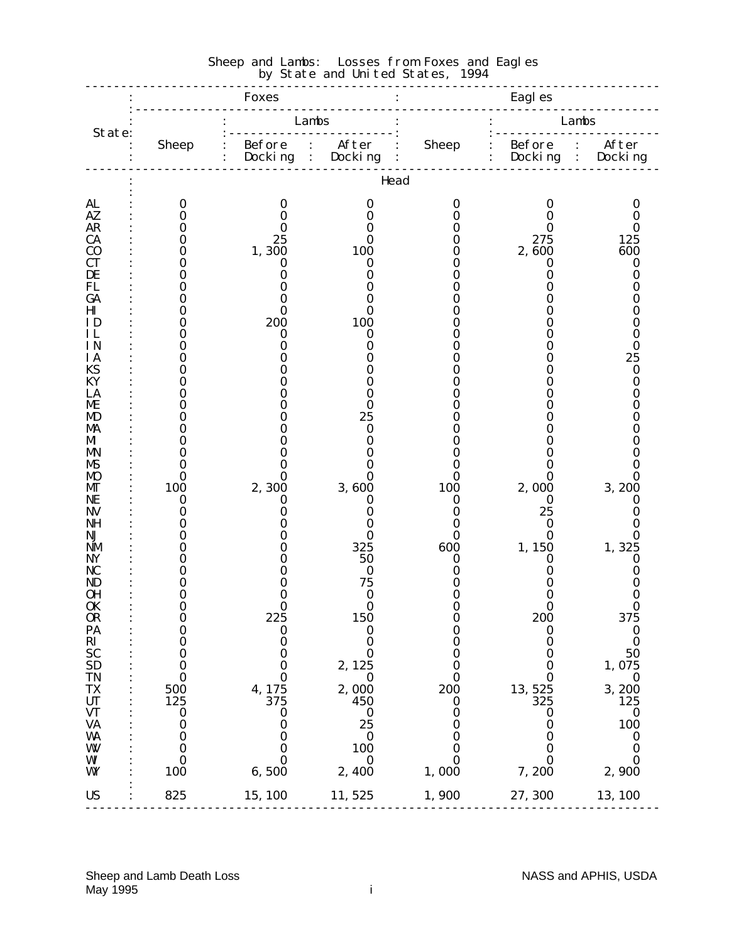|                        |                      | <b>Foxes</b>          |                                                      | Eagl es      |                                 |                            |
|------------------------|----------------------|-----------------------|------------------------------------------------------|--------------|---------------------------------|----------------------------|
| State:                 |                      |                       | Lambs                                                |              |                                 | Lambs                      |
|                        | <b>Sheep</b>         | Before<br>Docking     | After<br>$\ddot{\cdot}$<br>Docking<br>$\ddot{\cdot}$ | <b>Sheep</b> | <b>Before</b><br>$\ddot{\cdot}$ | After<br>Docking : Docking |
|                        |                      |                       | Head                                                 |              |                                 |                            |
| AL                     | $\bf{0}$             | 0                     | 0                                                    | 0            | O                               | 0                          |
| AZ.<br><b>AR</b>       | 0<br>0               | 0<br>0                | 0<br>O                                               |              | 0<br>O                          | 0<br>0                     |
| CA                     | 0                    | 25                    | 0                                                    |              | 275                             | 125                        |
| $\bf CO$               | 0                    | 1,300                 | 100                                                  |              | 2,600                           | 600                        |
| CT<br>DE               | 0                    | 0<br>0                | 0<br>0                                               |              | 0<br>0                          | $\bf{0}$<br>0              |
| FL                     |                      | 0                     | 0                                                    |              |                                 | 0                          |
| GA                     |                      | Ո                     | 0                                                    |              | 0                               | 0                          |
| H <sub>I</sub>         |                      | 0                     | 0                                                    |              |                                 | 0                          |
| ΙD<br>IL               | 0                    | 200<br>0              | 100<br>$\bf{0}$                                      |              |                                 | 0<br>0                     |
| <b>IN</b>              |                      | O                     | 0                                                    |              |                                 | $\bf{0}$                   |
| ΙA                     |                      |                       | 0                                                    |              |                                 | 25                         |
| <b>KS</b>              |                      |                       | O                                                    |              |                                 | $\bf{0}$                   |
| KY<br>LA               |                      |                       | 0<br>0                                               |              |                                 | 0<br>0                     |
| ME                     |                      |                       | 0                                                    |              |                                 | 0                          |
| MD                     |                      |                       | 25                                                   |              |                                 | 0                          |
| MA<br>M                |                      |                       | $\bf{0}$<br>0                                        |              |                                 | 0<br>0                     |
| MN                     | 0                    | 0                     | 0                                                    |              |                                 | 0                          |
| MS                     |                      |                       | 0                                                    |              |                                 | Ո                          |
| <b>MO</b>              | 0                    | O                     | O                                                    | 0            | 0                               | 0                          |
| MГ<br>NE               | 100<br>$\bf{0}$      | 2,300<br>0            | 3,600<br>0                                           | 100<br>0     | 2,000<br>$\bf{0}$               | 3,200<br>$\bf{0}$          |
| <b>NV</b>              | 0                    |                       | 0                                                    | Ո            | 25                              | 0                          |
| NH                     | 0                    | O                     | 0                                                    | 0            | $\bf{0}$                        | 0                          |
| NJ                     |                      |                       | 0                                                    | 0            | 0                               | 0                          |
| <b>NM</b><br>NY        |                      |                       | 325<br>50                                            | 600<br>0     | 1,150<br>0                      | 1,325<br>0                 |
| NC                     |                      |                       | $\bf{0}$                                             |              | 0                               | 0                          |
| ND                     |                      |                       | 75                                                   |              |                                 | 0                          |
| OН                     | 0                    |                       | 0                                                    |              | 0                               | 0                          |
| <b>OK</b><br>OR        | 0<br>$\bf{0}$        | 0<br>225              | $\bf{0}$<br><b>150</b>                               | 0<br>0       | 0<br><b>200</b>                 | 0<br>375                   |
| PA                     | $\bf{0}$             | $\bf{0}$              | $\boldsymbol{0}$                                     | $\bf{0}$     | $\bf{0}$                        | $\bf{0}$                   |
| $R_{SC}^{R}$           | $\bf{0}$             | $\boldsymbol{0}$      | $\bf{0}$                                             | 0            | $\bf{0}$                        | $\bf{0}$                   |
| <b>SD</b>              | $\bf{0}$<br>$\bf{0}$ | 0<br>$\bf{0}$         | $\bf{0}$<br>2, 125                                   | 0<br>0       | 0<br>0                          | 50<br>1,075                |
| <b>TN</b>              | $\bf{0}$             | $\bf{0}$              | $\bf{0}$                                             | 0            | $\bf{0}$                        | $\bf{0}$                   |
| TX                     | 500                  | 4, 175                | 2,000                                                | 200          | 13, 525                         | 3,200                      |
| <b>UT</b>              | 125                  | 375                   | 450                                                  | 0            | 325                             | 125                        |
| <b>VT</b><br><b>VA</b> | $\bf{0}$<br>$\bf{0}$ | $\boldsymbol{0}$<br>0 | $\bf{0}$<br>25                                       | 0<br>0       | 0<br>0                          | $\bf{0}$<br>100            |
| WA                     | $\bf{0}$             | 0                     | $\bf{0}$                                             | 0            | 0                               | $\boldsymbol{0}$           |
| W                      | $\bf{0}$             | 0                     | 100                                                  | 0            | $\bf{0}$                        | $\bf{0}$                   |
| WI                     | 0                    | $\bf{0}$              | $\bf{0}$                                             | $\bf{0}$     | $\bf{0}$                        | $\bf{0}$                   |
| WY                     | 100                  | 6,500                 | 2,400                                                | 1,000        | 7,200                           | 2,900                      |
| <b>US</b>              | 825                  | 15, 100               | 11, 525                                              | 1,900        | 27, 300                         | 13, 100                    |

#### Sheep and Lambs: Losses from Foxes and Eagles **by State and United States, 1994**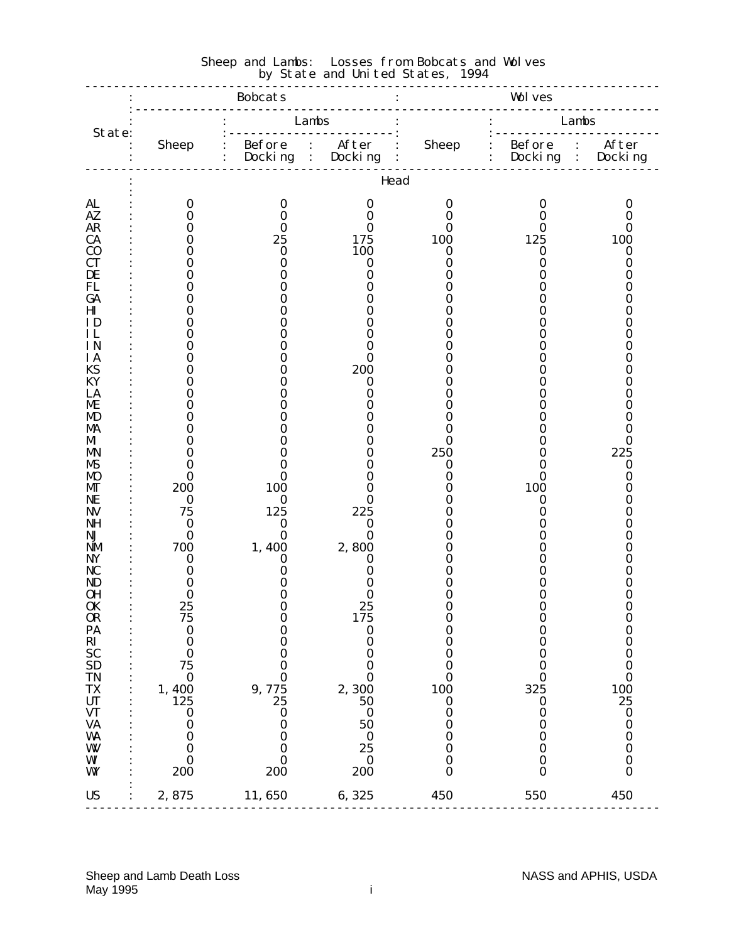| Lambs<br>Lambs<br>State:<br>: Before : After<br>: Docking : Docking<br><b>Sheep</b><br>Head<br><b>AL</b><br>$\bf{0}$<br>$\boldsymbol{0}$<br>$\bf{0}$<br>0<br>0<br>0<br>AZ<br>$\bf{0}$<br>0<br>$\bf{0}$<br>$\bf{0}$<br>$\bf{0}$<br>0<br><b>AR</b><br>$\bf{0}$<br>0<br>0<br>0<br>0<br>0<br>125<br><b>CA</b><br>25<br>100<br>100<br>175<br>0<br>$\bf CO$<br>100<br>0<br>$\bf{0}$<br>$\boldsymbol{0}$<br>$\boldsymbol{0}$<br>0<br>CT<br>0<br>0<br>0<br>0<br>0<br>0<br>DE<br>0<br>0<br>0<br>0<br>0<br>FL<br>0<br>0<br>0<br>0<br>0<br>GA<br>0<br>O<br>0<br>0<br>0<br>0<br>Ш<br>0<br>0<br>0<br>0<br>0<br>ΙD<br>0<br>O<br>0<br>0<br>IL<br>0<br>0<br>O<br>O<br><b>IN</b><br>0<br>0<br>0<br>0<br>ΙA<br>0<br>0<br>0<br>0<br><b>KS</b><br>200<br>0<br>0<br>0<br>O<br>KY<br>0<br>0<br>0<br>0<br>LA<br>0<br>0<br>0<br>0<br>ME<br>0<br>0<br>O<br>0<br>0<br>MD<br>0<br>0<br>0<br>O<br>MA<br>0<br>0<br>0<br>0<br>0<br>M<br>0<br>0<br>0<br>Ո<br>0<br>0<br>250<br>225<br>0<br>0<br>MN<br>0<br>0<br>0<br>0<br>$\bf{0}$<br>MS<br>0<br>0<br>0<br><b>MO</b><br>0<br>0<br>$\bf{0}$<br>0<br>0<br>0<br>200<br>100<br>100<br>MГ<br>0<br>0<br>0<br>NE<br>$\bf{0}$<br>$\bf{0}$<br>0<br>$\bf{0}$<br>0<br>75<br>125<br>225<br><b>NV</b><br>0<br>0<br>$\bf{0}$<br>$\bf{0}$<br>$\bf{0}$<br>NH<br>0<br>0<br>$\bf{0}$<br>$\bf{0}$<br>NJ<br>0<br>0<br>0<br>1,400<br>2,800<br>700<br>NM<br>0<br>O<br>$\bf{0}$<br>NY<br>0<br>0<br>0<br>O<br>NC<br>0<br>0<br>0<br>0<br>0<br>ND<br>0<br>O<br>O<br>0<br>0<br>OН<br>0<br>0<br>0<br>0<br>0<br>25<br>25<br><b>OK</b><br>$\mathbf 0$<br>0<br>0<br>0<br>OR<br>75<br>O<br><b>175</b><br>0<br>$\bf{0}$<br>$\boldsymbol{0}$<br>$\bf{0}$<br>PA<br>$\bf{0}$<br>$\boldsymbol{0}$<br>$\bf{0}$<br>$\boldsymbol{0}$<br>$\bf{0}$ |  |
|--------------------------------------------------------------------------------------------------------------------------------------------------------------------------------------------------------------------------------------------------------------------------------------------------------------------------------------------------------------------------------------------------------------------------------------------------------------------------------------------------------------------------------------------------------------------------------------------------------------------------------------------------------------------------------------------------------------------------------------------------------------------------------------------------------------------------------------------------------------------------------------------------------------------------------------------------------------------------------------------------------------------------------------------------------------------------------------------------------------------------------------------------------------------------------------------------------------------------------------------------------------------------------------------------------------------------------------------------------------------------------------------------------------------------------------------------------------------------------------------------------------------------------------------------------------------------------------------------------------------------------------------------------------------------------------------------------------------------|--|
|                                                                                                                                                                                                                                                                                                                                                                                                                                                                                                                                                                                                                                                                                                                                                                                                                                                                                                                                                                                                                                                                                                                                                                                                                                                                                                                                                                                                                                                                                                                                                                                                                                                                                                                          |  |
|                                                                                                                                                                                                                                                                                                                                                                                                                                                                                                                                                                                                                                                                                                                                                                                                                                                                                                                                                                                                                                                                                                                                                                                                                                                                                                                                                                                                                                                                                                                                                                                                                                                                                                                          |  |
|                                                                                                                                                                                                                                                                                                                                                                                                                                                                                                                                                                                                                                                                                                                                                                                                                                                                                                                                                                                                                                                                                                                                                                                                                                                                                                                                                                                                                                                                                                                                                                                                                                                                                                                          |  |
|                                                                                                                                                                                                                                                                                                                                                                                                                                                                                                                                                                                                                                                                                                                                                                                                                                                                                                                                                                                                                                                                                                                                                                                                                                                                                                                                                                                                                                                                                                                                                                                                                                                                                                                          |  |
|                                                                                                                                                                                                                                                                                                                                                                                                                                                                                                                                                                                                                                                                                                                                                                                                                                                                                                                                                                                                                                                                                                                                                                                                                                                                                                                                                                                                                                                                                                                                                                                                                                                                                                                          |  |
|                                                                                                                                                                                                                                                                                                                                                                                                                                                                                                                                                                                                                                                                                                                                                                                                                                                                                                                                                                                                                                                                                                                                                                                                                                                                                                                                                                                                                                                                                                                                                                                                                                                                                                                          |  |
|                                                                                                                                                                                                                                                                                                                                                                                                                                                                                                                                                                                                                                                                                                                                                                                                                                                                                                                                                                                                                                                                                                                                                                                                                                                                                                                                                                                                                                                                                                                                                                                                                                                                                                                          |  |
|                                                                                                                                                                                                                                                                                                                                                                                                                                                                                                                                                                                                                                                                                                                                                                                                                                                                                                                                                                                                                                                                                                                                                                                                                                                                                                                                                                                                                                                                                                                                                                                                                                                                                                                          |  |
|                                                                                                                                                                                                                                                                                                                                                                                                                                                                                                                                                                                                                                                                                                                                                                                                                                                                                                                                                                                                                                                                                                                                                                                                                                                                                                                                                                                                                                                                                                                                                                                                                                                                                                                          |  |
|                                                                                                                                                                                                                                                                                                                                                                                                                                                                                                                                                                                                                                                                                                                                                                                                                                                                                                                                                                                                                                                                                                                                                                                                                                                                                                                                                                                                                                                                                                                                                                                                                                                                                                                          |  |
|                                                                                                                                                                                                                                                                                                                                                                                                                                                                                                                                                                                                                                                                                                                                                                                                                                                                                                                                                                                                                                                                                                                                                                                                                                                                                                                                                                                                                                                                                                                                                                                                                                                                                                                          |  |
|                                                                                                                                                                                                                                                                                                                                                                                                                                                                                                                                                                                                                                                                                                                                                                                                                                                                                                                                                                                                                                                                                                                                                                                                                                                                                                                                                                                                                                                                                                                                                                                                                                                                                                                          |  |
|                                                                                                                                                                                                                                                                                                                                                                                                                                                                                                                                                                                                                                                                                                                                                                                                                                                                                                                                                                                                                                                                                                                                                                                                                                                                                                                                                                                                                                                                                                                                                                                                                                                                                                                          |  |
|                                                                                                                                                                                                                                                                                                                                                                                                                                                                                                                                                                                                                                                                                                                                                                                                                                                                                                                                                                                                                                                                                                                                                                                                                                                                                                                                                                                                                                                                                                                                                                                                                                                                                                                          |  |
|                                                                                                                                                                                                                                                                                                                                                                                                                                                                                                                                                                                                                                                                                                                                                                                                                                                                                                                                                                                                                                                                                                                                                                                                                                                                                                                                                                                                                                                                                                                                                                                                                                                                                                                          |  |
|                                                                                                                                                                                                                                                                                                                                                                                                                                                                                                                                                                                                                                                                                                                                                                                                                                                                                                                                                                                                                                                                                                                                                                                                                                                                                                                                                                                                                                                                                                                                                                                                                                                                                                                          |  |
|                                                                                                                                                                                                                                                                                                                                                                                                                                                                                                                                                                                                                                                                                                                                                                                                                                                                                                                                                                                                                                                                                                                                                                                                                                                                                                                                                                                                                                                                                                                                                                                                                                                                                                                          |  |
|                                                                                                                                                                                                                                                                                                                                                                                                                                                                                                                                                                                                                                                                                                                                                                                                                                                                                                                                                                                                                                                                                                                                                                                                                                                                                                                                                                                                                                                                                                                                                                                                                                                                                                                          |  |
|                                                                                                                                                                                                                                                                                                                                                                                                                                                                                                                                                                                                                                                                                                                                                                                                                                                                                                                                                                                                                                                                                                                                                                                                                                                                                                                                                                                                                                                                                                                                                                                                                                                                                                                          |  |
|                                                                                                                                                                                                                                                                                                                                                                                                                                                                                                                                                                                                                                                                                                                                                                                                                                                                                                                                                                                                                                                                                                                                                                                                                                                                                                                                                                                                                                                                                                                                                                                                                                                                                                                          |  |
|                                                                                                                                                                                                                                                                                                                                                                                                                                                                                                                                                                                                                                                                                                                                                                                                                                                                                                                                                                                                                                                                                                                                                                                                                                                                                                                                                                                                                                                                                                                                                                                                                                                                                                                          |  |
|                                                                                                                                                                                                                                                                                                                                                                                                                                                                                                                                                                                                                                                                                                                                                                                                                                                                                                                                                                                                                                                                                                                                                                                                                                                                                                                                                                                                                                                                                                                                                                                                                                                                                                                          |  |
|                                                                                                                                                                                                                                                                                                                                                                                                                                                                                                                                                                                                                                                                                                                                                                                                                                                                                                                                                                                                                                                                                                                                                                                                                                                                                                                                                                                                                                                                                                                                                                                                                                                                                                                          |  |
|                                                                                                                                                                                                                                                                                                                                                                                                                                                                                                                                                                                                                                                                                                                                                                                                                                                                                                                                                                                                                                                                                                                                                                                                                                                                                                                                                                                                                                                                                                                                                                                                                                                                                                                          |  |
|                                                                                                                                                                                                                                                                                                                                                                                                                                                                                                                                                                                                                                                                                                                                                                                                                                                                                                                                                                                                                                                                                                                                                                                                                                                                                                                                                                                                                                                                                                                                                                                                                                                                                                                          |  |
|                                                                                                                                                                                                                                                                                                                                                                                                                                                                                                                                                                                                                                                                                                                                                                                                                                                                                                                                                                                                                                                                                                                                                                                                                                                                                                                                                                                                                                                                                                                                                                                                                                                                                                                          |  |
|                                                                                                                                                                                                                                                                                                                                                                                                                                                                                                                                                                                                                                                                                                                                                                                                                                                                                                                                                                                                                                                                                                                                                                                                                                                                                                                                                                                                                                                                                                                                                                                                                                                                                                                          |  |
|                                                                                                                                                                                                                                                                                                                                                                                                                                                                                                                                                                                                                                                                                                                                                                                                                                                                                                                                                                                                                                                                                                                                                                                                                                                                                                                                                                                                                                                                                                                                                                                                                                                                                                                          |  |
|                                                                                                                                                                                                                                                                                                                                                                                                                                                                                                                                                                                                                                                                                                                                                                                                                                                                                                                                                                                                                                                                                                                                                                                                                                                                                                                                                                                                                                                                                                                                                                                                                                                                                                                          |  |
|                                                                                                                                                                                                                                                                                                                                                                                                                                                                                                                                                                                                                                                                                                                                                                                                                                                                                                                                                                                                                                                                                                                                                                                                                                                                                                                                                                                                                                                                                                                                                                                                                                                                                                                          |  |
|                                                                                                                                                                                                                                                                                                                                                                                                                                                                                                                                                                                                                                                                                                                                                                                                                                                                                                                                                                                                                                                                                                                                                                                                                                                                                                                                                                                                                                                                                                                                                                                                                                                                                                                          |  |
|                                                                                                                                                                                                                                                                                                                                                                                                                                                                                                                                                                                                                                                                                                                                                                                                                                                                                                                                                                                                                                                                                                                                                                                                                                                                                                                                                                                                                                                                                                                                                                                                                                                                                                                          |  |
|                                                                                                                                                                                                                                                                                                                                                                                                                                                                                                                                                                                                                                                                                                                                                                                                                                                                                                                                                                                                                                                                                                                                                                                                                                                                                                                                                                                                                                                                                                                                                                                                                                                                                                                          |  |
| $\bf{0}$<br>$\bf{0}$<br>$\bf{0}$<br>$\bf{0}$<br>$\boldsymbol{0}$<br>0                                                                                                                                                                                                                                                                                                                                                                                                                                                                                                                                                                                                                                                                                                                                                                                                                                                                                                                                                                                                                                                                                                                                                                                                                                                                                                                                                                                                                                                                                                                                                                                                                                                    |  |
| $\overline{RI}$<br>SC<br>SD<br>$\bf{0}$<br>0<br>0<br>0<br>$\boldsymbol{0}$<br>$\bf{0}$                                                                                                                                                                                                                                                                                                                                                                                                                                                                                                                                                                                                                                                                                                                                                                                                                                                                                                                                                                                                                                                                                                                                                                                                                                                                                                                                                                                                                                                                                                                                                                                                                                   |  |
| 75<br>$\bf{0}$<br>$\bf{0}$<br>0<br>0<br>$\bf{0}$                                                                                                                                                                                                                                                                                                                                                                                                                                                                                                                                                                                                                                                                                                                                                                                                                                                                                                                                                                                                                                                                                                                                                                                                                                                                                                                                                                                                                                                                                                                                                                                                                                                                         |  |
| <b>TN</b><br>$\bf{0}$<br>$\bf{0}$<br>$\boldsymbol{0}$<br>$\boldsymbol{0}$<br>$\bf{0}$<br>0                                                                                                                                                                                                                                                                                                                                                                                                                                                                                                                                                                                                                                                                                                                                                                                                                                                                                                                                                                                                                                                                                                                                                                                                                                                                                                                                                                                                                                                                                                                                                                                                                               |  |
| 325<br><b>TX</b><br>2,300<br>100<br>100<br>$1,400$<br>$125$<br>9,775<br>25<br><b>UT</b><br>25<br>50<br>$\boldsymbol{0}$<br>$\boldsymbol{0}$                                                                                                                                                                                                                                                                                                                                                                                                                                                                                                                                                                                                                                                                                                                                                                                                                                                                                                                                                                                                                                                                                                                                                                                                                                                                                                                                                                                                                                                                                                                                                                              |  |
| <b>VT</b><br>$\bf{0}$<br>$\bf{0}$<br>$\bf{0}$<br>0<br>$\boldsymbol{0}$<br>$\bf{0}$                                                                                                                                                                                                                                                                                                                                                                                                                                                                                                                                                                                                                                                                                                                                                                                                                                                                                                                                                                                                                                                                                                                                                                                                                                                                                                                                                                                                                                                                                                                                                                                                                                       |  |
| <b>VA</b><br>50<br>0<br>$\bf{0}$<br>$\boldsymbol{0}$<br>0<br>0                                                                                                                                                                                                                                                                                                                                                                                                                                                                                                                                                                                                                                                                                                                                                                                                                                                                                                                                                                                                                                                                                                                                                                                                                                                                                                                                                                                                                                                                                                                                                                                                                                                           |  |
| WA<br>$\bf{0}$<br>$\bf{0}$<br>$\bf{0}$<br>$\bf{0}$<br>$\bf{0}$<br>0                                                                                                                                                                                                                                                                                                                                                                                                                                                                                                                                                                                                                                                                                                                                                                                                                                                                                                                                                                                                                                                                                                                                                                                                                                                                                                                                                                                                                                                                                                                                                                                                                                                      |  |
| W<br>25<br>$\bf{0}$<br>$\bf{0}$<br>$\bf{0}$<br>0<br>$\boldsymbol{0}$<br>$\bf{0}$<br>$\bf{0}$<br>0                                                                                                                                                                                                                                                                                                                                                                                                                                                                                                                                                                                                                                                                                                                                                                                                                                                                                                                                                                                                                                                                                                                                                                                                                                                                                                                                                                                                                                                                                                                                                                                                                        |  |
| W<br>$\bf{0}$<br>0<br>$\boldsymbol{0}$<br>200<br>$\bf{0}$<br>WY<br>200<br>200<br>$\bf{0}$<br>$\bf{0}$                                                                                                                                                                                                                                                                                                                                                                                                                                                                                                                                                                                                                                                                                                                                                                                                                                                                                                                                                                                                                                                                                                                                                                                                                                                                                                                                                                                                                                                                                                                                                                                                                    |  |
| 450<br>2,875<br>11,650<br>6,325<br>450<br>550<br><b>US</b>                                                                                                                                                                                                                                                                                                                                                                                                                                                                                                                                                                                                                                                                                                                                                                                                                                                                                                                                                                                                                                                                                                                                                                                                                                                                                                                                                                                                                                                                                                                                                                                                                                                               |  |

#### Sheep and Lambs: Losses from Bobcats and Wolves **by State and United States, 1994**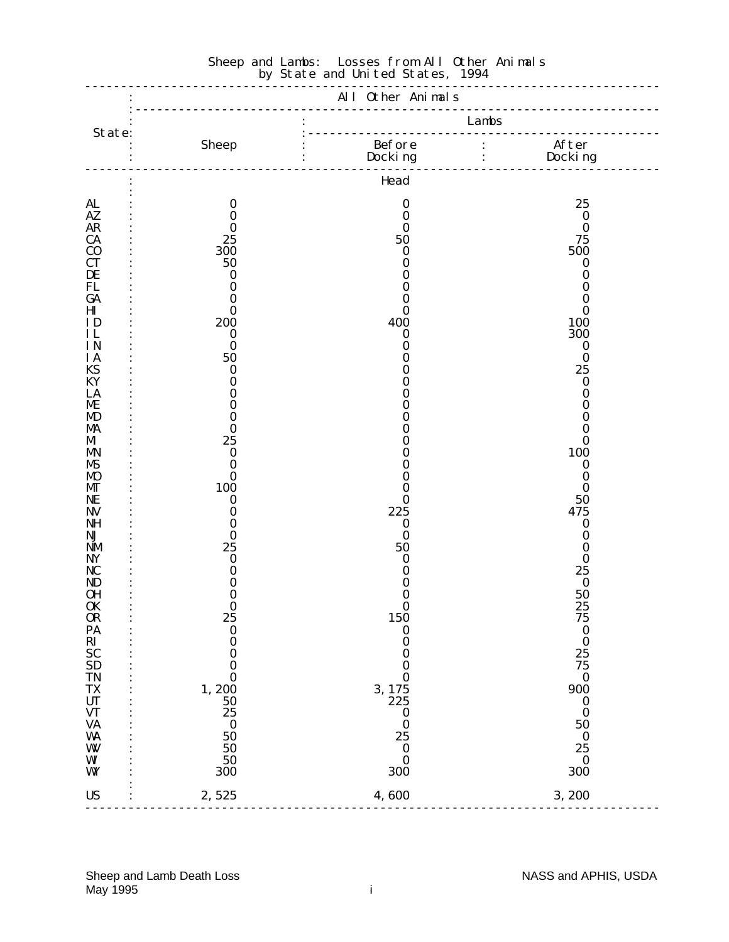|                                                                   |                                        |                                                        | <u>.</u>                             |
|-------------------------------------------------------------------|----------------------------------------|--------------------------------------------------------|--------------------------------------|
|                                                                   |                                        |                                                        | $Lambs$<br>.                         |
| State:                                                            |                                        |                                                        |                                      |
|                                                                   |                                        | Head                                                   |                                      |
| AL                                                                | $\bf{0}$                               | $\bf{0}$                                               | 25                                   |
| AZ                                                                | $\bf{0}$                               | $\bf{0}$                                               | $\boldsymbol{0}$                     |
| <b>AR</b>                                                         | $\bf{0}$                               | 0                                                      | $\bf{0}$                             |
| CA                                                                | 25                                     | 50                                                     | 75                                   |
| $\bf CO$                                                          | 300                                    | $\bf{0}$                                               | 500                                  |
| <b>CT</b>                                                         | 50                                     | 0                                                      | $\boldsymbol{0}$                     |
| DE                                                                | $\bf{0}$                               | 0                                                      | 0                                    |
| <b>FL</b>                                                         | $\bf{0}$                               | 0                                                      | 0                                    |
| GA                                                                | $\bf{0}$                               | 0                                                      | 0                                    |
| H <sub>I</sub>                                                    | $\bf{0}$                               | $\bf{0}$                                               | 0                                    |
| ID                                                                | 200                                    | 400                                                    | 100                                  |
| IL                                                                | $\bf{0}$                               | $\bf{0}$                                               | 300                                  |
| IN                                                                | $\bf{0}$                               | 0                                                      | $\bf{0}$                             |
| <b>IA</b>                                                         | 50                                     | 0                                                      | $\bf{0}$                             |
| <b>KS</b>                                                         | $\bf{0}$                               | 0                                                      | 25                                   |
| KY                                                                | $\bf{0}$                               | 0                                                      | $\bf{0}$                             |
| LA                                                                | $\boldsymbol{0}$                       | 0                                                      | 0                                    |
| ME                                                                | $\bf{0}$                               | 0                                                      | 0                                    |
| <b>MD</b>                                                         | $\bf{0}$                               | 0                                                      | 0                                    |
| MA                                                                | $\bf{0}$                               | 0                                                      | 0                                    |
| M                                                                 | 25                                     | 0                                                      | 0                                    |
| <b>MN</b>                                                         | $\bf{0}$                               | 0                                                      | 100                                  |
| <b>MS</b>                                                         | $\bf{0}$                               | 0                                                      | $\bf{0}$                             |
| <b>MO</b>                                                         | $\bf{0}$                               | 0                                                      | 0                                    |
| МГ                                                                | 100                                    | $\bf{0}$                                               | $\bf{0}$                             |
| NE                                                                | $\bf{0}$                               | $\bf{0}$                                               | 50                                   |
| <b>NV</b>                                                         | $\bf{0}$                               | 225                                                    | 475                                  |
| <b>NH</b>                                                         | $\bf{0}$                               | $\boldsymbol{0}$                                       | $\boldsymbol{0}$                     |
| NJ                                                                | $\bf{0}$                               | $\bf{0}$                                               | 0                                    |
| <b>NM</b>                                                         | 25                                     | 50                                                     | 0                                    |
| <b>NY</b>                                                         | $\bf{0}$                               | $\bf{0}$                                               | $\bf{0}$                             |
| <b>NC</b>                                                         | $\bf{0}$                               | 0                                                      | 25                                   |
| ND                                                                | $\bf{0}$                               | 0                                                      | $\bf{0}$                             |
| 0H<br><b>OK</b><br>OR<br>PA                                       | $\bf{0}$<br>$\bf{0}$<br>25<br>$\bf{0}$ | $\boldsymbol{0}$<br>$\bf{0}$<br><b>150</b><br>$\bf{0}$ | 50<br>25<br>75                       |
| $\overrightarrow{RI}$ $\overrightarrow{SC}$ $\overrightarrow{SD}$ | $\bf{0}$                               | $\bf{0}$                                               | $\begin{matrix} 0 \\ 0 \end{matrix}$ |
|                                                                   | $\bf{0}$                               | $\bf{0}$                                               | 25                                   |
|                                                                   | $\bf{0}$                               | $\bf{0}$                                               | 75                                   |
| <b>TN</b>                                                         | $\bf{0}$                               | $\bf{0}$                                               | $\bf{0}$                             |
| TX                                                                | 1,200                                  | 3, 175                                                 | 900                                  |
| <b>UT</b>                                                         | 50                                     | 225                                                    | $\boldsymbol{0}$                     |
| <b>VT</b>                                                         | 25                                     | $\boldsymbol{0}$                                       | $\bf{0}$                             |
| <b>VA</b>                                                         | $\boldsymbol{0}$                       | $\bf{0}$                                               | 50                                   |
| WA                                                                | 50                                     | 25                                                     | $\bf{0}$                             |
| W                                                                 | 50                                     | $\bf{0}$                                               | 25                                   |
| WI                                                                | 50                                     | $\bf{0}$                                               | $\boldsymbol{0}$                     |
| WY                                                                | 300                                    | 300                                                    | 300                                  |
| <b>US</b>                                                         | 2,525                                  | 4,600                                                  | 3,200                                |

#### Sheep and Lambs: Losses from All Other Animals **by State and United States, 1994**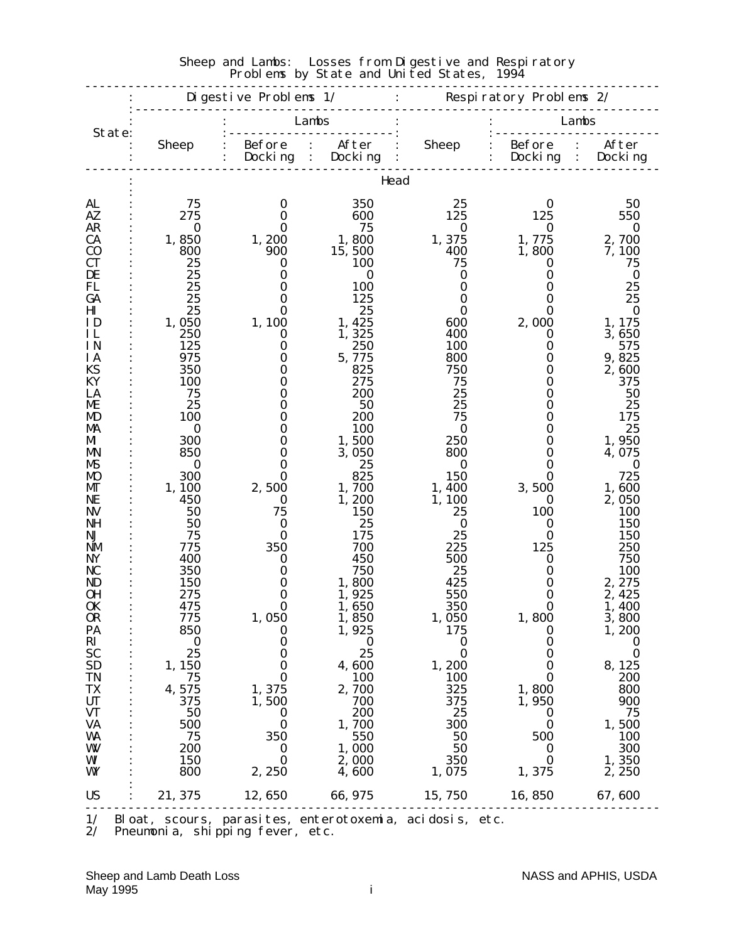|                        | Di gesti ve Problems $1/$ |                                     |                  | : Respiratory Problems 2/ |                          |                                     |
|------------------------|---------------------------|-------------------------------------|------------------|---------------------------|--------------------------|-------------------------------------|
| State:                 |                           |                                     | Lambs            |                           |                          | Lambs                               |
|                        | <b>Sheep</b>              | Before<br>Docking<br>$\ddot{\cdot}$ | After<br>Docking | <b>Sheep</b>              | <b>Before</b><br>Docking | After<br>$\ddot{\cdot}$<br>Docki ng |
|                        |                           |                                     | Head             |                           |                          |                                     |
| AL                     | 75                        | $\bf{0}$                            | 350              | 25                        | 0                        | 50                                  |
| AZ.                    | 275                       | $\bf{0}$<br>0                       | 600<br>75        | 125                       | 125                      | 550                                 |
| <b>AR</b><br><b>CA</b> | $\bf{0}$<br>1,850         | 1,200                               | 1,800            | $\bf{0}$<br>1,375         | $\bf{0}$<br>1,775        | $\bf{0}$<br>2,700                   |
| $\bf CO$               | 800                       | 900                                 | 15,500           | 400                       | 1,800                    | 7,100                               |
| <b>CT</b>              | 25                        | 0                                   | 100              | 75                        | 0                        | 75                                  |
| DE                     | 25                        | $\bf{0}$                            | 0                | 0                         | 0                        | $\bf{0}$                            |
| FL<br>GA               | 25<br>25                  | $\bf{0}$<br>0                       | 100<br>125       | $\bf{0}$<br>0             | 0<br>0                   | 25<br>25                            |
| H <sub>I</sub>         | 25                        | $\bf{0}$                            | 25               | 0                         | 0                        | $\bf{0}$                            |
| ID                     | 1,050                     | 1,100                               | 1, 425           | 600                       | 2,000                    | 1, 175                              |
| IL                     | 250                       | $\bf{0}$                            | 1,325            | 400                       | 0                        | 3,650                               |
| IN                     | 125                       | $\bf{0}$<br>$\bf{0}$                | 250<br>5,775     | <b>100</b>                | $\bf{0}$                 | 575                                 |
| ΙA<br><b>KS</b>        | 975<br>350                | 0                                   | 825              | 800<br>750                | 0<br>0                   | 9,825<br>2,600                      |
| KY                     | 100                       | $\bf{0}$                            | 275              | 75                        | 0                        | 375                                 |
| LA                     | 75                        | $\bf{0}$                            | <b>200</b>       | 25                        | 0                        | 50                                  |
| ME                     | 25                        | 0                                   | 50               | 25                        | 0                        | 25                                  |
| MD<br>MA               | 100<br>$\bf{0}$           | $\bf{0}$<br>$\bf{0}$                | 200<br>100       | 75<br>$\bf{0}$            | 0<br>0                   | 175<br>25                           |
| MI                     | 300                       | $\bf{0}$                            | 1,500            | 250                       | 0                        | 1,950                               |
| MN                     | 850                       | $\bf{0}$                            | 3,050            | 800                       | 0                        | 4,075                               |
| MS                     | $\bf{0}$                  | 0                                   | 25               | 0                         | 0                        | 0                                   |
| MO                     | 300<br>1,100              | 0                                   | 825              | <b>150</b>                | 0                        | 725                                 |
| MГ<br>NE               | 450                       | 2,500<br>$\bf{0}$                   | 1,700<br>1,200   | 1,400<br>1,100            | 3,500<br>0               | 1,600<br>2,050                      |
| NV                     | 50                        | 75                                  | <b>150</b>       | 25                        | 100                      | <b>100</b>                          |
| NH                     | 50                        | $\bf{0}$                            | 25               | $\bf{0}$                  | $\bf{0}$                 | 150                                 |
| NJ                     | 75                        | $\bf{0}$                            | 175              | 25                        | $\bf{0}$                 | 150                                 |
| <b>NM</b><br>NY        | 775<br>400                | 350<br>$\bf{0}$                     | 700<br>450       | 225<br>500                | 125<br>$\bf{0}$          | 250<br>750                          |
| N <sub>C</sub>         | 350                       | $\bf{0}$                            | 750              | 25                        | $\bf{0}$                 | 100                                 |
| ND                     | <b>150</b>                | 0                                   | 1,800            | 425                       | 0                        | 2, 275                              |
| 0H                     | 275                       | $\bf{0}$                            | 1,925            | 550                       | $\bf{0}$                 | 2, 425                              |
| 0K                     | 475                       | $\bf{0}$                            | 1,650            | 350                       | $\bf{0}$                 | 1,400                               |
| <b>OR</b><br>PA        | 775<br>850                | 1,050<br>$\bf{0}$                   | 1,850<br>1,925   | 1,050<br>175              | 1,800<br>$\bf{0}$        | 3,800<br>1,200                      |
| $\mathbf{R}$           | $\bf{0}$                  | $\bf{0}$                            | $\bf{0}$         | $\bf{0}$                  | $\bf{0}$                 | $\bf{0}$                            |
| <b>SC</b>              | 25                        | $\bf{0}$                            | 25               | $\bf{0}$                  | $\bf{0}$                 | $\bf{0}$                            |
| <b>SD</b>              | 1, 150                    | $\bf{0}$                            | 4,600            | 1, 200                    | $\bf{0}$                 | 8, 125                              |
| <b>TN</b>              | 75                        | $\bf{0}$                            | <b>100</b>       | 100                       | $\bf{0}$                 | 200                                 |
| TX<br><b>UT</b>        | 4,575<br>375              | 1,375<br>1,500                      | 2,700<br>700     | 325<br>375                | 1,800<br>1,950           | 800<br>900                          |
| <b>VT</b>              | 50                        | 0                                   | 200              | 25                        | $\bf{0}$                 | 75                                  |
| <b>VA</b>              | 500                       | $\bf{0}$                            | 1,700            | 300                       | $\bf{0}$                 | 1,500                               |
| WA                     | 75                        | 350                                 | 550              | 50                        | 500                      | 100                                 |
| W<br>WI                | 200<br>150                | $\bf{0}$<br>$\bf{0}$                | 1,000            | 50<br>350                 | $\bf{0}$<br>$\bf{0}$     | 300                                 |
| WY                     | 800                       | 2,250                               | 2,000<br>4,600   | 1,075                     | 1,375                    | 1,350<br>2,250                      |
| <b>US</b>              | 21, 375                   | 12,650                              | 66, 975          | 15,750                    | 16,850                   | 67,600                              |
|                        |                           |                                     |                  |                           |                          |                                     |

#### Sheep and Lambs: Losses from Digestive and Respiratory **Problems by State and United States, 1994**

1/ Bloat, scours, parasites, enterotoxemia, acidosis, etc.

2/ Pneumonia, shipping fever, etc.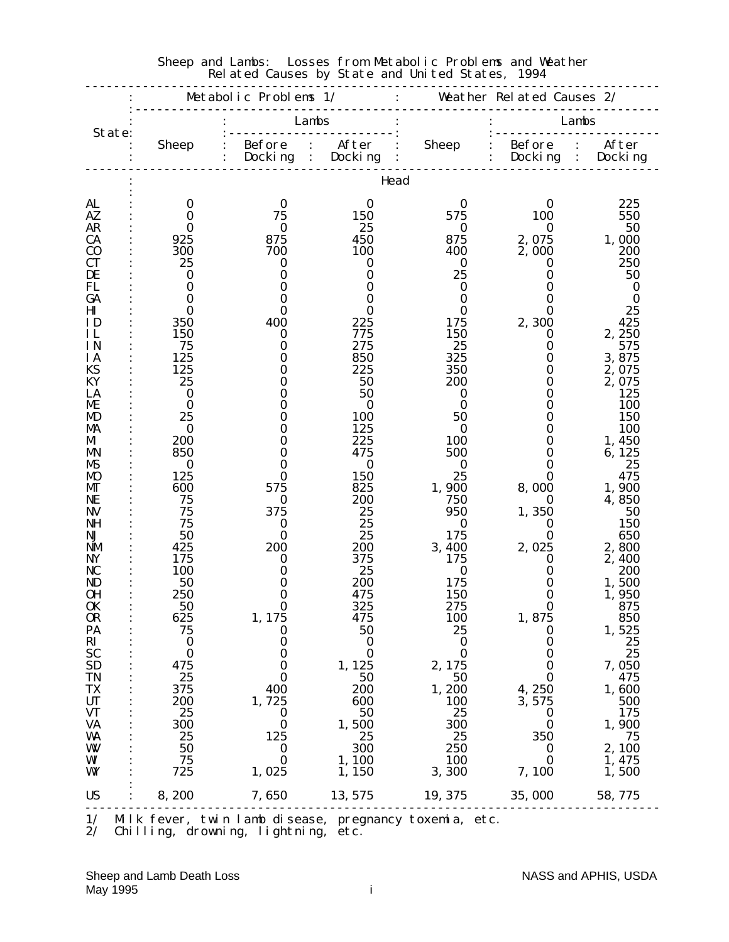|                             |                      | Metabolic Problems 1/                       |                | $\mathbf{1}$ and $\mathbf{1}$ | Weather Related Causes 2/ |                                              |
|-----------------------------|----------------------|---------------------------------------------|----------------|-------------------------------|---------------------------|----------------------------------------------|
| State:                      |                      | Lambs                                       |                |                               |                           | Lambs                                        |
|                             | <b>Sheep</b>         | Before : After<br>Docking<br>$\ddot{\cdot}$ | Docking        | <b>Sheep</b>                  | $\vdots$ Before           | After<br>$\mathbb{R}^2$<br>Docking : Docking |
|                             |                      |                                             | Head           |                               |                           |                                              |
| AL<br>AZ.                   | 0<br>$\bf{0}$        | $\bf{0}$<br>75                              | 0<br>150       | $\bf{0}$<br>575               | 0<br>100                  | 225<br>550                                   |
| <b>AR</b>                   | $\mathbf 0$          | $\bf{0}$                                    | 25             | $\bf{0}$                      | $\bf{0}$                  | 50                                           |
| <b>CA</b><br>C <sub>0</sub> | 925<br>300           | 875<br>700                                  | 450<br>100     | 875<br>400                    | 2,075<br>2,000            | 1,000<br>200                                 |
| <b>CT</b>                   | 25                   | $\bf{0}$                                    | 0              | $\bf{0}$                      | 0                         | 250                                          |
| DE<br>FL                    | $\bf{0}$<br>$\bf{0}$ | $\bf{0}$<br>$\bf{0}$                        | $\bf{0}$       | 25<br>$\bf{0}$                | 0                         | 50                                           |
| GA                          | $\mathbf 0$          | 0                                           | 0<br>0         | 0                             | 0<br>0                    | $\bf{0}$<br>$\bf{0}$                         |
| $\mathbf{H}\mathbf{I}$      | $\bf{0}$             | 0                                           | 0              | $\bf{0}$                      | 0                         | 25                                           |
| ID<br>IL                    | 350<br>150           | 400<br>0                                    | 225<br>775     | 175<br><b>150</b>             | 2,300<br>0                | 425<br>2,250                                 |
| <b>IN</b>                   | 75                   | $\bf{0}$                                    | 275            | 25                            | $\bf{0}$                  | 575                                          |
| <b>IA</b>                   | 125                  | 0                                           | 850            | 325                           | $\bf{0}$                  | 3,875                                        |
| KS<br>KY                    | 125<br>25            | 0<br>0                                      | 225            | 350<br>200                    | 0<br>0                    | 2,075<br>2,075                               |
| LA                          | $\bf{0}$             | 0                                           | 50<br>50       | $\bf{0}$                      | 0                         | 125                                          |
| ME                          | $\bf{0}$             | 0                                           | 0              | $\bf{0}$                      | 0                         | <b>100</b>                                   |
| MD                          | 25                   | 0                                           | <b>100</b>     | 50                            | 0                         | <b>150</b>                                   |
| MA<br>MI                    | $\bf{0}$<br>200      | 0<br>0                                      | 125<br>225     | 0<br><b>100</b>               | 0<br>0                    | 100<br>1,450                                 |
| MN                          | 850                  | $\bf{0}$                                    | 475            | 500                           | 0                         | 6,125                                        |
| MS                          | $\bf{0}$             | 0                                           | $\bf{0}$       | $\bf{0}$                      | 0                         | 25                                           |
| <b>MO</b><br>MГ             | 125<br>600           | 0<br>575                                    | 150<br>825     | 25<br>1,900                   | O<br>8,000                | 475<br>1,900                                 |
| NE                          | 75                   | $\bf{0}$                                    | 200            | 750                           | 0                         | 4,850                                        |
| <b>NV</b>                   | 75                   | 375                                         | 25             | 950                           | 1,350                     | 50                                           |
| NH<br>NJ                    | 75<br>50             | $\bf{0}$<br>$\bf{0}$                        | 25<br>25       | $\bf{0}$<br>175               | $\bf{0}$<br>0             | 150<br>650                                   |
| <b>NM</b>                   | 425                  | 200                                         | 200            | 3,400                         | 2,025                     | 2,800                                        |
| <b>NY</b>                   | 175                  | $\bf{0}$                                    | 375            | 175                           | 0                         | 2,400                                        |
| NC                          | 100                  | 0                                           | 25             | $\bf{0}$                      | 0                         | 200                                          |
| ND<br>OН                    | 50<br>250            | 0<br>0                                      | 200<br>475     | 175<br>150                    | 0<br>0                    | 1,500<br>1,950                               |
| 0K                          | 50                   | 0                                           | 325            | 275                           | 0                         | 875                                          |
| <b>OR</b>                   | 625                  | 1, 175                                      | 475            | <b>100</b>                    | 1,875                     | 850                                          |
| PA<br>$\mathbf{R}$          | 75<br>$\bf{0}$       | $\bf{0}$<br>$\bf{0}$                        | 50<br>$\bf{0}$ | 25<br>$\bf{0}$                | $\bf{0}$<br>$\bf{0}$      | 1,525<br>25                                  |
| <b>SC</b>                   | $\bf{0}$             | $\bf{0}$                                    | $\bf{0}$       | $\bf{0}$                      | $\bf{0}$                  | 25                                           |
| <b>SD</b>                   | 475                  | $\bf{0}$                                    | 1, 125         | 2, 175                        | $\bf{0}$                  | 7,050                                        |
| <b>TN</b>                   | 25                   | $\bf{0}$                                    | 50             | 50                            | $\bf{0}$                  | 475                                          |
| <b>TX</b><br><b>UT</b>      | 375<br>200           | 400<br>1,725                                | 200<br>600     | 1,200<br><b>100</b>           | 4,250<br>3,575            | 1,600<br>500                                 |
| <b>VT</b>                   | 25                   | $\bf{0}$                                    | 50             | 25                            | $\bf{0}$                  | 175                                          |
| <b>VA</b>                   | 300                  | $\bf{0}$                                    | 1,500          | 300                           | $\bf{0}$                  | 1,900                                        |
| WA<br>W                     | 25<br>50             | 125<br>$\bf{0}$                             | 25<br>300      | 25<br>250                     | 350<br>$\bf{0}$           | 75<br>2,100                                  |
| WI                          | 75                   | $\bf{0}$                                    | 1, 100         | <b>100</b>                    | $\bf{0}$                  | 1,475                                        |
| WY                          | 725                  | 1,025                                       | 1, 150         | 3,300                         | 7,100                     | 1,500                                        |
| <b>US</b>                   | 8,200                | 7,650                                       | 13, 575        | 19, 375                       | 35,000                    | 58,775                                       |

#### Sheep and Lambs: Losses from Metabolic Problems and Weather Related Causes by State and United States, 1994

1/ Milk fever, twin lamb disease, pregnancy toxemia, etc.

2/ Chilling, drowning, lightning, etc.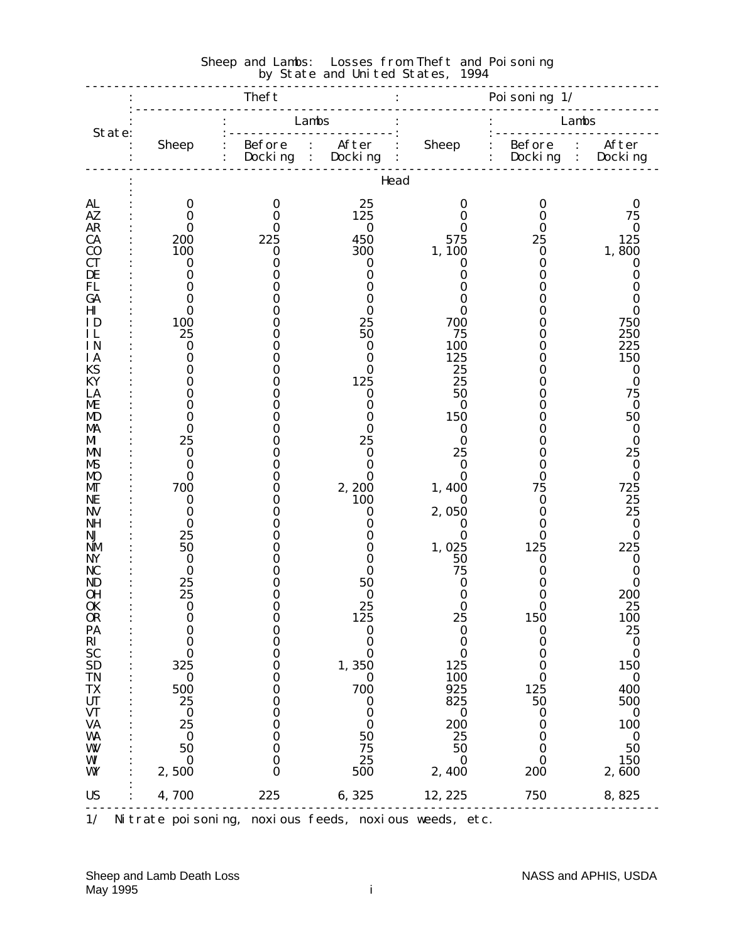|                                                                                                                                                                                                                                                  |                                                                                                                                                                                                                                        | Theft                                                                                                                                                      |                                                                                                                                                                          |                                                                                                                                                                                          | Poi soni ng $1/$                                                                                                                                                                                                                                |                                                                                                                                                                                                                                              |
|--------------------------------------------------------------------------------------------------------------------------------------------------------------------------------------------------------------------------------------------------|----------------------------------------------------------------------------------------------------------------------------------------------------------------------------------------------------------------------------------------|------------------------------------------------------------------------------------------------------------------------------------------------------------|--------------------------------------------------------------------------------------------------------------------------------------------------------------------------|------------------------------------------------------------------------------------------------------------------------------------------------------------------------------------------|-------------------------------------------------------------------------------------------------------------------------------------------------------------------------------------------------------------------------------------------------|----------------------------------------------------------------------------------------------------------------------------------------------------------------------------------------------------------------------------------------------|
|                                                                                                                                                                                                                                                  |                                                                                                                                                                                                                                        | Lambs                                                                                                                                                      |                                                                                                                                                                          |                                                                                                                                                                                          |                                                                                                                                                                                                                                                 | Lambs                                                                                                                                                                                                                                        |
| State:                                                                                                                                                                                                                                           | <b>Sheep</b>                                                                                                                                                                                                                           | Before : After<br>$:$ Docking :                                                                                                                            | Docking                                                                                                                                                                  | <b>Sheep</b><br>.                                                                                                                                                                        | : Before : After<br>: Docking : Docking                                                                                                                                                                                                         |                                                                                                                                                                                                                                              |
|                                                                                                                                                                                                                                                  |                                                                                                                                                                                                                                        |                                                                                                                                                            | Head                                                                                                                                                                     |                                                                                                                                                                                          |                                                                                                                                                                                                                                                 |                                                                                                                                                                                                                                              |
| AL<br>AZ<br><b>AR</b><br><b>CA</b><br>$\bf{C0}$<br><b>CT</b><br>DE<br>FL<br>GA<br>H <sub>I</sub><br>ID<br>IL<br>IN<br>ΙA<br>KS<br>KY<br>LA<br>ME<br>MD<br>MA<br>M<br>MN<br>MS<br>MO<br>МT<br>NE<br><b>NV</b><br><b>NH</b>                        | $\bf{0}$<br>$\bf{0}$<br>0<br>200<br>100<br>0<br>$\bf{0}$<br>0<br>0<br>$\bf{0}$<br>100<br>25<br>$\bf{0}$<br>$\bf{0}$<br>0<br>0<br>0<br>0<br>0<br>$\bf{0}$<br>25<br>$\bf{0}$<br>$\bf{0}$<br>$\bf{0}$<br>700<br>$\bf{0}$<br>0<br>$\bf{0}$ | $\bf{0}$<br>$\bf{0}$<br>0<br>225<br>$\bf{0}$<br>0<br>0<br>0<br>0<br>0<br>0<br>0<br>N<br>O<br>0<br>N<br>Ո<br>O<br>0<br>O<br>0<br>0<br>0<br>0<br>0<br>O<br>0 | 25<br>125<br>$\bf{0}$<br>450<br>300<br>0<br>0<br>0<br>O<br>0<br>25<br>50<br>0<br>0<br>0<br>125<br>0<br>0<br>0<br>0<br>25<br>0<br>0<br>0<br>2,200<br>100<br>0<br>$\bf{0}$ | 0<br>$\bf{0}$<br>O<br>575<br>1,100<br>0<br>0<br>0<br>O<br>0<br>700<br>75<br>100<br>125<br>25<br>25<br>50<br>0<br>150<br>0<br>$\bf{0}$<br>25<br>$\bf{0}$<br>0<br>1,400<br>0<br>2,050<br>0 | $\bf{0}$<br>$\bf{0}$<br>$\bf{0}$<br>25<br>$\bf{0}$<br>0<br>O<br>0<br>0<br>0<br>0<br>0<br>0<br>0<br>0<br>0<br>0<br>0<br>0<br>0<br>0<br>0<br>0<br>0<br>75<br>$\bf{0}$<br>0<br>$\bf{0}$                                                            | $\bf{0}$<br>75<br>$\boldsymbol{0}$<br>125<br>1,800<br>0<br>0<br>0<br>0<br>0<br>750<br>250<br>225<br>150<br>$\bf{0}$<br>$\bf{0}$<br>75<br>$\bf{0}$<br>50<br>$\bf{0}$<br>$\bf{0}$<br>25<br>$\bf{0}$<br>$\bf{0}$<br>725<br>25<br>25<br>$\bf{0}$ |
| NJ<br><b>NM</b><br>NY<br>NC<br>ND<br>0H<br><b>OK</b><br>OR<br>PA<br>$\overrightarrow{RI}$ $\overrightarrow{SC}$ $\overrightarrow{SD}$<br><b>TN</b><br>$\frac{\mathbf{T}}{\mathbf{U}\mathbf{T}}$<br><b>VT</b><br><b>VA</b><br>WA<br>W<br>WI<br>WY | 25<br>50<br>$\bf{0}$<br>$\bf{0}$<br>25<br>25<br>$\bf{0}$<br>$\bf{0}$<br>$\bf{0}$<br>$\bf{0}$<br>$\bf{0}$<br>325<br>$\bf{0}$<br>500<br>25<br>$\bf{0}$<br>25<br>$\bf{0}$<br>50<br>$\bf{0}$<br>2,500                                      | N<br>N<br>0<br>0<br>0<br>0<br>$\bf{0}$<br>$\bf{0}$<br>$\bf{0}$<br>$\bf{0}$<br>0<br>0<br>0<br>0<br>0<br>$\bf{0}$<br>0<br>$\bf{0}$<br>0                      | 0<br>0<br>0<br>0<br>50<br>0<br>25<br>125<br>$\bf{0}$<br>$\bf{0}$<br>$\bf{0}$<br>1,350<br>$\bf{0}$<br>700<br>$\boldsymbol{0}$<br>0<br>$\bf{0}$<br>50<br>75<br>25<br>500   | 0<br>1,025<br>50<br>75<br>0<br>0<br>0<br>25<br>$\boldsymbol{0}$<br>$\boldsymbol{0}$<br>$\bf{0}$<br>125<br>100<br>925<br>825<br>$\bf{0}$<br>200<br>25<br>50<br>0<br>2,400                 | $\bf{0}$<br>125<br>$\bf{0}$<br>0<br>0<br>$\bf{0}$<br>$\bf{0}$<br><b>150</b><br>$\bf{0}$<br>$\bf{0}$<br>$\bf{0}$<br>$\bf{0}$<br>$\bf{0}$<br>125<br>50<br>$\boldsymbol{0}$<br>$\boldsymbol{0}$<br>$\boldsymbol{0}$<br>$\bf{0}$<br>0<br><b>200</b> | $\bf{0}$<br>225<br>$\bf{0}$<br>0<br>0<br>200<br>25<br><b>100</b><br>25<br>$\bf{0}$<br>$\bf{0}$<br>150<br>$\bf{0}$<br>400<br>500<br>$\bf{0}$<br>100<br>$\bf{0}$<br>50<br>150<br>2,600                                                         |
| <b>US</b>                                                                                                                                                                                                                                        | 4,700                                                                                                                                                                                                                                  | 225                                                                                                                                                        | 6,325                                                                                                                                                                    | 12, 225                                                                                                                                                                                  | 750                                                                                                                                                                                                                                             | 8,825                                                                                                                                                                                                                                        |

#### Sheep and Lambs: Losses from Theft and Poisoning **by State and United States, 1994**

1/ Nitrate poisoning, noxious feeds, noxious weeds, etc.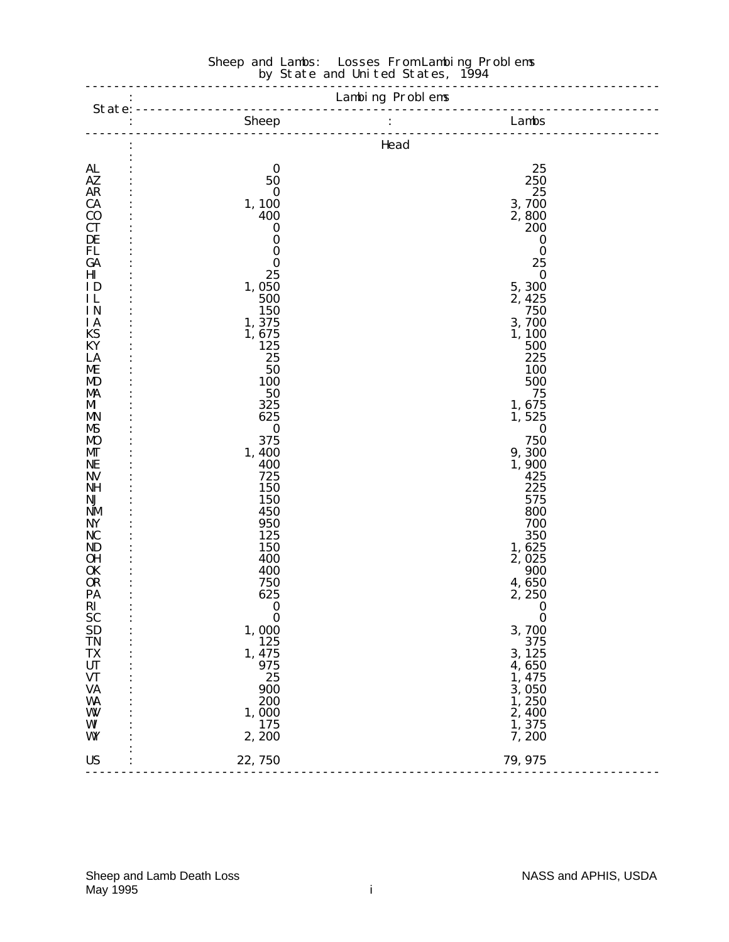|                             |                         | Sheep : Lambs<br>Lambs |  |
|-----------------------------|-------------------------|------------------------|--|
|                             |                         | Head                   |  |
| <b>AL</b>                   | $\bf{0}$                | 25                     |  |
| AZ                          | 50                      | 250                    |  |
| <b>AR</b>                   | $\bf{0}$                | 25                     |  |
| <b>CA</b>                   | 1,100                   | 3,700<br>2,800         |  |
| C <sub>0</sub><br><b>CT</b> | 400<br>$\boldsymbol{0}$ | 200                    |  |
| DE                          | $\bf{0}$                | $\bf{0}$               |  |
| FL                          | $\bf{0}$                | $\bf{0}$               |  |
| GA                          | $\bf{0}$                | 25                     |  |
| $\mathbf{H}\mathbf{I}$      | 25                      | $\bf{0}$               |  |
| ID                          | 1,050                   | 5,300                  |  |
| IL                          | 500                     | 2, 425                 |  |
| IN                          | 150                     | 750                    |  |
| IA                          | 1,375                   | 3,700                  |  |
| KS<br>KY                    | 1,675                   | 1,100                  |  |
| LA                          | 125<br>25               | 500<br>225             |  |
| ME                          | 50                      | 100                    |  |
| MD                          | 100                     | 500                    |  |
| MA                          | 50                      | 75                     |  |
| MI                          | 325                     | 1,675                  |  |
| <b>MN</b>                   | 625                     | 1,525                  |  |
| MS                          | $\bf{0}$                | $\bf{0}$               |  |
| <b>MO</b>                   | 375                     | 750                    |  |
| МT                          | 1,400                   | 9,300                  |  |
| NE                          | 400                     | 1,900                  |  |
| <b>NV</b><br><b>NH</b>      | 725<br>150              | 425<br>225             |  |
| NJ                          | 150                     | 575                    |  |
| <b>NM</b>                   | 450                     | 800                    |  |
| NY                          | 950                     | 700                    |  |
| NC                          | 125                     | 350                    |  |
| <b>ND</b>                   | 150                     | 1,625                  |  |
| <b>OH</b>                   | 400                     | 2,025                  |  |
| <b>OK</b>                   | 400                     | 900                    |  |
| <b>OR</b>                   | 750                     | 4,650                  |  |
| PA                          | 625                     | 2,250                  |  |
| $\mathbf{R}$                | $\bf{0}$                | $\bf{0}$               |  |
| <b>SC</b>                   | $\bf{0}$                | $\boldsymbol{0}$       |  |
| <b>SD</b><br><b>TN</b>      | 1,000<br>125            | 3,700<br>375           |  |
| <b>TX</b>                   | 1, 475                  | 3, 125                 |  |
| <b>UT</b>                   | 975                     | 4,650                  |  |
| <b>VT</b>                   | 25                      | 1,475                  |  |
| <b>VA</b>                   | 900                     | 3,050                  |  |
| WA                          | 200                     | 1,250                  |  |
| W                           | 1,000                   | 2,400                  |  |
| WI                          | 175                     | 1,375                  |  |
| WY                          | 2, 200                  | 7,200                  |  |
| <b>US</b>                   | 22,750                  | 79, 975                |  |
|                             |                         |                        |  |

#### Sheep and Lambs: Losses From Lambing Problems **by State and United States, 1994**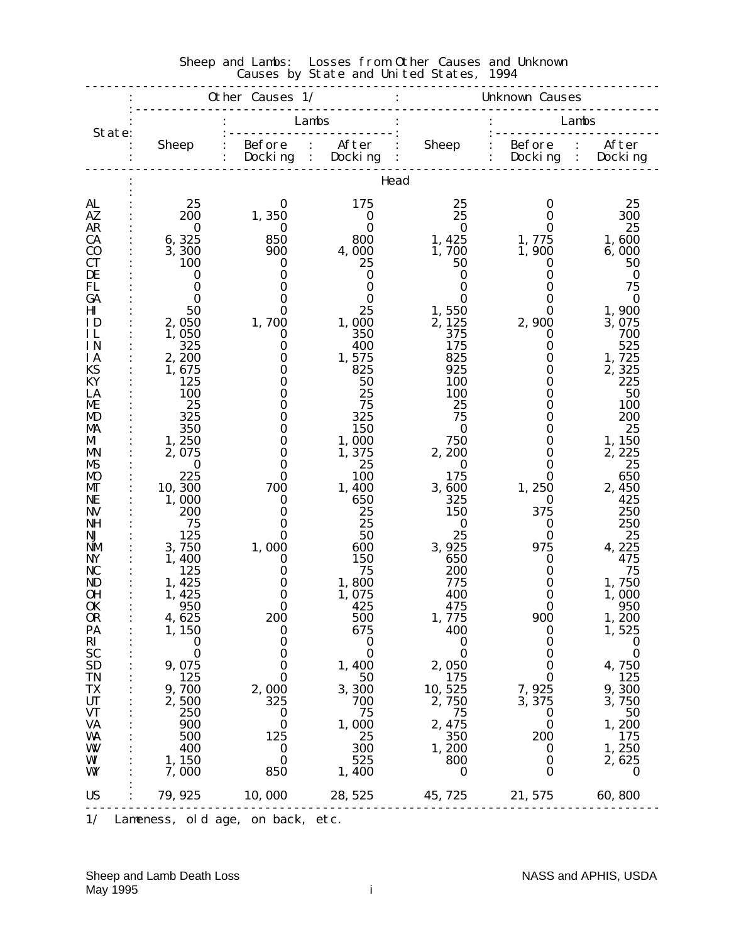|                        |                   | Other Causes 1/                             |                                    |                    | <b>Unknown Causes</b> |                                      |
|------------------------|-------------------|---------------------------------------------|------------------------------------|--------------------|-----------------------|--------------------------------------|
| State:                 |                   |                                             | Lambs                              |                    |                       | Lambs                                |
|                        | <b>Sheep</b>      | <b>Before</b><br>$\mathbb{R}^2$<br>Docki ng | After<br>Docking<br>$\ddot{\cdot}$ | <b>Sheep</b>       | : Before<br>Docki ng  | After<br>$\ddot{\cdot}$<br>: Docking |
|                        |                   |                                             | Head                               |                    |                       |                                      |
| AL                     | 25                | 0                                           | 175                                | 25                 | 0                     | 25                                   |
| AZ.                    | 200               | 1,350                                       | $\bf{0}$                           | 25                 | 0                     | 300                                  |
| <b>AR</b><br><b>CA</b> | $\bf{0}$<br>6,325 | $\bf{0}$<br>850                             | 0<br>800                           | $\bf{0}$<br>1, 425 | 0<br>1,775            | 25<br>1,600                          |
| C <sub>0</sub>         | 3,300             | 900                                         | 4,000                              | 1,700              | 1,900                 | 6,000                                |
| <b>CT</b>              | <b>100</b>        | 0                                           | 25                                 | 50                 | 0                     | 50                                   |
| DE                     | 0                 | 0                                           | 0                                  | 0                  | O                     | $\bf{0}$                             |
| FL                     | 0                 | 0                                           | $\bf{0}$                           | $\bf{0}$           | 0                     | 75                                   |
| GA                     | $\mathbf{0}$      | 0                                           | 0                                  | 0                  | 0                     | $\bf{0}$                             |
| $\mathbf{H}\mathbf{I}$ | 50                | 0                                           | 25                                 | 1,550              | 0                     | 1,900                                |
| ID                     | 2,050             | 1,700                                       | 1,000                              | 2, 125             | 2,900                 | 3,075                                |
| IL<br>IN               | 1,050             | $\bf{0}$                                    | 350                                | 375                | $\bf{0}$              | 700                                  |
| <b>IA</b>              | 325<br>2,200      | $\bf{0}$<br>0                               | 400<br>1,575                       | 175<br>825         | $\bf{0}$<br>0         | 525<br>1,725                         |
| KS                     | 1,675             | 0                                           | 825                                | 925                | 0                     | 2,325                                |
| KY                     | 125               | $\bf{0}$                                    | 50                                 | 100                | 0                     | 225                                  |
| LA                     | 100               | 0                                           | 25                                 | <b>100</b>         | 0                     | 50                                   |
| ME                     | 25                | 0                                           | 75                                 | 25                 | 0                     | <b>100</b>                           |
| MD                     | 325               | 0                                           | 325                                | 75                 | 0                     | 200                                  |
| MA                     | 350               | 0                                           | 150                                | $\bf{0}$           | 0                     | 25                                   |
| MI                     | 1,250             | $\bf{0}$                                    | 1,000                              | 750                | 0                     | 1,150                                |
| <b>MN</b>              | 2,075             | $\bf{0}$                                    | 1,375                              | 2,200              | 0                     | 2, 225                               |
| MS<br><b>MO</b>        | $\bf{0}$<br>225   | 0<br>0                                      | 25<br>100                          | 0<br>175           | 0<br>0                | 25<br>650                            |
| MГ                     | 10,300            | 700                                         | 1,400                              | 3,600              | 1,250                 | 2,450                                |
| NE                     | 1,000             | 0                                           | 650                                | 325                | 0                     | 425                                  |
| <b>NV</b>              | <b>200</b>        | 0                                           | 25                                 | 150                | 375                   | 250                                  |
| NH                     | 75                | $\bf{0}$                                    | 25                                 | $\bf{0}$           | $\bf{0}$              | 250                                  |
| NJ                     | 125               | 0                                           | 50                                 | 25                 | 0                     | 25                                   |
| <b>NM</b>              | 3,750             | 1,000                                       | 600                                | 3,925              | 975                   | 4, 225                               |
| NY                     | 1,400             | $\bf{0}$                                    | 150                                | 650                | 0                     | 475                                  |
| NC                     | 125               | $\bf{0}$                                    | 75                                 | 200                | 0                     | 75                                   |
| ND                     | 1,425             | 0<br>$\bf{0}$                               | 1,800                              | 775<br>400         | 0<br>0                | 1,750                                |
| OН<br>0K               | 1, 425<br>950     | 0                                           | 1,075<br>425                       | 475                | 0                     | 1,000<br>950                         |
| <b>OR</b>              | 4,625             | <b>200</b>                                  | <b>500</b>                         | 1, 775             | 900                   | 1, 200                               |
| PA                     | 1, 150            | $\bf{0}$                                    | 675                                | 400                | $\bf{0}$              | 1,525                                |
| RI                     | $\bf{0}$          | $\boldsymbol{0}$                            | $\bf{0}$                           | $\bf{0}$           | $\boldsymbol{0}$      | $\bf{0}$                             |
| <b>SC</b>              | $\bf{0}$          | 0                                           | $\bf{0}$                           | $\bf{0}$           | 0                     | $\bf{0}$                             |
| <b>SD</b>              | 9,075             | $\bf{0}$                                    | 1,400                              | 2,050              | $\bf{0}$              | 4,750                                |
| <b>TN</b>              | 125               | $\bf{0}$                                    | 50                                 | 175                | $\bf{0}$              | 125                                  |
| TX                     | 9,700             | 2,000                                       | 3,300                              | 10, 525            | 7,925                 | 9,300                                |
| <b>UT</b><br><b>VT</b> | 2,500<br>250      | 325<br>$\bf{0}$                             | 700<br>75                          | 2,750<br>75        | 3, 375<br>$\bf{0}$    | 3,750<br>50                          |
| <b>VA</b>              | 900               | $\bf{0}$                                    | 1,000                              | 2, 475             | $\mathbf 0$           | 1,200                                |
| WA                     | 500               | 125                                         | 25                                 | 350                | <b>200</b>            | 175                                  |
| W                      | 400               | $\bf{0}$                                    | 300                                | 1,200              | 0                     | 1,250                                |
| WI                     | 1, 150            | $\bf{0}$                                    | 525                                | 800                | $\bf{0}$              | 2,625                                |
| WY                     | 7,000             | 850                                         | 1,400                              | 0                  | $\bf{0}$              | $\bf{0}$                             |
| <b>US</b>              | 79, 925           | 10,000                                      | 28, 525                            | 45, 725            | 21, 575               | 60,800                               |
|                        |                   |                                             |                                    |                    |                       |                                      |

#### Sheep and Lambs: Losses from Other Causes and Unknown Causes by State and United States, 1994

1/ Lameness, old age, on back, etc.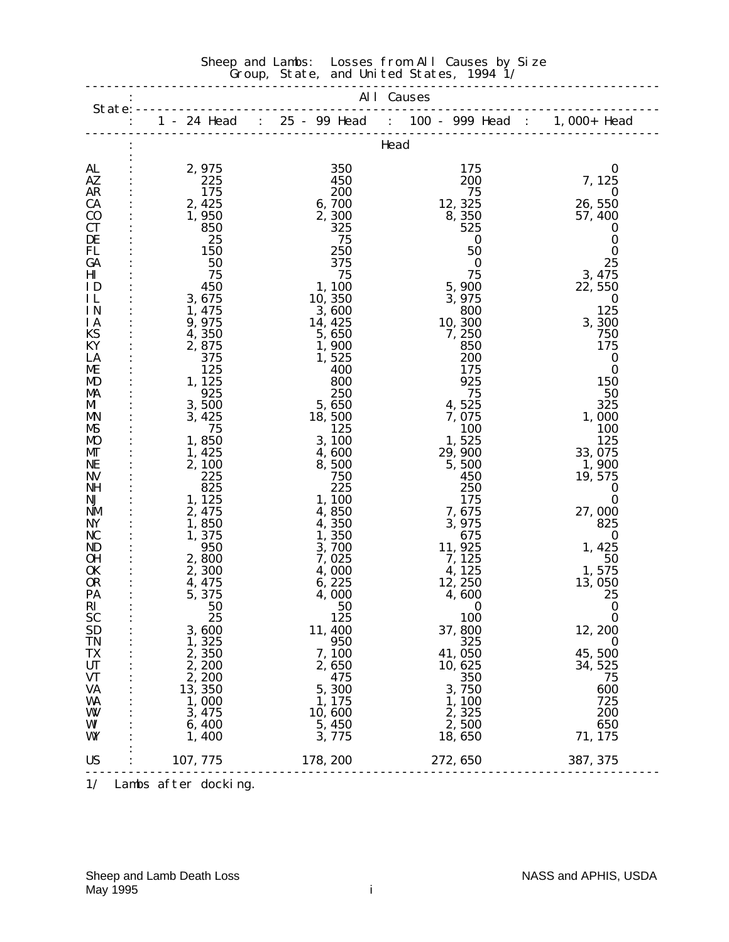# Sheep and Lambs: Losses from All Causes by Size Group, State, and United States, 1994 1/ -------------------------------------------------------------------------------- : All Causes State:------------------------------------------------------------------------- : 1 - 24 Head : 25 - 99 Head : 100 - 999 Head : 1,000+ Head --------------------------------------------------------------------------------

|                        |                      |          | Head       |                  |
|------------------------|----------------------|----------|------------|------------------|
|                        |                      |          |            |                  |
| AL                     | 2,975                | 350      | 175        | $\bf{0}$         |
| <b>AZ</b>              | 225                  | 450      | 200        | 7, 125           |
| <b>AR</b>              | 175                  | 200      | 75         | 0                |
| <b>CA</b>              | 2, 425               | 6,700    | 12, 325    | 26, 550          |
| $\bf CO$               | 1,950                | 2,300    | 8,350      | 57, 400          |
| <b>CT</b>              | 850                  | 325      | 525        | O                |
| DE                     | 25                   | 75       | $\bf{0}$   | $\boldsymbol{0}$ |
| FL                     | 150                  | 250      | 50         | $\bf{0}$         |
| GA                     | 50                   | 375      | 0          | 25               |
| $\mathbf{H}\mathbf{I}$ | 75                   | 75       | 75         | 3, 475           |
| ID                     | 450                  | 1,100    | 5,900      | 22, 550          |
| IL                     | 3, 675               | 10, 350  | 3, 975     | 0                |
| <b>IN</b>              | 1, 475               | 3,600    | 800        | 125              |
| <b>IA</b>              | 9,975                | 14, 425  | 10, 300    | 3,300            |
| KS                     | 4,350                | 5, 650   | 7, 250     | 750              |
| KY                     | 2,875                | 1,900    | 850        | 175              |
| LA                     | 375                  | 1,525    | 200        | $\boldsymbol{0}$ |
| ME                     | 125                  | 400      | 175        | $\bf{0}$         |
| MD                     | 1, 125               | 800      | 925        | 150              |
| MA                     | 925                  | 250      | 75         | 50               |
| MI                     | 3,500                | 5,650    | 4,525      | 325              |
| MN                     | 3, 425               | 18,500   | 7,075      | 1,000            |
| <b>MS</b>              | 75                   | 125      | <b>100</b> | <b>100</b>       |
| <b>MO</b>              | 1,850                | 3,100    | 1,525      | 125              |
| MТ                     | 1, 425               | 4,600    | 29, 900    | 33, 075          |
| NE                     | 2, 100               | 8,500    | 5,500      | 1,900            |
| NV                     | 225                  | 750      | 450        | 19,575           |
| NH                     | 825                  | 225      | 250        | $\bf{0}$         |
| NJ                     | 1, 125               | 1,100    | 175        | 0                |
| <b>NM</b>              | 2, 475               | 4,850    | 7,675      | 27,000           |
| NY                     | 1,850                | 4,350    | 3,975      | 825              |
| NC                     | 1,375                | 1,350    | 675        | 0                |
| ND                     | 950                  | 3,700    | 11, 925    | 1, 425           |
| 0H                     | 2,800                | 7,025    | 7, 125     | 50               |
| <b>OK</b>              | 2,300                | 4,000    | 4, 125     | 1,575            |
| <b>OR</b>              | 4, 475               | 6, 225   | 12, 250    | 13,050           |
| PA                     | 5,375                | 4,000    | 4,600      | 25               |
| RI                     | 50                   | 50       | 0          | 0                |
| <b>SC</b>              | 25                   | 125      | <b>100</b> | $\bf{0}$         |
| <b>SD</b>              | 3,600                | 11, 400  | 37,800     | 12, 200          |
| TN                     | 1,325                | 950      | 325        | 0                |
| TX                     | 2,350                | 7,100    | 41,050     | 45,500           |
| <b>UT</b>              | 2, 200               | 2,650    | 10,625     | 34, 525          |
| VT                     | 2, 200               | 475      | 350        | 75               |
| <b>VA</b>              | 13, 350              | 5,300    | 3,750      | 600              |
| WA                     | 1,000                | 1, 175   | 1,100      | 725              |
| W                      | 3, 475               | 10,600   | 2, 325     | 200              |
| WI                     | 6,400                | 5, 450   | 2,500      | 650              |
| WY                     | 1,400                | 3,775    | 18,650     | 71, 175          |
| <b>US</b>              | 107, 775             | 178, 200 | 272, 650   | 387, 375         |
| 1/                     | Lambs after docking. |          |            |                  |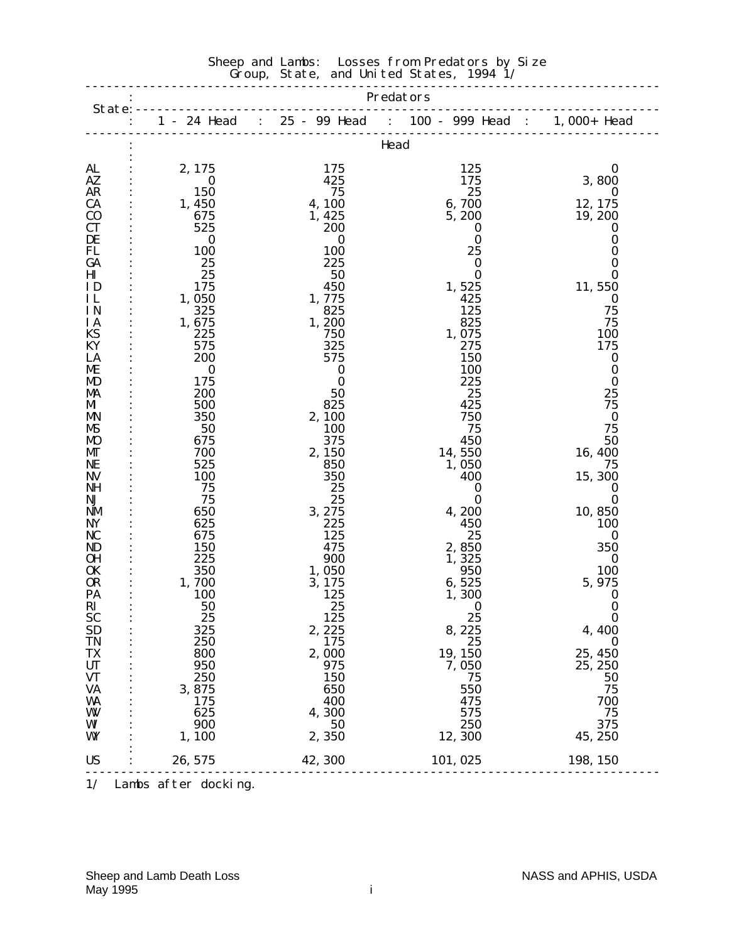#### Sheep and Lambs: Losses from Predators by Size Group, State, and United States, 1994 1/

|                        |                        |                   | 1 - 24 Head : 25 - 99 Head : 100 - 999 Head : 1,000+ Head |                              |  |  |  |  |  |
|------------------------|------------------------|-------------------|-----------------------------------------------------------|------------------------------|--|--|--|--|--|
|                        |                        |                   | Head                                                      |                              |  |  |  |  |  |
| AL                     | 2,175                  | 175               | 125                                                       | $\boldsymbol{0}$             |  |  |  |  |  |
| AZ<br><b>AR</b>        | $\bf{0}$               | 425<br>75         | 175<br>25                                                 | 3,800                        |  |  |  |  |  |
| <b>CA</b>              | <b>150</b><br>1, 450   | 4, 100            | 6,700                                                     | $\bf{0}$<br>12, 175          |  |  |  |  |  |
| $\bf{C0}$              | 675                    | 1, 425            | 5, 200                                                    | 19, 200                      |  |  |  |  |  |
| <b>CT</b>              | 525                    | 200               | 0                                                         | $\bf{0}$                     |  |  |  |  |  |
| DE                     | $\bf{0}$               | 0                 | $\bf{0}$                                                  | 0                            |  |  |  |  |  |
| FL                     | <b>100</b>             | 100               | 25                                                        | $\bf{0}$                     |  |  |  |  |  |
| GA                     | 25                     | 225               | $\bf{0}$                                                  | $\bf{0}$                     |  |  |  |  |  |
| $\mathbf{H}\mathbf{I}$ | 25                     | 50                | $\bf{0}$                                                  | $\bf{0}$                     |  |  |  |  |  |
| ID                     | 175                    | 450               | 1,525                                                     | 11,550                       |  |  |  |  |  |
| IL                     | 1,050                  | 1,775             | 425                                                       | $\bf{0}$                     |  |  |  |  |  |
| IN                     | 325                    | 825               | 125                                                       | 75                           |  |  |  |  |  |
| <b>IA</b>              | 1,675                  | 1,200             | 825                                                       | 75                           |  |  |  |  |  |
| KS                     | 225                    | 750               | 1,075                                                     | <b>100</b>                   |  |  |  |  |  |
| KY                     | 575                    | 325               | 275                                                       | 175                          |  |  |  |  |  |
| LA<br>ME               | <b>200</b><br>$\bf{0}$ | 575<br>$\bf{0}$   | 150<br>100                                                | $\boldsymbol{0}$<br>$\bf{0}$ |  |  |  |  |  |
| MD                     | 175                    | $\bf{0}$          | 225                                                       | $\bf{0}$                     |  |  |  |  |  |
| MA                     | 200                    | 50                | 25                                                        | 25                           |  |  |  |  |  |
| MI                     | 500                    | 825               | 425                                                       | 75                           |  |  |  |  |  |
| <b>MN</b>              | 350                    | 2,100             | 750                                                       | $\bf{0}$                     |  |  |  |  |  |
| MS                     | 50                     | 100               | 75                                                        | 75                           |  |  |  |  |  |
| <b>MO</b>              | 675                    | 375               | 450                                                       | 50                           |  |  |  |  |  |
| MГ                     | 700                    | 2,150             | 14,550                                                    | 16, 400                      |  |  |  |  |  |
| NE                     | 525                    | 850               | 1,050                                                     | 75                           |  |  |  |  |  |
| <b>NV</b>              | <b>100</b>             | 350               | 400                                                       | 15, 300                      |  |  |  |  |  |
| NH                     | 75                     | 25                | $\bf{0}$                                                  | $\bf{0}$                     |  |  |  |  |  |
| NJ                     | 75                     | 25                | $\bf{0}$                                                  | $\bf{0}$                     |  |  |  |  |  |
| NM<br>NY               | 650<br>625             | 3, 275<br>225     | 4,200<br>450                                              | 10,850<br><b>100</b>         |  |  |  |  |  |
| <b>NC</b>              | 675                    | 125               | 25                                                        | $\bf{0}$                     |  |  |  |  |  |
| ND                     | <b>150</b>             | 475               | 2,850                                                     | 350                          |  |  |  |  |  |
| 0H                     | 225                    | 900               | 1,325                                                     | $\bf{0}$                     |  |  |  |  |  |
| 0K                     | 350                    | 1,050             | 950                                                       | 100                          |  |  |  |  |  |
| 0R                     | 1,700                  | 3, 175            | 6,525                                                     | 5, 975                       |  |  |  |  |  |
| PA                     | 100                    | 125               | 1,300                                                     | $\bf{0}$                     |  |  |  |  |  |
| RI                     | 50                     | 25                | $\bf{0}$                                                  | $\bf{0}$                     |  |  |  |  |  |
| <b>SC</b>              | 25                     | <b>125</b>        | 25                                                        | $\bf{0}$                     |  |  |  |  |  |
| <b>SD</b>              | 325                    | 2, 225            | 8,225                                                     | 4,400                        |  |  |  |  |  |
| <b>TN</b>              | 250                    | 175               | 25                                                        | $\bf{0}$                     |  |  |  |  |  |
| TX                     | 800                    | 2,000             | 19, 150                                                   | 25, 450                      |  |  |  |  |  |
| UT<br><b>VT</b>        | 950<br>250             | 975<br><b>150</b> | 7,050<br>75                                               | 25, 250<br>50                |  |  |  |  |  |
| <b>VA</b>              | 3,875                  | 650               | 550                                                       | 75                           |  |  |  |  |  |
| WA                     | 175                    | 400               | 475                                                       | 700                          |  |  |  |  |  |
| W                      | 625                    | 4,300             | 575                                                       | 75                           |  |  |  |  |  |
| WI                     | 900                    | 50                | 250                                                       | 375                          |  |  |  |  |  |
| WY                     | 1, 100                 | 2,350             | 12, 300                                                   | 45, 250                      |  |  |  |  |  |
| <b>US</b>              | 26, 575                | 42, 300           | 101, 025                                                  | 198, 150                     |  |  |  |  |  |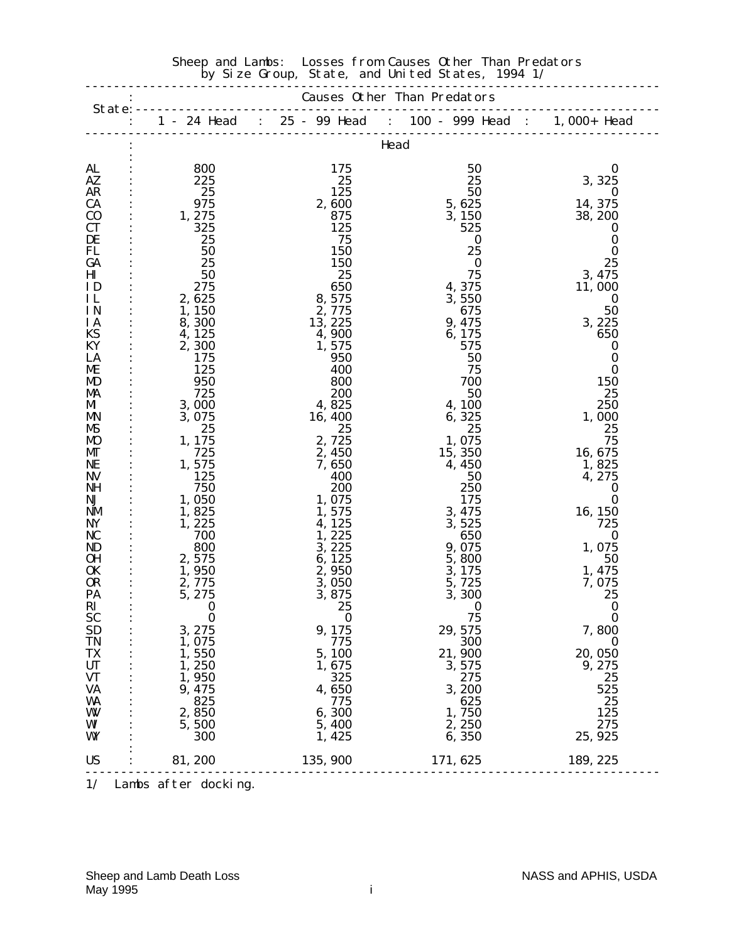|                        |                                                           |                  | by size droup, state, and united states, 1994 1/          |                    |  |  |  |  |  |
|------------------------|-----------------------------------------------------------|------------------|-----------------------------------------------------------|--------------------|--|--|--|--|--|
|                        | <b>Causes Other Than Predators</b><br>State: $----------$ |                  |                                                           |                    |  |  |  |  |  |
|                        |                                                           | <u>.</u>         | 1 - 24 Head : 25 - 99 Head : 100 - 999 Head : 1,000+ Head |                    |  |  |  |  |  |
|                        |                                                           |                  | Head                                                      |                    |  |  |  |  |  |
| AL                     | 800                                                       | 175              | 50                                                        | $\bf{0}$           |  |  |  |  |  |
| AZ.                    | 225                                                       | 25               | 25                                                        | 3, 325             |  |  |  |  |  |
| AR                     | 25                                                        | 125              | 50                                                        | $\bf{0}$           |  |  |  |  |  |
| <b>CA</b>              | 975                                                       | 2,600            | 5,625                                                     | 14, 375            |  |  |  |  |  |
| $\bf{C0}$              | 1, 275                                                    | 875              | 3, 150                                                    | 38, 200            |  |  |  |  |  |
| <b>CT</b>              | 325                                                       | 125              | 525                                                       | $\bf{0}$           |  |  |  |  |  |
| DE                     | 25                                                        | 75               | $\bf{0}$                                                  | $\bf{0}$           |  |  |  |  |  |
| FL                     | 50                                                        | <b>150</b>       | 25                                                        | $\bf{0}$           |  |  |  |  |  |
| GA<br>Ш                | 25<br>50                                                  | <b>150</b><br>25 | $\bf{0}$<br>75                                            | 25<br>3, 475       |  |  |  |  |  |
| ID                     | 275                                                       | 650              | 4,375                                                     | 11,000             |  |  |  |  |  |
| IL                     | 2,625                                                     | 8,575            | 3,550                                                     | 0                  |  |  |  |  |  |
| IN                     | 1, 150                                                    | 2,775            | 675                                                       | 50                 |  |  |  |  |  |
| <b>IA</b>              | 8,300                                                     | 13, 225          | 9, 475                                                    | 3, 225             |  |  |  |  |  |
| KS                     | 4, 125                                                    | 4,900            | 6, 175                                                    | 650                |  |  |  |  |  |
| KY                     | 2,300                                                     | 1,575            | 575                                                       | $\bf{0}$           |  |  |  |  |  |
| LA                     | 175                                                       | 950              | 50                                                        | $\boldsymbol{0}$   |  |  |  |  |  |
| ME<br>MD               | 125<br>950                                                | 400<br>800       | 75<br>700                                                 | $\bf{0}$<br>150    |  |  |  |  |  |
| MA                     | 725                                                       | <b>200</b>       | 50                                                        | 25                 |  |  |  |  |  |
| MI                     | 3,000                                                     | 4,825            | 4, 100                                                    | 250                |  |  |  |  |  |
| <b>MN</b>              | 3,075                                                     | 16, 400          | 6,325                                                     | 1,000              |  |  |  |  |  |
| MS                     | 25                                                        | 25               | 25                                                        | 25                 |  |  |  |  |  |
| <b>MO</b>              | 1, 175                                                    | 2,725            | 1,075                                                     | 75                 |  |  |  |  |  |
| MГ                     | 725                                                       | 2,450            | 15, 350                                                   | 16, 675            |  |  |  |  |  |
| NE                     | 1,575                                                     | 7,650            | 4,450                                                     | 1,825              |  |  |  |  |  |
| <b>NV</b><br>NH        | 125<br>750                                                | 400<br>200       | 50<br>250                                                 | 4, 275<br>$\bf{0}$ |  |  |  |  |  |
| NJ                     | 1,050                                                     | 1,075            | 175                                                       | $\bf{0}$           |  |  |  |  |  |
| NM                     | 1,825                                                     | 1, 575           | 3, 475                                                    | 16, 150            |  |  |  |  |  |
| NY                     | 1,225                                                     | 4, 125           | 3,525                                                     | 725                |  |  |  |  |  |
| NC                     | 700                                                       | 1,225            | 650                                                       | $\bf{0}$           |  |  |  |  |  |
| ND                     | 800                                                       | 3, 225           | 9, 075                                                    | 1,075              |  |  |  |  |  |
| 0 <sub>H</sub>         | 2,575                                                     | 6, 125           | 5,800                                                     | 50                 |  |  |  |  |  |
| 0K<br><b>OR</b>        | 1,950<br>2,775                                            | 2,950<br>3,050   | 3, 175<br>5,725                                           | 1, 475<br>7,075    |  |  |  |  |  |
| PA                     | 5, 275                                                    | 3,875            | 3,300                                                     | 25                 |  |  |  |  |  |
| $\mathbf{R}$           | $\overline{\mathbf{0}}$                                   | 25               | $\overline{\mathbf{0}}$                                   | $\bf{0}$           |  |  |  |  |  |
| <b>SC</b>              | $\bf{0}$                                                  | $\bf{0}$         | 75                                                        | $\bf{0}$           |  |  |  |  |  |
| <b>SD</b>              | 3, 275                                                    | 9, 175           | 29, 575                                                   | 7,800              |  |  |  |  |  |
| <b>TN</b>              | 1,075                                                     | 775              | 300                                                       | $\bf{0}$           |  |  |  |  |  |
| TX                     | 1,550                                                     | 5,100            | 21,900                                                    | 20, 050            |  |  |  |  |  |
| <b>UT</b>              | 1,250                                                     | 1,675            | 3,575                                                     | 9, 275             |  |  |  |  |  |
| <b>VT</b><br><b>VA</b> | 1,950<br>9, 475                                           | 325<br>4,650     | 275<br>3,200                                              | 25<br>525          |  |  |  |  |  |
| WA                     | 825                                                       | 775              | 625                                                       | 25                 |  |  |  |  |  |
| W                      | 2,850                                                     | 6,300            | 1,750                                                     | 125                |  |  |  |  |  |
| WI                     | 5,500                                                     | 5,400            | 2, 250                                                    | 275                |  |  |  |  |  |
| WY                     | 300                                                       | 1, 425           | 6,350                                                     | 25, 925            |  |  |  |  |  |
| <b>US</b>              | 81, 200                                                   | 135, 900         | 171, 625                                                  | 189, 225           |  |  |  |  |  |
|                        |                                                           |                  |                                                           |                    |  |  |  |  |  |

#### Sheep and Lambs: Losses from Causes Other Than Predators by Size Group, State, and United States, 1994 1/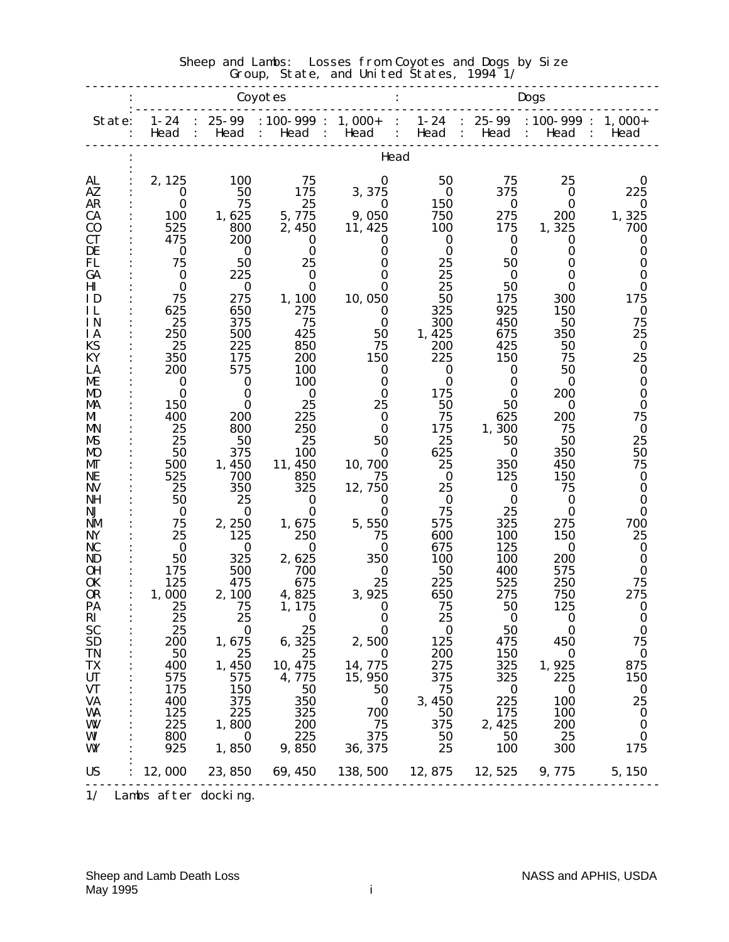|                              |                      |                   | Coyotes                                          |                           | Dogs                                                                       |                   |                                                        |                        |  |
|------------------------------|----------------------|-------------------|--------------------------------------------------|---------------------------|----------------------------------------------------------------------------|-------------------|--------------------------------------------------------|------------------------|--|
| State:                       | $1 - 24$<br>Head     | 25-99<br>Head     | $: 100 - 999 : 1,000 +$<br>Head<br>$\sim$ $\sim$ | Head<br>$\sim$ 100 $\sim$ | $1 - 24$<br>$\sim$ 1.000 $\sim$<br>Head<br>$\mathcal{L}$<br>$\ddot{\cdot}$ | $: 25-99$<br>Head | $: 100 - 999 : 1,000 +$<br>Head<br>$\sim$ 1.000 $\sim$ | $\ddot{\cdot}$<br>Head |  |
|                              | Head                 |                   |                                                  |                           |                                                                            |                   |                                                        |                        |  |
| AL                           | 2, 125               | 100               | 75                                               | 0                         | 50                                                                         | 75                | 25                                                     | 0                      |  |
| AZ<br><b>AR</b>              | $\bf{0}$<br>$\bf{0}$ | 50<br>75          | 175<br>25                                        | 3,375<br>0                | $\bf{0}$<br><b>150</b>                                                     | 375<br>$\bf{0}$   | $\bf{0}$<br>0                                          | 225<br>0               |  |
| <b>CA</b>                    | 100                  | 1,625             | 5,775                                            | 9,050                     | 750                                                                        | 275               | <b>200</b>                                             | 1,325                  |  |
| $\bf{C0}$                    | 525                  | 800               | 2,450                                            | 11, 425                   | 100                                                                        | 175               | 1,325                                                  | 700                    |  |
| <b>CT</b>                    | 475                  | <b>200</b>        | 0                                                | 0                         | $\bf{0}$                                                                   | $\bf{0}$          | 0                                                      | 0                      |  |
| DE                           | $\bf{0}$             | $\bf{0}$          | $\bf{0}$                                         | 0                         | $\bf{0}$                                                                   | $\bf{0}$          | $\bf{0}$                                               | 0                      |  |
| <b>FL</b>                    | 75                   | 50                | 25                                               | $\bf{0}$                  | 25                                                                         | 50                | $\bf{0}$                                               | 0                      |  |
| GA<br>$\mathbf{H}\mathbf{I}$ | $\bf{0}$<br>$\bf{0}$ | 225<br>$\bf{0}$   | $\bf{0}$<br>$\bf{0}$                             | 0<br>0                    | 25<br>25                                                                   | $\bf{0}$<br>50    | $\bf{0}$<br>$\bf{0}$                                   | 0<br>$\bf{0}$          |  |
| ID                           | 75                   | 275               | 1, 100                                           | 10, 050                   | 50                                                                         | 175               | 300                                                    | 175                    |  |
| IL                           | 625                  | 650               | 275                                              | 0                         | 325                                                                        | 925               | 150                                                    | 0                      |  |
| IN                           | 25                   | 375               | 75                                               | $\bf{0}$                  | 300                                                                        | 450               | 50                                                     | 75                     |  |
| IA                           | 250                  | 500               | 425                                              | 50                        | 1,425                                                                      | 675               | 350                                                    | 25                     |  |
| <b>KS</b><br>KY              | 25                   | 225<br>175        | 850                                              | 75                        | 200                                                                        | 425               | 50                                                     | $\bf{0}$               |  |
| LA                           | 350<br>200           | 575               | 200<br><b>100</b>                                | 150<br>0                  | 225<br>$\bf{0}$                                                            | 150<br>$\bf{0}$   | 75<br>50                                               | 25<br>$\bf{0}$         |  |
| ME                           | 0                    | $\bf{0}$          | 100                                              | $\bf{0}$                  | $\bf{0}$                                                                   | $\bf{0}$          | $\boldsymbol{0}$                                       | $\bf{0}$               |  |
| MD                           | $\bf{0}$             | $\bf{0}$          | $\boldsymbol{0}$                                 | 0                         | 175                                                                        | $\bf{0}$          | 200                                                    | 0                      |  |
| MA                           | 150                  | 0                 | 25                                               | 25                        | 50                                                                         | 50                | 0                                                      | 0                      |  |
| MI                           | 400                  | <b>200</b>        | 225                                              | 0                         | 75                                                                         | 625               | 200                                                    | 75                     |  |
| MN<br>MS                     | 25<br>25             | 800<br>50         | 250<br>25                                        | $\bf{0}$<br>50            | 175<br>25                                                                  | 1,300<br>50       | 75<br>50                                               | $\bf{0}$<br>25         |  |
| <b>MO</b>                    | 50                   | 375               | 100                                              | 0                         | 625                                                                        | $\bf{0}$          | 350                                                    | 50                     |  |
| MГ                           | 500                  | 1,450             | 11, 450                                          | 10, 700                   | 25                                                                         | 350               | 450                                                    | 75                     |  |
| NE                           | 525                  | 700               | 850                                              | 75                        | $\bf{0}$                                                                   | 125               | 150                                                    | $\bf{0}$               |  |
| NV                           | 25                   | 350               | 325                                              | 12,750                    | 25                                                                         | 0                 | 75                                                     | 0                      |  |
| <b>NH</b><br>NJ              | 50<br>$\bf{0}$       | 25<br>$\bf{0}$    | $\bf{0}$<br>$\bf{0}$                             | 0<br>$\bf{0}$             | $\bf{0}$<br>75                                                             | $\bf{0}$<br>25    | $\bf{0}$<br>$\boldsymbol{0}$                           | $\bf{0}$<br>$\bf{0}$   |  |
| <b>NM</b>                    | 75                   | 2,250             | 1,675                                            | 5,550                     | 575                                                                        | 325               | 275                                                    | 700                    |  |
| <b>NY</b>                    | 25                   | 125               | 250                                              | 75                        | 600                                                                        | 100               | 150                                                    | 25                     |  |
| NC                           | $\bf{0}$             | $\bf{0}$          | $\bf{0}$                                         | 0                         | 675                                                                        | 125               | 0                                                      | $\boldsymbol{0}$       |  |
| ND                           | 50                   | 325               | 2,625                                            | 350                       | <b>100</b>                                                                 | 100               | <b>200</b>                                             | $\bf{0}$               |  |
| <b>OH</b>                    | 175                  | 500               | 700                                              | $\bf{0}$                  | 50                                                                         | 400               | 575                                                    | $\bf{0}$               |  |
| <b>OK</b><br>0R              | 125<br>1,000         | 475<br>2,100      | 675<br>4,825                                     | 25<br>3, 925              | 225<br>650                                                                 | 525<br>275        | 250<br>750                                             | 75<br>275              |  |
| PA                           | 25                   | 75                | 1, 175                                           | $\bf{0}$                  | 75                                                                         | 50                | 125                                                    | 0                      |  |
| $\mathbf{R}$                 | 25                   | 25                | $\bf{0}$                                         | $\bf{0}$                  | 25                                                                         | $\bf{0}$          | $\bf{0}$                                               | $\bf{0}$               |  |
| <b>SC</b>                    | 25                   | $\bf{0}$          | 25                                               | $\bf{0}$                  | $\bf{0}$                                                                   | 50                | $\bf{0}$                                               | $\bf{0}$               |  |
| <b>SD</b>                    | 200                  | 1,675             | 6,325                                            | 2,500                     | 125                                                                        | 475               | 450                                                    | 75                     |  |
| <b>TN</b><br>TX              | 50<br>400            | 25                | 25<br>10, 475                                    | $\bf{0}$<br>14,775        | <b>200</b><br>275                                                          | 150<br>325        | $\bf{0}$<br>1,925                                      | $\bf{0}$<br>875        |  |
| <b>UT</b>                    | 575                  | 1,450<br>575      | 4,775                                            | 15, 950                   | 375                                                                        | 325               | 225                                                    | 150                    |  |
| <b>VT</b>                    | 175                  | <b>150</b>        | 50                                               | 50                        | 75                                                                         | $\bf{0}$          | $\bf{0}$                                               | $\bf{0}$               |  |
| <b>VA</b>                    | 400                  | 375               | 350                                              | $\bf{0}$                  | 3,450                                                                      | 225               | <b>100</b>                                             | 25                     |  |
| WA                           | 125                  | 225               | 325                                              | 700                       | 50                                                                         | 175               | <b>100</b>                                             | $\bf{0}$               |  |
| W                            | 225                  | 1,800             | 200                                              | 75                        | 375                                                                        | 2, 425            | 200                                                    | $\bf{0}$               |  |
| WI<br>WY                     | 800<br>925           | $\bf{0}$<br>1,850 | 225<br>9,850                                     | 375<br>36, 375            | 50<br>25                                                                   | 50<br>100         | 25<br>300                                              | $\bf{0}$<br>175        |  |
|                              |                      |                   |                                                  |                           |                                                                            |                   |                                                        |                        |  |
| <b>US</b>                    | 12,000               | 23, 850           | 69, 450                                          | 138, 500                  | 12, 875                                                                    | 12,525            | 9,775                                                  | 5, 150                 |  |

#### Sheep and Lambs: Losses from Coyotes and Dogs by Size  $\sim$  Group, State, and United States, 1994 1/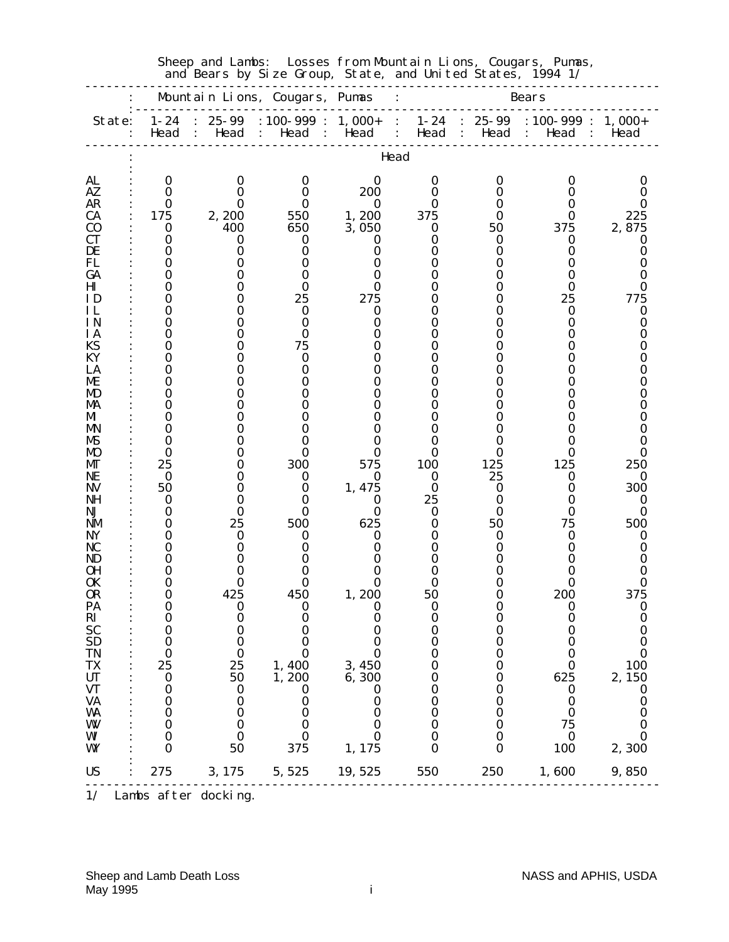|                      |                  |                   | and Bears by Size Group, State, and United States, 1994 1/ |                   |                                                      |                   |                                         |                  |
|----------------------|------------------|-------------------|------------------------------------------------------------|-------------------|------------------------------------------------------|-------------------|-----------------------------------------|------------------|
|                      |                  |                   | Mountain Lions, Cougars, Pumas                             |                   |                                                      |                   | <b>Bears</b>                            |                  |
| State:               | $1 - 24$<br>Head | $25 - 99$<br>Head | $: 100 - 999 :$<br>Head<br>$\ddot{\cdot}$                  | $1,000+$<br>Head  | $1 - 24$<br>$\ddot{\cdot}$<br>Head<br>$\ddot{\cdot}$ | $25 - 99$<br>Head | $: 100 - 999 :$<br>Head<br>$\mathbf{L}$ | $1,000+$<br>Head |
|                      |                  |                   |                                                            | Head              |                                                      |                   |                                         |                  |
| <b>AL</b>            | $\bf{0}$         | 0                 | 0                                                          | 0                 | 0                                                    | 0                 | 0                                       | 0                |
| AZ                   | 0                | $\mathbf{\Omega}$ | 0                                                          | 200               | 0                                                    |                   | 0                                       |                  |
| <b>AR</b>            | 0                | 0                 | 0                                                          | $\bf{0}$<br>1,200 | 0                                                    |                   | 0<br>0                                  | 0                |
| CA<br>$\bf{C0}$      | 175<br>0         | 2, 200<br>400     | 550<br>650                                                 | 3,050             | 375<br>0                                             | 50                | 375                                     | 225<br>2,875     |
| CТ                   | 0                | $\bf{0}$          | 0                                                          | 0                 | 0                                                    | $_{0}$            | 0                                       | 0                |
| DE                   | 0                | 0                 | 0                                                          | 0                 | O                                                    |                   | 0                                       | 0                |
| FL                   | 0                |                   | 0                                                          | 0                 | 0                                                    |                   | 0                                       |                  |
| GA                   | 0<br>0           |                   |                                                            |                   | 0                                                    |                   | 0                                       |                  |
| ΗІ<br>ID             | 0                |                   | 0<br>25                                                    | 275               | O                                                    |                   | 0<br>25                                 | 0<br>775         |
| ΗL                   | 0                |                   | 0                                                          | 0                 | 0                                                    |                   | 0                                       | 0                |
| ΙN                   | 0                |                   | 0                                                          |                   | 0                                                    |                   | 0                                       | 0                |
| <b>IA</b>            | 0                |                   | 0                                                          |                   |                                                      |                   | 0                                       |                  |
| KS                   | 0                |                   | 75                                                         |                   |                                                      |                   | 0                                       |                  |
| КY<br>LA             | 0<br>0           |                   | 0<br>O                                                     |                   |                                                      |                   | 0<br>0                                  |                  |
| ME.                  | 0                |                   |                                                            |                   | 0                                                    |                   | 0                                       |                  |
| MD                   | 0                |                   |                                                            |                   | 0                                                    |                   | Ո                                       |                  |
| MA                   | 0                |                   |                                                            |                   |                                                      |                   | 0                                       |                  |
| MI                   | 0                |                   |                                                            |                   | 0                                                    |                   | 0                                       |                  |
| MN<br>MБ             | O<br>0           |                   |                                                            |                   | 0<br>0                                               |                   | 0<br>0                                  |                  |
| MO                   | 0                |                   | 0                                                          | 0                 | 0                                                    | 0                 | 0                                       |                  |
| MГ                   | 25               |                   | 300                                                        | 575               | 100                                                  | 125               | 125                                     | 250              |
| NE                   | $\bf{0}$         |                   | 0                                                          | 0                 | 0                                                    | 25                | 0                                       | 0                |
| NV                   | 50               |                   | 0                                                          | 1,475             | $\bf{0}$                                             | 0                 | 0                                       | 300              |
| NH<br>NJ             | 0<br>0           | 0                 | 0                                                          | 0<br>0            | 25<br>0                                              | 0                 | 0<br>0                                  | 0<br>0           |
| NM                   | 0                | 25                | 500                                                        | 625               | 0                                                    | 50                | 75                                      | 500              |
| NY                   | 0                | 0                 | 0                                                          | 0                 |                                                      |                   | 0                                       | 0                |
| NC                   | 0                | 0                 | 0                                                          | 0                 | O                                                    |                   | 0                                       | 0                |
| ND                   | 0                |                   |                                                            |                   | 0                                                    |                   | 0                                       |                  |
| 0H<br>0K             | O<br>0           | 0                 |                                                            | 0                 |                                                      |                   | 0                                       |                  |
| <b>OR</b>            | 0                | 425               | 450                                                        | 1,200             | 50                                                   | O                 | 200                                     | 375              |
| <b>PA</b>            | U                | 0                 | U                                                          | U                 | 0                                                    | $\boldsymbol{0}$  |                                         | 0                |
| RI<br>SC<br>SD<br>SD | 0                | $\bf{0}$          | 0                                                          | 0                 | $\bf{0}$                                             | $\bf{0}$          | 0                                       | $\bf{0}$         |
|                      | 0<br>0           | 0<br>0            | $\bf{0}$<br>0                                              | 0<br>0            | $\bf{0}$<br>0                                        | 0<br>O            | 0<br>$\bf{0}$                           | 0<br>0           |
| <b>TN</b>            | $\boldsymbol{0}$ | $\bf{0}$          | $\bf{0}$                                                   | $\bf{0}$          | $\bf{0}$                                             | 0                 | $\boldsymbol{0}$                        | $\bf{0}$         |
| <b>TX</b>            | 25               | 25                | 1,400                                                      | 3,450             | $\boldsymbol{0}$                                     | 0                 | $\boldsymbol{0}$                        | 100              |
| UT                   | $\boldsymbol{0}$ | 50                | 1,200                                                      | 6,300             | 0                                                    | 0                 | 625                                     | 2,150            |
| <b>VT</b>            | $\boldsymbol{0}$ | $\boldsymbol{0}$  | $\bf{0}$                                                   | 0                 | $\bf{0}$                                             | $\boldsymbol{0}$  | $\bf{0}$                                | $\bf{0}$         |
| <b>VA</b>            | $\boldsymbol{0}$ | $\boldsymbol{0}$  | 0                                                          | 0                 | $\boldsymbol{0}$                                     | 0                 | 0                                       | 0                |
| <b>WA</b><br>W       | 0<br>$\bf{0}$    | 0<br>$\bf{0}$     | $\bf{0}$<br>$\bf{0}$                                       | 0<br>0            | 0<br>$\bf{0}$                                        | 0<br>0            | $\boldsymbol{0}$<br>75                  | $\bf{0}$<br>0    |
| WI                   | $\bf{0}$         | $\boldsymbol{0}$  | 0                                                          | 0                 | $\boldsymbol{0}$                                     | $\boldsymbol{0}$  | $\bf{0}$                                | $\bf{0}$         |
| WY                   | $\bf{0}$         | 50                | 375                                                        | 1,175             | 0                                                    | $\bf{0}$          | 100                                     | 2,300            |
| <b>US</b>            | 275              | 3, 175            | 5, 525                                                     | 19,525            | 550                                                  | 250               | 1,600                                   | 9,850            |
|                      |                  |                   |                                                            |                   |                                                      |                   |                                         |                  |

# Sheep and Lambs: Losses from Mountain Lions, Cougars, Pumas,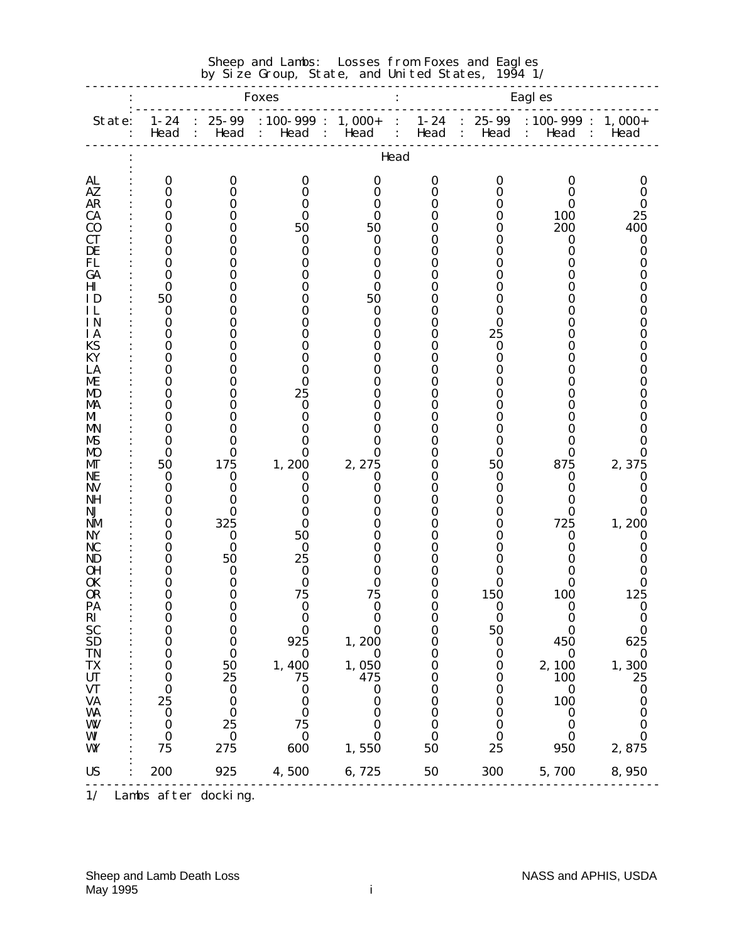| Eagl es<br><b>Foxes</b><br>: $100-999$ : 1, $000+$<br>$1 - 24$<br>$25 - 99$<br>$1 - 24$<br>$25 - 99$<br>$: 100 - 999 :$<br>$1,000+$<br>State:<br>$\ddot{\phantom{a}}$ .<br>Head :<br>Head : Head :<br>Head :<br>Head<br>$\sim$ :<br>Head :<br>Head :<br>Head<br>Head<br>AL<br>$\bf{0}$<br>0<br>0<br>0<br>0<br>0<br>0<br>AZ<br>0<br>0<br>0<br>Ո<br>0<br>Ո<br><b>AR</b><br>0<br>O<br>0<br>0<br><b>CA</b><br>0<br>100<br>O<br>O<br>25<br>0<br>200<br>C <sub>0</sub><br>50<br>50<br>400<br>O<br>0<br>CТ<br>0<br>0<br>O<br>0<br>0<br>0<br>DE<br>0<br>0<br>0<br>0<br>0<br>FL<br>0<br>O<br>0<br>0<br>0<br>GA<br>0<br>0<br>0<br>O<br>0<br>Ш<br>0<br>0<br>0<br>0<br>0<br>ΙD<br>50<br>50<br>O<br>0<br>0<br>ΗL<br>0<br>0<br>0<br>0<br>0<br><b>IN</b><br>0<br>0<br>0<br>0<br>0<br>ΙA<br>0<br>25<br>0<br>0<br>0<br><b>KS</b><br>0<br>0<br>O<br>0<br>0<br>0 | Sheep and Lambs: Losses from Foxes and Eagles<br>by Size Group, State, and United States, 1994 1/ |  |  |  |  |  |  |  |  |
|-----------------------------------------------------------------------------------------------------------------------------------------------------------------------------------------------------------------------------------------------------------------------------------------------------------------------------------------------------------------------------------------------------------------------------------------------------------------------------------------------------------------------------------------------------------------------------------------------------------------------------------------------------------------------------------------------------------------------------------------------------------------------------------------------------------------------------------------------|---------------------------------------------------------------------------------------------------|--|--|--|--|--|--|--|--|
|                                                                                                                                                                                                                                                                                                                                                                                                                                                                                                                                                                                                                                                                                                                                                                                                                                               |                                                                                                   |  |  |  |  |  |  |  |  |
|                                                                                                                                                                                                                                                                                                                                                                                                                                                                                                                                                                                                                                                                                                                                                                                                                                               |                                                                                                   |  |  |  |  |  |  |  |  |
|                                                                                                                                                                                                                                                                                                                                                                                                                                                                                                                                                                                                                                                                                                                                                                                                                                               |                                                                                                   |  |  |  |  |  |  |  |  |
|                                                                                                                                                                                                                                                                                                                                                                                                                                                                                                                                                                                                                                                                                                                                                                                                                                               | O                                                                                                 |  |  |  |  |  |  |  |  |
|                                                                                                                                                                                                                                                                                                                                                                                                                                                                                                                                                                                                                                                                                                                                                                                                                                               | 0                                                                                                 |  |  |  |  |  |  |  |  |
|                                                                                                                                                                                                                                                                                                                                                                                                                                                                                                                                                                                                                                                                                                                                                                                                                                               |                                                                                                   |  |  |  |  |  |  |  |  |
|                                                                                                                                                                                                                                                                                                                                                                                                                                                                                                                                                                                                                                                                                                                                                                                                                                               |                                                                                                   |  |  |  |  |  |  |  |  |
|                                                                                                                                                                                                                                                                                                                                                                                                                                                                                                                                                                                                                                                                                                                                                                                                                                               | O                                                                                                 |  |  |  |  |  |  |  |  |
|                                                                                                                                                                                                                                                                                                                                                                                                                                                                                                                                                                                                                                                                                                                                                                                                                                               | 0                                                                                                 |  |  |  |  |  |  |  |  |
|                                                                                                                                                                                                                                                                                                                                                                                                                                                                                                                                                                                                                                                                                                                                                                                                                                               |                                                                                                   |  |  |  |  |  |  |  |  |
|                                                                                                                                                                                                                                                                                                                                                                                                                                                                                                                                                                                                                                                                                                                                                                                                                                               |                                                                                                   |  |  |  |  |  |  |  |  |
|                                                                                                                                                                                                                                                                                                                                                                                                                                                                                                                                                                                                                                                                                                                                                                                                                                               |                                                                                                   |  |  |  |  |  |  |  |  |
|                                                                                                                                                                                                                                                                                                                                                                                                                                                                                                                                                                                                                                                                                                                                                                                                                                               |                                                                                                   |  |  |  |  |  |  |  |  |
|                                                                                                                                                                                                                                                                                                                                                                                                                                                                                                                                                                                                                                                                                                                                                                                                                                               |                                                                                                   |  |  |  |  |  |  |  |  |
|                                                                                                                                                                                                                                                                                                                                                                                                                                                                                                                                                                                                                                                                                                                                                                                                                                               |                                                                                                   |  |  |  |  |  |  |  |  |
| KY<br>0<br>0<br>0<br>0                                                                                                                                                                                                                                                                                                                                                                                                                                                                                                                                                                                                                                                                                                                                                                                                                        |                                                                                                   |  |  |  |  |  |  |  |  |
| LA<br>0<br>0<br>0<br>0                                                                                                                                                                                                                                                                                                                                                                                                                                                                                                                                                                                                                                                                                                                                                                                                                        |                                                                                                   |  |  |  |  |  |  |  |  |
| ME<br>$\bf{0}$<br>0<br>O<br>0<br>0                                                                                                                                                                                                                                                                                                                                                                                                                                                                                                                                                                                                                                                                                                                                                                                                            |                                                                                                   |  |  |  |  |  |  |  |  |
| 25<br>0<br>0<br>0<br>MD<br>0<br>0<br>MA<br>0<br>0<br>0<br>0                                                                                                                                                                                                                                                                                                                                                                                                                                                                                                                                                                                                                                                                                                                                                                                   |                                                                                                   |  |  |  |  |  |  |  |  |
| MI<br>0<br>0<br>O<br>0<br>0                                                                                                                                                                                                                                                                                                                                                                                                                                                                                                                                                                                                                                                                                                                                                                                                                   |                                                                                                   |  |  |  |  |  |  |  |  |
| 0<br>0<br>MN                                                                                                                                                                                                                                                                                                                                                                                                                                                                                                                                                                                                                                                                                                                                                                                                                                  |                                                                                                   |  |  |  |  |  |  |  |  |
| MS<br>0<br>0<br>0<br>0                                                                                                                                                                                                                                                                                                                                                                                                                                                                                                                                                                                                                                                                                                                                                                                                                        |                                                                                                   |  |  |  |  |  |  |  |  |
| $\bf{0}$<br><b>MO</b><br>0<br>0<br>0<br>0<br>0<br>175<br>50<br>2, 275<br>875<br>MГ<br>0<br>50                                                                                                                                                                                                                                                                                                                                                                                                                                                                                                                                                                                                                                                                                                                                                 | 0                                                                                                 |  |  |  |  |  |  |  |  |
| 1,200<br>2,375<br>$\bf{0}$<br>NЕ<br>0<br>0<br>O<br>0<br>0<br>0                                                                                                                                                                                                                                                                                                                                                                                                                                                                                                                                                                                                                                                                                                                                                                                | 0                                                                                                 |  |  |  |  |  |  |  |  |
| NV<br>$\bf{0}$<br>0<br>0<br>0<br>0                                                                                                                                                                                                                                                                                                                                                                                                                                                                                                                                                                                                                                                                                                                                                                                                            |                                                                                                   |  |  |  |  |  |  |  |  |
| NH<br>0<br>0<br>0                                                                                                                                                                                                                                                                                                                                                                                                                                                                                                                                                                                                                                                                                                                                                                                                                             |                                                                                                   |  |  |  |  |  |  |  |  |
| NJ<br>0<br>0<br>0<br>0                                                                                                                                                                                                                                                                                                                                                                                                                                                                                                                                                                                                                                                                                                                                                                                                                        | 0                                                                                                 |  |  |  |  |  |  |  |  |
| 325<br>$\bf{0}$<br>725<br>1,200<br>NM<br>0<br>NY<br>0<br>50<br>0                                                                                                                                                                                                                                                                                                                                                                                                                                                                                                                                                                                                                                                                                                                                                                              | 0                                                                                                 |  |  |  |  |  |  |  |  |
| $\bf{0}$<br>NC<br>0<br>0<br>0                                                                                                                                                                                                                                                                                                                                                                                                                                                                                                                                                                                                                                                                                                                                                                                                                 |                                                                                                   |  |  |  |  |  |  |  |  |
| 50<br>25<br>0<br>ND                                                                                                                                                                                                                                                                                                                                                                                                                                                                                                                                                                                                                                                                                                                                                                                                                           |                                                                                                   |  |  |  |  |  |  |  |  |
| 0H<br>$\bf{0}$<br>0<br>0                                                                                                                                                                                                                                                                                                                                                                                                                                                                                                                                                                                                                                                                                                                                                                                                                      |                                                                                                   |  |  |  |  |  |  |  |  |
| $\Omega$<br>0<br><b>OK</b><br>0<br>Λ<br>ი<br>Ո                                                                                                                                                                                                                                                                                                                                                                                                                                                                                                                                                                                                                                                                                                                                                                                                |                                                                                                   |  |  |  |  |  |  |  |  |
| 150<br>125<br><b>OR</b><br>$\bf{0}$<br>75<br>75<br>$\boldsymbol{0}$<br><b>100</b><br>$\boldsymbol{0}$<br>PA<br>$\bf{0}$<br>$\bf{0}$<br>0<br>$\bf{0}$<br>$\boldsymbol{0}$<br>0<br>$\boldsymbol{0}$                                                                                                                                                                                                                                                                                                                                                                                                                                                                                                                                                                                                                                             | $\boldsymbol{0}$                                                                                  |  |  |  |  |  |  |  |  |
| $\bf{0}$<br>$\mathbf{R}$<br>$\bf{0}$<br>$\mathbf 0$<br>0<br>$\boldsymbol{0}$<br>$\boldsymbol{0}$<br>0                                                                                                                                                                                                                                                                                                                                                                                                                                                                                                                                                                                                                                                                                                                                         | $\bf{0}$                                                                                          |  |  |  |  |  |  |  |  |
| <b>SC</b><br>0<br>50<br>$\boldsymbol{0}$<br>$\bf{0}$<br>$\boldsymbol{0}$<br>0<br>0                                                                                                                                                                                                                                                                                                                                                                                                                                                                                                                                                                                                                                                                                                                                                            | $\bf{0}$                                                                                          |  |  |  |  |  |  |  |  |
| <b>SD</b><br>925<br>625<br>1,200<br>0<br>$\bf{0}$<br>$\boldsymbol{0}$<br>450<br>0                                                                                                                                                                                                                                                                                                                                                                                                                                                                                                                                                                                                                                                                                                                                                             |                                                                                                   |  |  |  |  |  |  |  |  |
| <b>TN</b><br>$\bf{0}$<br>$\bf{0}$<br>$\bf{0}$<br>0<br>$\boldsymbol{0}$<br>0<br>$\bf{0}$<br>TX<br>1,400<br>1,050<br>1,300<br>50<br>0<br>2,100<br>0<br>0                                                                                                                                                                                                                                                                                                                                                                                                                                                                                                                                                                                                                                                                                        | $\boldsymbol{0}$                                                                                  |  |  |  |  |  |  |  |  |
| <b>UT</b><br>25<br>75<br>475<br>100<br>25<br>0<br>0<br>0                                                                                                                                                                                                                                                                                                                                                                                                                                                                                                                                                                                                                                                                                                                                                                                      |                                                                                                   |  |  |  |  |  |  |  |  |
| <b>VT</b><br>$\bf{0}$<br>$\boldsymbol{0}$<br>0<br>0<br>0<br>0<br>$\bf{0}$                                                                                                                                                                                                                                                                                                                                                                                                                                                                                                                                                                                                                                                                                                                                                                     | $\boldsymbol{0}$                                                                                  |  |  |  |  |  |  |  |  |
| <b>VA</b><br><b>100</b><br>25<br>$\boldsymbol{0}$<br>0<br>0<br>0<br>0                                                                                                                                                                                                                                                                                                                                                                                                                                                                                                                                                                                                                                                                                                                                                                         | $\boldsymbol{0}$                                                                                  |  |  |  |  |  |  |  |  |
| <b>WA</b><br>$\bf{0}$<br>$\bf{0}$<br>0<br>0<br>0<br>$\boldsymbol{0}$<br>O                                                                                                                                                                                                                                                                                                                                                                                                                                                                                                                                                                                                                                                                                                                                                                     | 0                                                                                                 |  |  |  |  |  |  |  |  |
| 25<br>W<br>75<br>$\boldsymbol{0}$<br>0<br>$\boldsymbol{0}$<br>O<br>0<br>WI<br>$\boldsymbol{0}$<br>$\boldsymbol{0}$<br>$\boldsymbol{0}$<br>$\bf{0}$<br>0<br>0<br>0                                                                                                                                                                                                                                                                                                                                                                                                                                                                                                                                                                                                                                                                             | 0<br>0                                                                                            |  |  |  |  |  |  |  |  |
| WY<br>275<br>50<br>25<br>2,875<br>75<br>600<br>1,550<br>950                                                                                                                                                                                                                                                                                                                                                                                                                                                                                                                                                                                                                                                                                                                                                                                   |                                                                                                   |  |  |  |  |  |  |  |  |
| <b>US</b><br>200<br>925<br>4,500<br>50<br>300<br>5,700<br>6,725<br>8,950                                                                                                                                                                                                                                                                                                                                                                                                                                                                                                                                                                                                                                                                                                                                                                      |                                                                                                   |  |  |  |  |  |  |  |  |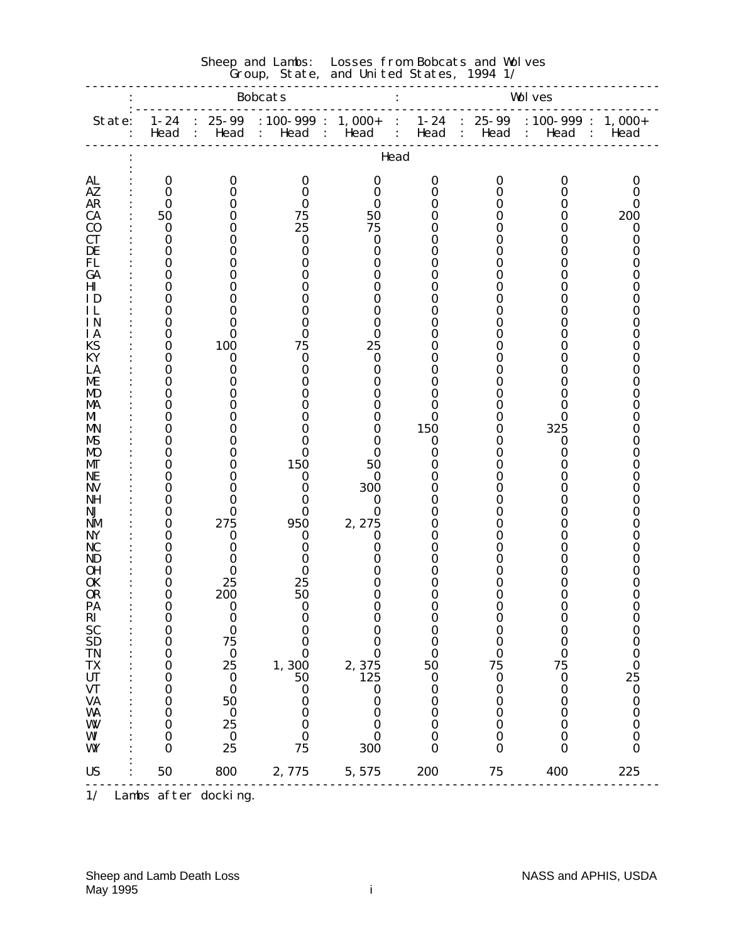| Group, State, and United States, 1994 1/ |                                      |                   |                                             |                   |                                                         |                                     |                                                                |                      |  |
|------------------------------------------|--------------------------------------|-------------------|---------------------------------------------|-------------------|---------------------------------------------------------|-------------------------------------|----------------------------------------------------------------|----------------------|--|
|                                          |                                      |                   | <b>Bobcats</b>                              |                   |                                                         |                                     | <b>Wolves</b>                                                  |                      |  |
| State:                                   | $1 - 24$<br>Head                     | $25 - 99$<br>Head | $: 100 - 999 :$<br>Head :<br>$\mathbb{R}^n$ | $1,000+$<br>Head  | $1 - 24$<br>$\ddot{\cdot}$<br>Head<br>$\sim$ 100 $\sim$ | $25 - 99$<br>Head<br>$\ddot{\cdot}$ | $: 100 - 999$ :<br>Head<br>$\sim$ 100 $\sim$<br>$\ddot{\cdot}$ | $1,000+$<br>Head     |  |
|                                          |                                      |                   |                                             |                   | Head                                                    |                                     |                                                                |                      |  |
| <b>AL</b>                                | $\bf{0}$                             | $\bf{0}$          | 0                                           | 0                 | $\bf{0}$                                                | 0                                   | O                                                              | 0                    |  |
| AZ                                       | $\bf{0}$                             | 0                 | 0                                           | 0                 | 0                                                       | 0                                   |                                                                | 0                    |  |
| <b>AR</b><br><b>CA</b>                   | $\bf{0}$<br>50                       | 0<br>0            | 75                                          | 0<br>50           | 0<br>0                                                  | 0                                   |                                                                | 0<br>200             |  |
| $\bf{C0}$                                | $\bf{0}$                             | 0                 | 25                                          | 75                | 0                                                       |                                     |                                                                | 0                    |  |
| <b>CT</b>                                | 0                                    | 0                 | o                                           | 0                 | 0                                                       | O                                   |                                                                | 0                    |  |
| DE<br>FL                                 | 0<br>0                               | 0<br>O            | 0                                           | 0<br>0            | 0<br>0                                                  |                                     |                                                                | 0<br>0               |  |
| GA                                       | 0                                    | 0                 |                                             | 0                 | 0                                                       |                                     |                                                                | 0                    |  |
| Ш                                        | 0                                    | 0                 |                                             | 0                 | 0                                                       |                                     |                                                                | 0                    |  |
| ID                                       | 0                                    | 0                 |                                             | 0                 | 0                                                       | 0                                   |                                                                | 0                    |  |
| ΗL<br>ΙN                                 | 0<br>0                               | 0<br>$_{0}$       | 0                                           | 0                 | 0<br>0                                                  | 0                                   |                                                                | O                    |  |
| <b>IA</b>                                | $\bf{0}$                             | 0                 | 0                                           | 0                 | 0                                                       |                                     |                                                                | 0                    |  |
| KS                                       | 0                                    | 100               | 75                                          | 25                | 0                                                       |                                     |                                                                | 0                    |  |
| KY                                       | 0                                    | $\bf{0}$          | 0                                           | 0                 | 0                                                       |                                     |                                                                | O                    |  |
| LA<br>ME                                 | 0<br>0                               | 0<br>O            |                                             | 0<br>0            | 0<br>0                                                  |                                     |                                                                | 0                    |  |
| MD                                       | 0                                    | 0                 |                                             | 0                 | 0                                                       | 0                                   |                                                                | O                    |  |
| MA                                       | 0                                    | 0                 |                                             | 0                 | 0                                                       |                                     |                                                                | 0                    |  |
| MI                                       | 0                                    | 0                 |                                             | 0                 | $\bf{0}$                                                |                                     | 0                                                              | 0                    |  |
| MN<br>MS                                 | 0<br>0                               | 0<br>0            |                                             | 0                 | 150<br>0                                                | O<br>0                              | 325<br>0                                                       | 0<br>0               |  |
| M)                                       | 0                                    | 0                 | 0                                           |                   | 0                                                       | 0                                   | Ո                                                              |                      |  |
| MГ                                       | 0                                    | 0                 | 150                                         | 50                | 0                                                       |                                     |                                                                | 0                    |  |
| NE<br><b>NV</b>                          | 0<br>0                               | 0<br>0            | $\bf{0}$<br>0                               | 0<br>300          | 0<br>0                                                  | 0                                   |                                                                | 0<br>O               |  |
| NH                                       | 0                                    | 0                 |                                             | 0                 | 0                                                       |                                     |                                                                |                      |  |
| NJ                                       | 0                                    | 0                 | 0                                           | $\bf{0}$          | 0                                                       | 0                                   |                                                                | 0                    |  |
| NM                                       | 0                                    | 275               | 950                                         | 2, 275            | 0                                                       |                                     |                                                                | 0                    |  |
| NY<br>NC                                 | 0<br>0                               | 0<br>0            | 0<br>0                                      | 0<br>0            | 0<br>0                                                  | 0                                   |                                                                | O                    |  |
| ND                                       | 0                                    | 0                 |                                             |                   | 0                                                       |                                     |                                                                | O                    |  |
| <b>OH</b>                                | 0                                    | 0                 |                                             |                   | 0                                                       |                                     |                                                                |                      |  |
| 0K                                       | 0                                    | 25                | 25                                          | 0                 | 0                                                       | 0                                   |                                                                | 0                    |  |
| <b>OR</b><br>PA                          | $\bf{0}$<br>U                        | 200<br>O          | 50                                          | 0                 | $\mathbf 0$<br>0                                        | 0                                   | 0                                                              | $\bf{0}$<br>U        |  |
|                                          | 0                                    | $\bf{0}$          |                                             | 0                 | $\bf{0}$                                                | 0                                   | 0                                                              | $\bf{0}$             |  |
| RI<br>SC<br>SD<br>SD                     | 0                                    | $\bf{0}$          |                                             |                   | $\bf{0}$                                                | 0                                   |                                                                | $\bf{0}$             |  |
|                                          | 0                                    | 75                | 0                                           | O                 | 0                                                       | 0                                   | 0                                                              | $\bf{0}$             |  |
| <b>TN</b><br><b>TX</b>                   | $\boldsymbol{0}$<br>$\boldsymbol{0}$ | $\bf{0}$<br>25    | 0<br>1,300                                  | $\bf{0}$<br>2,375 | $\bf{0}$<br>50                                          | 0<br>75                             | 0<br>75                                                        | $\bf{0}$<br>$\bf{0}$ |  |
| UT                                       | 0                                    | $\bf{0}$          | 50                                          | 125               | $\boldsymbol{0}$                                        | $\bf{0}$                            | 0                                                              | 25                   |  |
| <b>VT</b>                                | $\boldsymbol{0}$                     | $\bf{0}$          | 0                                           | 0                 | $\bf{0}$                                                | $\boldsymbol{0}$                    | 0                                                              | $\bf{0}$             |  |
| <b>VA</b>                                | $\boldsymbol{0}$                     | 50                | 0                                           | 0<br>O            | $\bf{0}$<br>$\bf{0}$                                    | 0                                   | 0                                                              | $\boldsymbol{0}$     |  |
| WA<br>W                                  | 0<br>$\bf{0}$                        | $\bf{0}$<br>25    | 0<br>0                                      | 0                 | $\bf{0}$                                                | 0<br>0                              | 0                                                              | $\bf{0}$<br>$\bf{0}$ |  |
| WI                                       | $\bf{0}$                             | $\bf{0}$          |                                             | 0                 | $\bf{0}$                                                | 0                                   |                                                                | $\bf{0}$             |  |
| WY                                       | 0                                    | 25                | 75                                          | 300               | 0                                                       | 0                                   | 0                                                              | $\bf{0}$             |  |
| <b>US</b>                                | 50                                   | 800               | 2,775                                       | 5,575             | 200                                                     | 75                                  | 400                                                            | 225                  |  |

Sheep and Lambs: Losses from Bobcats and Wolves

<sup>1/</sup> Lambs after docking.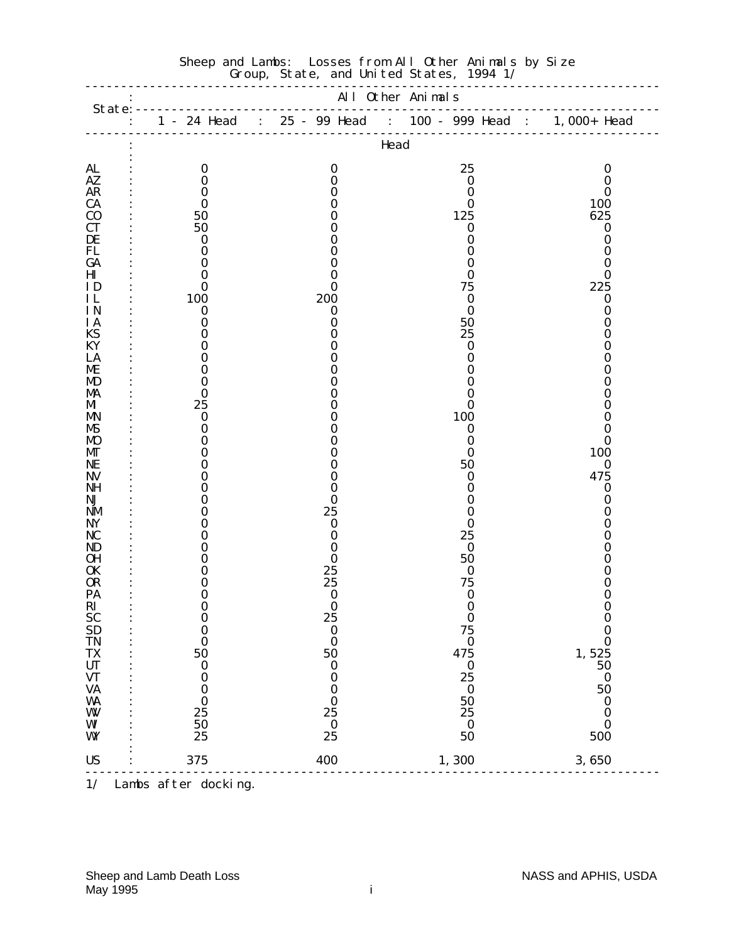|                                         |                      |                        | Head             |                      |  |  |  |  |  |
|-----------------------------------------|----------------------|------------------------|------------------|----------------------|--|--|--|--|--|
| <b>AL</b>                               | $\bf{0}$             | $\bf{0}$               | 25               | $\bf{0}$             |  |  |  |  |  |
| AZ<br><b>AR</b>                         | $\bf{0}$<br>$\bf{0}$ | 0<br>0                 | $\bf{0}$<br>0    | $\bf{0}$<br>$\bf{0}$ |  |  |  |  |  |
| <b>CA</b>                               | $\bf{0}$             | 0                      | $\bf{0}$         | 100                  |  |  |  |  |  |
| $\bf{C0}$                               | 50                   | 0                      | 125              | 625                  |  |  |  |  |  |
| <b>CT</b>                               | 50                   | 0                      | $\bf{0}$         | $\boldsymbol{0}$     |  |  |  |  |  |
| DE                                      | $\bf{0}$             | 0                      | 0                | $\bf{0}$             |  |  |  |  |  |
| FL<br>GA                                | $\bf{0}$<br>$\bf{0}$ | 0<br>0                 | 0<br>0           | $\bf{0}$<br>$\bf{0}$ |  |  |  |  |  |
| $\mathbf{H}\mathbf{I}$                  | $\bf{0}$             | $_{0}$                 | 0                | $\bf{0}$             |  |  |  |  |  |
| ID                                      | $\bf{0}$             | 0                      | 75               | 225                  |  |  |  |  |  |
| IL                                      | 100                  | 200                    | 0                | $\bf{0}$             |  |  |  |  |  |
| IN.                                     | $\bf{0}$             | 0                      | 0                | 0                    |  |  |  |  |  |
| <b>IA</b><br>KS                         | $\bf{0}$<br>0        | 0<br>0                 | 50<br>25         | $\bf{0}$<br>0        |  |  |  |  |  |
| KY                                      | 0                    | 0                      | 0                | 0                    |  |  |  |  |  |
| LA                                      | $\bf{0}$             | 0                      | 0                | 0                    |  |  |  |  |  |
| ME                                      | 0                    | 0                      |                  | 0                    |  |  |  |  |  |
| MD                                      | $\bf{0}$             |                        |                  | 0                    |  |  |  |  |  |
| MA<br>MI                                | 0<br>25              | 0<br>0                 | $_{0}$<br>0      | 0<br>0               |  |  |  |  |  |
| MN                                      | $\bf{0}$             | 0                      | 100              | 0                    |  |  |  |  |  |
| MS                                      | $\bf{0}$             | 0                      | $\bf{0}$         | $\bf{0}$             |  |  |  |  |  |
| <b>MO</b>                               | 0                    | 0                      | 0                | $\bf{0}$             |  |  |  |  |  |
| МT                                      | 0<br>$\bf{0}$        | 0                      | 0<br>50          | 100<br>$\bf{0}$      |  |  |  |  |  |
| NE<br>NV                                | 0                    | 0<br>0                 | 0                | 475                  |  |  |  |  |  |
| <b>NH</b>                               | 0                    | 0                      | 0                | $\bf{0}$             |  |  |  |  |  |
| NJ                                      | 0                    | 0                      | $_{0}$           | $\bf{0}$             |  |  |  |  |  |
| NM                                      | 0                    | 25                     | 0                | 0                    |  |  |  |  |  |
| <b>NY</b><br>NC                         | 0<br>0               | 0<br>0                 | 0<br>25          | 0<br>0               |  |  |  |  |  |
| ND                                      | 0                    | 0                      | 0                | 0                    |  |  |  |  |  |
| <b>OH</b>                               | 0                    | 0                      | 50               | 0                    |  |  |  |  |  |
| 0K                                      | 0                    | 25                     | $\bf{0}$         | 0                    |  |  |  |  |  |
| <b>OR</b>                               | 0                    | 25                     | 75               | 0                    |  |  |  |  |  |
| PA<br>RI                                | 0<br>0               | 0<br>$\bf{0}$          | 0<br>0           | 0<br>0               |  |  |  |  |  |
|                                         | $\bf{0}$             | 25                     | $\bf{0}$         | $\bf{0}$             |  |  |  |  |  |
| SC<br>SD<br>TN                          | $\bf{0}$             | $\bf{0}$               | 75               | $\bf{0}$             |  |  |  |  |  |
|                                         | $\bf{0}$             | $\bf{0}$               | $\bf{0}$         | $\bf{0}$             |  |  |  |  |  |
| <b>TX</b><br>$\ensuremath{\mathbf{UT}}$ | 50<br>$\bf{0}$       | 50<br>$\boldsymbol{0}$ | 475<br>$\bf{0}$  | 1,525<br>50          |  |  |  |  |  |
| <b>VT</b>                               | $\boldsymbol{0}$     | $\bf{0}$               | 25               | $\bf{0}$             |  |  |  |  |  |
| <b>VA</b>                               | $\boldsymbol{0}$     | 0                      | $\boldsymbol{0}$ | 50                   |  |  |  |  |  |
| WA                                      | $\bf{0}$             | $\bf{0}$               | 50               | $\boldsymbol{0}$     |  |  |  |  |  |
| W                                       | 25                   | 25                     | 25               | $\bf{0}$             |  |  |  |  |  |
| WI<br>WY                                | 50<br>25             | $\bf{0}$<br>25         | $\bf{0}$<br>50   | $\bf{0}$<br>500      |  |  |  |  |  |
|                                         |                      |                        |                  |                      |  |  |  |  |  |
| <b>US</b>                               | 375                  | 400                    | 1,300            | 3,650                |  |  |  |  |  |
| 1/                                      | Lambs after docking. |                        |                  |                      |  |  |  |  |  |

#### Sheep and Lambs: Losses from All Other Animals by Size Group, State, and United States, 1994 1/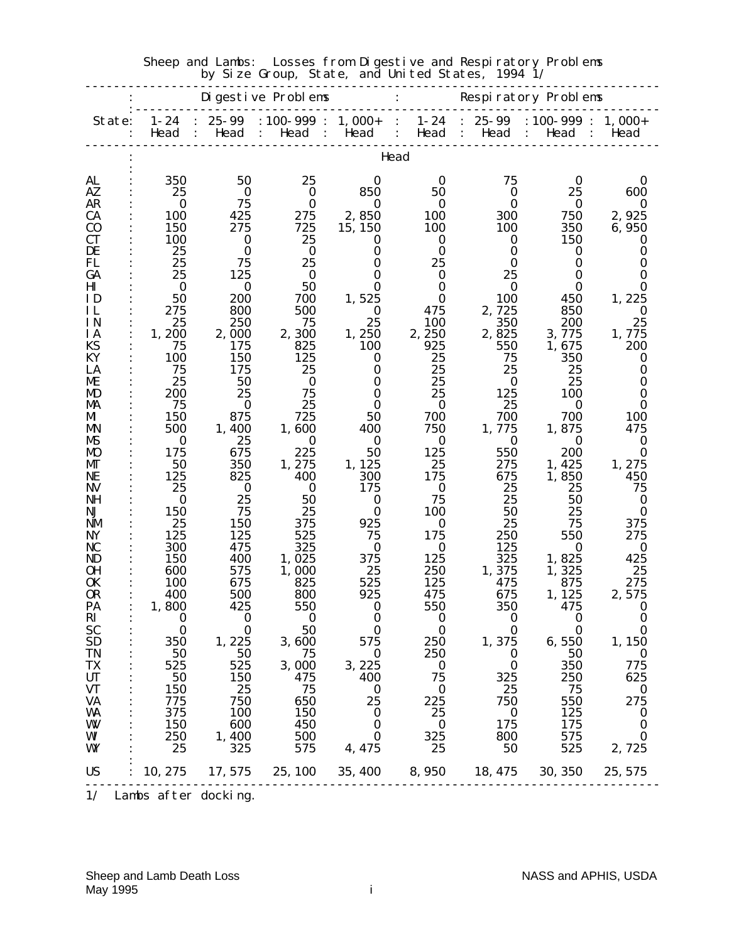| by Size Group, State, and United States,<br>1994 1/ |                      |                      |                                                   |                      |                              |                                                |                                                                     |                      |  |
|-----------------------------------------------------|----------------------|----------------------|---------------------------------------------------|----------------------|------------------------------|------------------------------------------------|---------------------------------------------------------------------|----------------------|--|
|                                                     |                      |                      | Digestive Problems                                |                      |                              |                                                | Respiratory Problems                                                |                      |  |
| State:                                              | $1 - 24$<br>Head     | $25 - 99$<br>Head    | $: 100 - 999 : 1,000 +$<br>Head<br>$\ddot{\cdot}$ | Head<br>$\mathbf{L}$ | Head<br>$\ddot{\phantom{0}}$ | $1-24$ : 25-99<br>$\ddot{\phantom{a}}$<br>Head | : $100-999$ : 1, $000+$<br>Head<br>$\ddot{\cdot}$<br>$\ddot{\cdot}$ | Head                 |  |
| Head                                                |                      |                      |                                                   |                      |                              |                                                |                                                                     |                      |  |
| AL<br>AZ.                                           | 350<br>25            | 50<br>$\bf{0}$       | 25<br>$\bf{0}$                                    | 0<br>850             | 0<br>50                      | 75<br>0                                        | 0<br>25                                                             | 0<br>600             |  |
| <b>AR</b>                                           | 0                    | 75                   | 0                                                 | 0                    | 0                            | 0                                              | 0                                                                   | 0                    |  |
| <b>CA</b>                                           | <b>100</b>           | 425                  | 275                                               | 2,850                | <b>100</b>                   | 300                                            | 750                                                                 | 2,925                |  |
| C <sub>0</sub>                                      | 150                  | 275                  | 725                                               | 15, 150              | <b>100</b>                   | <b>100</b>                                     | 350                                                                 | 6,950                |  |
| <b>CT</b>                                           | <b>100</b>           | 0                    | 25                                                | 0                    | 0                            | 0                                              | <b>150</b>                                                          | $\mathbf{0}$         |  |
| DE<br>FL                                            | 25<br>25             | $\bf{0}$<br>75       | $\bf{0}$<br>25                                    | 0<br>O               | 0<br>25                      | 0<br>0                                         | 0<br>0                                                              | 0<br>0               |  |
| GA                                                  | 25                   | 125                  | 0                                                 | 0                    | 0                            | 25                                             | 0                                                                   | 0                    |  |
| H I                                                 | 0                    | 0                    | 50                                                | 0                    | 0                            | 0                                              | 0                                                                   | 0                    |  |
| ID                                                  | 50                   | <b>200</b>           | 700                                               | 1,525                | 0                            | <b>100</b>                                     | 450                                                                 | 1, 225               |  |
| IL                                                  | 275                  | 800                  | 500                                               | 0                    | 475                          | 2,725                                          | 850                                                                 | $\bf{0}$             |  |
| IN<br>1A                                            | 25<br>1,200          | 250<br>2,000         | 75<br>2,300                                       | 25<br>1,250          | 100<br>2,250                 | 350<br>2,825                                   | 200<br>3,775                                                        | 25<br>1,775          |  |
| KS                                                  | 75                   | 175                  | 825                                               | <b>100</b>           | 925                          | 550                                            | 1,675                                                               | 200                  |  |
| KY                                                  | <b>100</b>           | <b>150</b>           | 125                                               | 0                    | 25                           | 75                                             | 350                                                                 | 0                    |  |
| LA                                                  | 75                   | 175                  | 25                                                | $\bf{0}$             | 25                           | 25                                             | 25                                                                  | 0                    |  |
| ME                                                  | 25                   | 50                   | $\bf{0}$                                          | 0                    | 25                           | 0                                              | 25                                                                  | 0                    |  |
| MD                                                  | 200                  | 25                   | 75                                                | 0                    | 25                           | 125                                            | <b>100</b>                                                          | 0                    |  |
| MA<br>MI                                            | 75<br>150            | 0<br>875             | 25<br>725                                         | 0<br>50              | 0<br>700                     | 25<br>700                                      | 0<br>700                                                            | 0<br>100             |  |
| MN                                                  | 500                  | 1,400                | 1,600                                             | 400                  | 750                          | 1,775                                          | 1,875                                                               | 475                  |  |
| MS                                                  | 0                    | 25                   | 0                                                 | $\bf{0}$             | 0                            | 0                                              | 0                                                                   | $\bf{0}$             |  |
| <b>MO</b>                                           | 175                  | 675                  | 225                                               | 50                   | 125                          | 550                                            | 200                                                                 | 0                    |  |
| MГ                                                  | 50                   | 350                  | 1,275                                             | 1, 125               | 25                           | 275                                            | 1,425                                                               | 1,275                |  |
| NE<br><b>NV</b>                                     | 125<br>25            | 825<br>0             | 400<br>0                                          | 300<br>175           | 175<br>0                     | 675<br>25                                      | 1,850<br>25                                                         | 450<br>75            |  |
| NH                                                  | 0                    | 25                   | 50                                                | 0                    | 75                           | 25                                             | 50                                                                  | 0                    |  |
| NJ                                                  | 150                  | 75                   | 25                                                | $\bf{0}$             | 100                          | 50                                             | 25                                                                  | 0                    |  |
| NM                                                  | 25                   | <b>150</b>           | 375                                               | 925                  | 0                            | 25                                             | 75                                                                  | 375                  |  |
| NY                                                  | 125                  | 125                  | 525                                               | 75                   | 175                          | 250                                            | 550                                                                 | 275                  |  |
| NC<br>ND                                            | 300<br><b>150</b>    | 475<br>400           | 325<br>1,025                                      | 0<br>375             | 0<br>125                     | 125<br>325                                     | $\bf{0}$<br>1,825                                                   | 0<br>425             |  |
| 0H                                                  | 600                  | 575                  | 1,000                                             | 25                   | 250                          | 1,375                                          | 1,325                                                               | 25                   |  |
| 0K                                                  | <b>100</b>           | 675                  | 825                                               | 525                  | 125                          | 475                                            | 875                                                                 | 275                  |  |
| 0R                                                  | 400                  | 500                  | 800                                               | 925                  | 475                          | 675                                            | 1, 125                                                              | 2,575                |  |
| PA                                                  | 1,800                | 425                  | 550                                               | $\bf{0}$             | 550                          | 350                                            | 475                                                                 | U                    |  |
| RI<br>SC                                            | $\bf{0}$<br>$\bf{0}$ | $\bf{0}$<br>$\bf{0}$ | $\bf{0}$<br>50                                    | $\bf{0}$<br>$\bf{0}$ | $\bf{0}$<br>$\bf{0}$         | $\bf{0}$<br>$\bf{0}$                           | $\bf{0}$<br>$\bf{0}$                                                | $\bf{0}$<br>$\bf{0}$ |  |
| <b>SD</b>                                           | 350                  | 1,225                | 3,600                                             | 575                  | 250                          | 1,375                                          | 6,550                                                               | 1,150                |  |
| <b>TN</b>                                           | - 50                 | 50                   | 75                                                | $\bf{0}$             | 250                          | $\bf{0}$                                       | 50                                                                  | $\bf{0}$             |  |
| TX                                                  | 525                  | 525                  | 3,000                                             | 3, 225               | $\bf{0}$                     | $\bf{0}$                                       | 350                                                                 | 775                  |  |
| <b>UT</b>                                           | 50                   | <b>150</b>           | 475                                               | 400                  | 75                           | 325                                            | 250                                                                 | 625                  |  |
| <b>VT</b>                                           | <b>150</b>           | - 25<br>750          | 75                                                | $\bf{0}$             | $\bf{0}$                     | 25                                             | 75                                                                  | $\bf{0}$<br>275      |  |
| <b>VA</b><br>WA                                     | 775<br>375           | <b>100</b>           | 650<br><b>150</b>                                 | 25<br>$\bf{0}$       | 225<br>25                    | 750<br>$\bf{0}$                                | 550<br>125                                                          | $\bf{0}$             |  |
| W                                                   | <b>150</b>           | 600                  | 450                                               | $\bf{0}$             | $\bf{0}$                     | 175                                            | 175                                                                 | $\bf{0}$             |  |
| WI                                                  | 250                  | 1,400                | 500                                               | $\bf{0}$             | 325                          | 800                                            | 575                                                                 | $\bf{0}$             |  |
| WY                                                  | 25                   | 325                  | 575                                               | 4, 475               | 25                           | 50                                             | 525                                                                 | 2,725                |  |
| <b>US</b>                                           | 10, 275              | 17, 575              | 25, 100                                           | 35, 400              | 8, 950                       | 18, 475 30, 350                                |                                                                     | 25, 575              |  |
|                                                     |                      |                      |                                                   |                      |                              |                                                |                                                                     |                      |  |

 Sheep and Lambs: Losses from Digestive and Respiratory Problems **by Size Group, State, and United States, 1994**  $1/$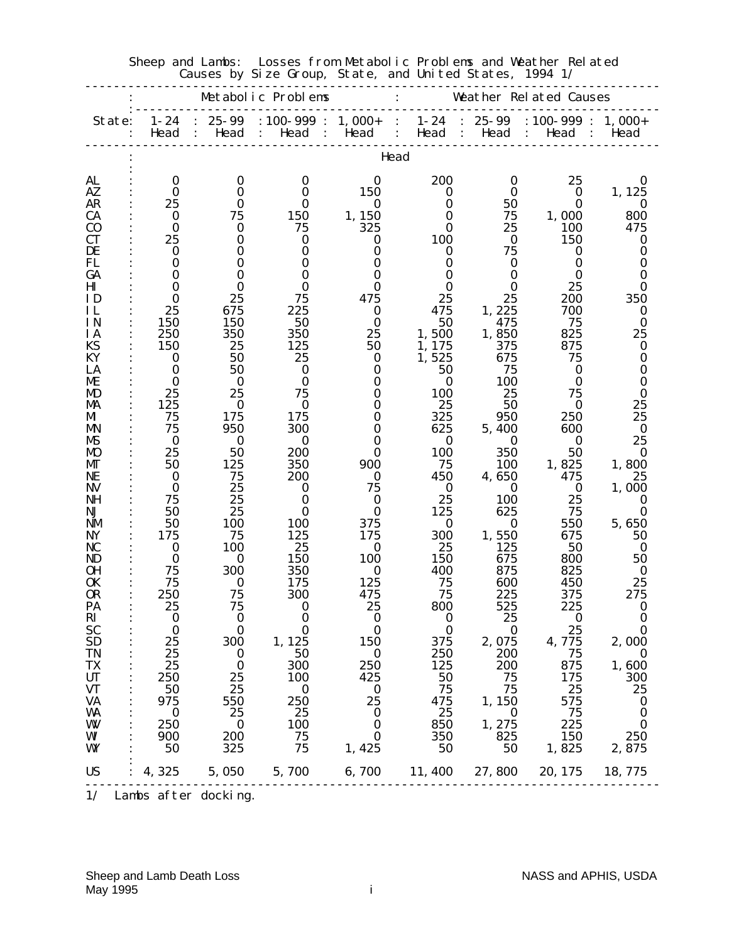|                        |                  |                   | Metabolic Problems                           |                                                    | Weather Related Causes |                                  |                                |                      |  |
|------------------------|------------------|-------------------|----------------------------------------------|----------------------------------------------------|------------------------|----------------------------------|--------------------------------|----------------------|--|
| State:                 | $1 - 24$<br>Head | $25 - 99$<br>Head | $: 100 - 999 :$<br>Head<br>$\sim$ 100 $\sim$ | $1,000+$<br>Head                                   | $1 - 24$<br>Head       | 25-99<br>Head                    | $: 100 - 999 :$<br>Head        | $1,000+$<br>Head     |  |
|                        |                  |                   |                                              | Head                                               |                        |                                  |                                |                      |  |
| AL                     | 0                | $\bf{0}$          | 0                                            | 0                                                  | 200                    | 0                                | 25                             | 0                    |  |
| AZ<br>AR               | 0<br>25          | 0<br>0            | 0<br>0                                       | 150<br>$\bf{0}$                                    | $\bf{0}$<br>0          | 0<br>50                          | $\bf{0}$<br>0                  | 1, 125<br>$\bf{0}$   |  |
| <b>CA</b>              | 0                | 75                | 150                                          | 1,150                                              | 0                      | 75                               | 1,000                          | 800                  |  |
| $\bf{C0}$              | $\bf{0}$         | 0                 | 75                                           | 325                                                | 0                      | 25                               | 100                            | 475                  |  |
| <b>CT</b>              | 25               | 0                 | 0                                            | 0                                                  | 100                    | $\bf{0}$                         | 150                            | 0                    |  |
| DE<br>FL               | 0<br>0           | 0<br>0            | 0<br>0                                       | 0<br>0                                             | 0<br>0                 | 75<br>0                          | 0<br>0                         | 0<br>0               |  |
| GA                     | 0                | 0                 | 0                                            | 0                                                  | 0                      | 0                                | 0                              | 0                    |  |
| Ш                      | 0                | 0                 | 0                                            | 0                                                  | 0                      | 0                                | 25                             | 0                    |  |
| ID                     | 0                | 25                | 75                                           | 475                                                | 25                     | 25                               | 200                            | 350                  |  |
| ИL                     | 25               | 675               | 225                                          | 0                                                  | 475                    | 1,225                            | 700                            | 0                    |  |
| IN                     | 150              | 150               | 50                                           | $\bf{0}$                                           | 50                     | 475                              | 75<br>825                      | 0                    |  |
| <b>IA</b><br>KS        | 250<br>150       | 350<br>25         | 350<br>125                                   | 25<br>50                                           | 1,500<br>1,175         | 1,850<br>375                     | 875                            | 25<br>0              |  |
| KY                     | 0                | 50                | 25                                           | $\bf{0}$                                           | 1,525                  | 675                              | 75                             | 0                    |  |
| LA                     | $\bf{0}$         | 50                | 0                                            | $\bf{0}$                                           | 50                     | 75                               | 0                              | 0                    |  |
| ME                     | 0                | $\bf{0}$          | 0                                            | 0                                                  | $\bf{0}$               | 100                              | 0                              | 0                    |  |
| MD                     | 25               | 25                | 75                                           | 0                                                  | 100                    | 25                               | 75                             | 0                    |  |
| MA<br>MI               | 125<br>75        | $\bf{0}$<br>175   | 0<br>175                                     | 0<br>0                                             | 25<br>325              | 50<br>950                        | 0<br>250                       | 25<br>25             |  |
| MN                     | 75               | 950               | 300                                          | 0                                                  | 625                    | 5,400                            | 600                            | $\bf{0}$             |  |
| MS                     | $\bf{0}$         | $\bf{0}$          | 0                                            | 0                                                  | $\bf{0}$               | 0                                | 0                              | 25                   |  |
| <b>MO</b>              | 25               | 50                | 200                                          | 0                                                  | 100                    | 350                              | 50                             | $\bf{0}$             |  |
| MГ                     | 50               | 125               | 350                                          | 900                                                | 75                     | 100                              | 1,825                          | 1,800                |  |
| NE                     | 0                | 75                | 200                                          | $\bf{0}$                                           | 450                    | 4,650                            | 475                            | 25                   |  |
| <b>NV</b><br><b>NH</b> | $\bf{0}$<br>75   | 25<br>25          | 0<br>0                                       | 75<br>0                                            | $\bf{0}$<br>25         | 0<br>100                         | $\bf{0}$<br>25                 | 1,000<br>0           |  |
| NJ                     | 50               | 25                | 0                                            | 0                                                  | 125                    | 625                              | 75                             | 0                    |  |
| <b>NM</b>              | 50               | 100               | 100                                          | 375                                                | $\bf{0}$               | $\bf{0}$                         | 550                            | 5,650                |  |
| <b>NY</b>              | 175              | 75                | 125                                          | 175                                                | 300                    | 1,550                            | 675                            | 50                   |  |
| NC                     | 0                | 100               | 25                                           | 0                                                  | 25                     | 125                              | 50                             | 0                    |  |
| ND<br><b>OH</b>        | 0                | 0<br>300          | 150<br>350                                   | 100<br>0                                           | 150<br>400             | 675                              | 800                            | 50<br>0              |  |
| 0K                     | 75<br>75         | 0                 | 175                                          | 125                                                | 75                     | 875<br>600                       | 825<br>450                     | 25                   |  |
| <b>OR</b>              | 250              | 75                | 300                                          | 475                                                | 75                     | 225                              | 375                            | 275                  |  |
| PA                     | 25               | 75                | 0                                            | 25                                                 | 800                    | 525                              | 225                            | 0                    |  |
| $\mathbf{R}$           | $\bf{0}$         | $\bf{0}$          | $\bf{0}$                                     | $\boldsymbol{0}$                                   | $\bf{0}$               | 25                               | $\bf{0}$                       | $\bf{0}$             |  |
| <b>SC</b>              | $\bf{0}$         | $\bf{0}$<br>300   | $\bf{0}$                                     | $\bf{0}$<br>150                                    | $\bf{0}$<br>375        | $\bf{0}$                         | 25<br>4,775                    | $\bf{0}$             |  |
| <b>SD</b><br>TN        | 25<br>25         | $\bf{0}$          | 1, 125<br>- 50                               | $\bf{0}$                                           | 250                    | 2,075<br>200                     | 75                             | 2,000<br>$\bf{0}$    |  |
| <b>TX</b>              | 25               | $\bf{0}$          | 300                                          | 250                                                | 125                    | 200                              | 875                            | 1,600                |  |
| <b>UT</b>              | 250              | 25                | 100                                          | 425                                                | 50                     | 75                               | 175                            | 300                  |  |
| <b>VT</b>              | 50               | 25                | $\bf{0}$                                     | $\bf{0}$                                           | 75                     | 75                               | 25                             | 25                   |  |
| <b>VA</b>              | 975              | 550               | 250                                          | 25                                                 | 475                    | 1,150                            | 575                            | $\bf{0}$             |  |
| WA<br>WV               | $\bf{0}$<br>250  | 25<br>$\bf{0}$    | 25<br>100                                    | $\overline{\mathbf{0}}$<br>$\overline{\mathbf{0}}$ | 25<br>850              | $\overline{\mathbf{0}}$<br>1,275 | 75<br>225                      | $\bf{0}$<br>$\bf{0}$ |  |
| WI                     | 900              | 200               | 75                                           | $\bf{0}$                                           | 350                    | 825                              | 150                            | 250                  |  |
| WY                     | - 50             | 325               | 75                                           | 1,425                                              | 50                     | 50                               | 1,825                          | 2,875                |  |
|                        |                  |                   |                                              |                                                    |                        |                                  |                                |                      |  |
| <b>US</b>              | 4, 325           |                   | 5,050 5,700                                  |                                                    |                        |                                  | 6, 700 11, 400 27, 800 20, 175 | 18, 775              |  |

 Sheep and Lambs: Losses from Metabolic Problems and Weather Related Causes by Size Group, State, and United States, 1994 1/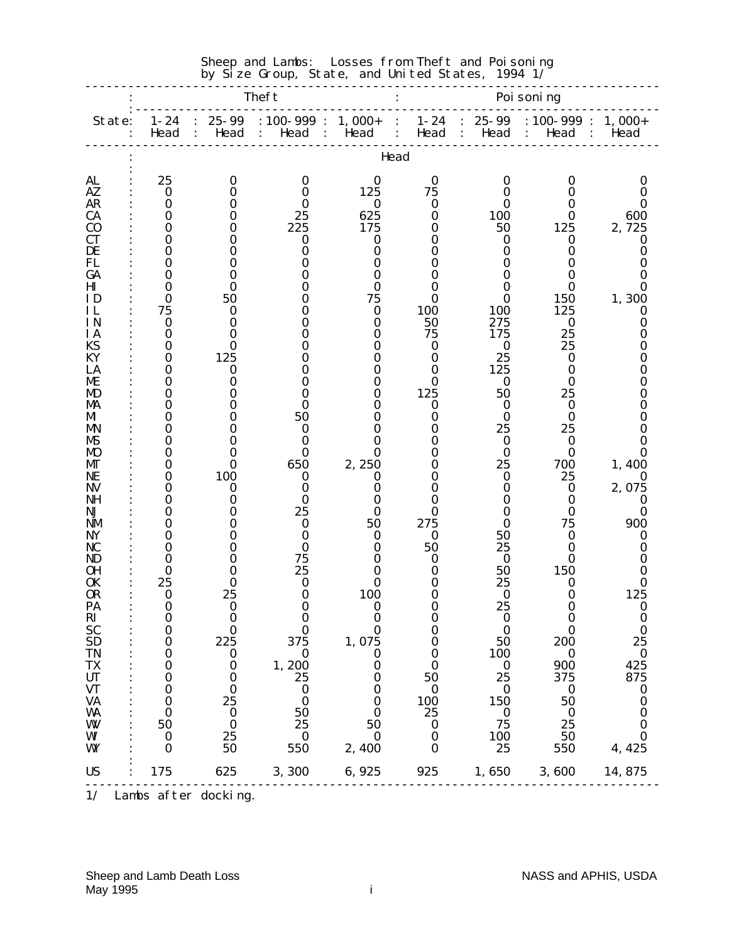|                              |                              |                                           | by Size Group, State, and united States,                             |                   |                                                  |                                                   | 1994 1/                                         |                                   |
|------------------------------|------------------------------|-------------------------------------------|----------------------------------------------------------------------|-------------------|--------------------------------------------------|---------------------------------------------------|-------------------------------------------------|-----------------------------------|
|                              |                              |                                           | <b>Theft</b>                                                         |                   |                                                  |                                                   | Poi soning                                      |                                   |
| State:                       | $1 - 24$<br>Head             | $25 - 99$<br>Head<br>$\ddot{\phantom{0}}$ | $: 100 - 999$ :<br>Head<br>$\mathbb{R}^{\mathbb{Z}}$<br>$\mathbf{L}$ | $1,000+$<br>Head  | $1 - 24$<br>$\mathbf{r}$<br>Head<br>$\mathbf{L}$ | $25 - 99$<br>$\mathbf{L}$<br>Head<br>$\mathbf{L}$ | $: 100 - 999 : 1,000 +$<br>Head<br>$\mathbf{L}$ | Head<br>$\mathbb{R}^{\mathbb{Z}}$ |
|                              |                              |                                           |                                                                      |                   | Head                                             |                                                   |                                                 |                                   |
| AL                           | 25                           | $\bf{0}$                                  | $\bf{0}$                                                             | $\bf{0}$          | $\bf{0}$                                         | $\bf{0}$                                          | 0                                               | $\bf{0}$                          |
| AZ<br><b>AR</b>              | $\bf{0}$<br>$\bf{0}$         | 0<br>0                                    | 0                                                                    | 125<br>$\bf{0}$   | 75<br>$\bf{0}$                                   | 0<br>0                                            | 0<br>0                                          | 0<br>0                            |
| <b>CA</b>                    | $\bf{0}$                     | 0                                         | 25                                                                   | 625               | $\bf{0}$                                         | <b>100</b>                                        | 0                                               | 600                               |
| C <sub>0</sub>               | $\bf{0}$                     | 0                                         | 225                                                                  | 175               | 0                                                | 50                                                | 125                                             | 2,725                             |
| <b>CT</b>                    | 0                            | 0                                         | 0                                                                    | $\bf{0}$          | 0                                                | 0                                                 | 0                                               | 0                                 |
| DE                           | 0                            | 0                                         | 0                                                                    | $\bf{0}$          | 0                                                | 0                                                 | $\bf{0}$                                        | 0                                 |
| FL                           | $\bf{0}$                     | 0                                         |                                                                      | 0                 | 0                                                | 0                                                 | 0                                               | 0                                 |
| GA<br>$\mathbf{H}\mathbf{I}$ | 0<br>0                       | 0<br>0                                    | Ո<br>0                                                               | 0<br>0            | 0<br>0                                           | 0<br>O                                            | O<br>0                                          | O<br>0                            |
| ID                           | $\bf{0}$                     | 50                                        |                                                                      | 75                | 0                                                | 0                                                 | <b>150</b>                                      | 1,300                             |
| ΗL                           | 75                           | 0                                         |                                                                      | $\bf{0}$          | 100                                              | <b>100</b>                                        | 125                                             | 0                                 |
| IN                           | $\bf{0}$                     | 0                                         |                                                                      | $\bf{0}$          | 50                                               | 275                                               | $\bf{0}$                                        | $\bf{0}$                          |
| <b>IA</b>                    | $\bf{0}$                     | 0                                         |                                                                      | 0                 | 75                                               | 175                                               | 25                                              | 0                                 |
| <b>KS</b>                    | 0                            | 0                                         |                                                                      | 0                 | 0                                                | 0                                                 | 25                                              | O                                 |
| KY                           | $\bf{0}$                     | 125                                       |                                                                      | 0                 | $\bf{0}$                                         | 25                                                | 0                                               | 0                                 |
| LA<br>ME                     | 0<br>0                       | $\bf{0}$<br>0                             |                                                                      | 0<br>0            | 0<br>0                                           | 125<br>0                                          | 0<br>0                                          | 0<br>0                            |
| MD                           | $\bf{0}$                     | 0                                         |                                                                      | 0                 | 125                                              | 50                                                | 25                                              | O                                 |
| MA                           | 0                            | 0                                         |                                                                      | 0                 | $\bf{0}$                                         | 0                                                 | 0                                               | O                                 |
| MI                           | 0                            | 0                                         | 50                                                                   | 0                 | 0                                                | 0                                                 | 0                                               | 0                                 |
| MN                           | $\bf{0}$                     | 0                                         | 0                                                                    | O                 | 0                                                | 25                                                | 25                                              |                                   |
| MS                           | 0                            | 0                                         | 0                                                                    | 0                 | 0                                                | 0                                                 | 0                                               | O                                 |
| <b>MO</b>                    | $\bf{0}$<br>$\bf{0}$         | 0<br>0                                    | 0<br>650                                                             | 0                 | 0<br>0                                           | $\bf{0}$<br>25                                    | 0<br>700                                        | 0                                 |
| MГ<br>NE                     | 0                            | 100                                       | 0                                                                    | 2,250<br>0        | 0                                                | 0                                                 | 25                                              | 1,400<br>$\bf{0}$                 |
| <b>NV</b>                    | $\bf{0}$                     | 0                                         | 0                                                                    | 0                 | 0                                                | 0                                                 | $\bf{0}$                                        | 2,075                             |
| NH                           | $\bf{0}$                     | 0                                         | 0                                                                    | 0                 | 0                                                | O                                                 | 0                                               | 0                                 |
| NJ                           | 0                            | 0                                         | 25                                                                   | 0                 | $\mathbf 0$                                      | 0                                                 | 0                                               | 0                                 |
| <b>NM</b>                    | $\bf{0}$                     | 0                                         | 0                                                                    | 50                | 275                                              | 0                                                 | 75                                              | 900                               |
| NY                           | 0                            | 0<br>0                                    | 0                                                                    | 0                 | $\bf{0}$<br>50                                   | 50                                                | 0                                               | 0                                 |
| <b>NC</b><br>ND              | 0<br>0                       | 0                                         | 0<br>75                                                              | 0<br>O            | 0                                                | 25<br>0                                           | 0<br>0                                          | O<br>0                            |
| OН                           | 0                            | 0                                         | 25                                                                   |                   | 0                                                | 50                                                | 150                                             | O                                 |
| <b>OK</b>                    | 25                           | 0                                         | 0                                                                    | O                 | 0                                                | 25                                                | 0                                               | 0                                 |
| 0 <sub>R</sub>               | $\bf{0}$                     | 25                                        | $\bf{0}$                                                             | 100               | $\bf{0}$                                         | $\boldsymbol{0}$                                  | $\bf{0}$                                        | 125                               |
| PA                           | $\bf{0}$                     | $\boldsymbol{0}$                          | 0                                                                    | 0                 |                                                  | 25                                                | 0                                               | 0                                 |
|                              | $\bf{0}$                     | $\bf{0}$                                  | $\bf{0}$                                                             | $\bf{0}$          | $\bf{0}$                                         | $\bf{0}$                                          | $\bf{0}$                                        | $\bf{0}$                          |
|                              | $\bf{0}$<br>$\boldsymbol{0}$ | $\boldsymbol{0}$<br>225                   | $\bf{0}$<br>375                                                      | $\bf{0}$<br>1,075 | $\bf{0}$<br>$\bf{0}$                             | $\bf{0}$<br>50                                    | $\bf{0}$<br>200                                 | $\bf{0}$<br>25                    |
| RI<br>SC<br>SD<br>TN<br>TN   | $\boldsymbol{0}$             | $\bf{0}$                                  | $\bf{0}$                                                             | $\bf{0}$          | $\bf{0}$                                         | 100                                               | $\bf{0}$                                        | $\bf{0}$                          |
|                              | $\bf{0}$                     | $\bf{0}$                                  | 1,200                                                                | $\bf{0}$          | $\bf{0}$                                         | $\bf{0}$                                          | 900                                             | 425                               |
| TX<br>UT<br>UT<br>VA<br>MA   | $\bf{0}$                     | $\bf{0}$                                  | 25                                                                   | 0                 | 50                                               | 25                                                | 375                                             | 875                               |
|                              | $\bf{0}$                     | $\bf{0}$                                  | $\bf{0}$                                                             | 0                 | $\bf{0}$                                         | $\boldsymbol{0}$                                  | $\bf{0}$                                        | $\bf{0}$                          |
|                              | $\bf{0}$                     | 25                                        | $\bf{0}$                                                             | $\bf{0}$          | 100                                              | 150                                               | 50                                              | $\bf{0}$                          |
| <b>WA</b>                    | $\bf{0}$<br>50               | $\bf{0}$<br>$\bf{0}$                      | 50<br>25                                                             | 0<br>50           | 25                                               | $\bf{0}$<br>75                                    | $\bf{0}$<br>25                                  | $\bf{0}$<br>$\bf{0}$              |
| W<br>WI                      | $\bf{0}$                     | 25                                        | $\bf{0}$                                                             | $\bf{0}$          | $\bf{0}$<br>$\bf{0}$                             |                                                   | 50                                              | $\bf{0}$                          |
| WY                           | $\bf{0}$                     | 50                                        | 550                                                                  | 2,400             | $\bf{0}$                                         | $\frac{100}{25}$                                  | 550                                             | 4, 425                            |
|                              |                              |                                           |                                                                      |                   |                                                  |                                                   |                                                 |                                   |
| <b>US</b>                    | 175                          | 625                                       | 3, 300 6, 925                                                        |                   |                                                  |                                                   | 925 1,650 3,600 14,875                          |                                   |

#### Sheep and Lambs: Losses from Theft and Poisoning by Size Group, State, and United States,  $1994$   $1/$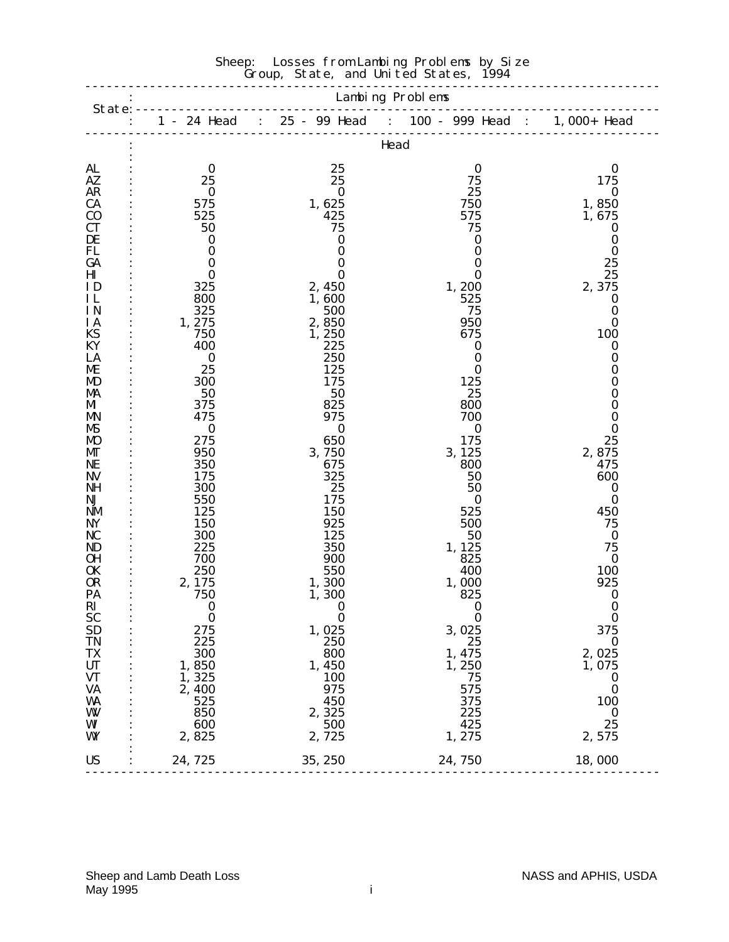|                            |                  |                     | Head             |                              |  |  |  |  |  |
|----------------------------|------------------|---------------------|------------------|------------------------------|--|--|--|--|--|
| <b>AL</b><br>$A\mathbf{Z}$ | $\bf{0}$<br>25   | 25<br>25            | $\bf{0}$<br>75   | $\bf{0}$<br>175              |  |  |  |  |  |
| <b>AR</b>                  | $\bf{0}$         | $\bf{0}$            | 25               | $\boldsymbol{0}$             |  |  |  |  |  |
| CA                         | 575              | 1, 625              | 750              | 1,850                        |  |  |  |  |  |
| $\bf{C0}$                  | 525              | 425                 | 575              | 1,675                        |  |  |  |  |  |
| <b>CT</b>                  | 50               | 75                  | 75               | $\boldsymbol{0}$             |  |  |  |  |  |
| DE                         | $\bf{0}$         | $\bf{0}$            | 0                | $\bf{0}$                     |  |  |  |  |  |
| FL                         | $\bf{0}$         | $\bf{0}$            | $\boldsymbol{0}$ | $\bf{0}$                     |  |  |  |  |  |
| GA                         | $\bf{0}$         | $\bf{0}$            | $\bf{0}$         | 25                           |  |  |  |  |  |
| $\mathbf{H}$               | $\bf{0}$         | 0                   | $\bf{0}$         | 25                           |  |  |  |  |  |
| ID                         | 325              | 2, 450              | 1,200            | 2,375                        |  |  |  |  |  |
| IL                         | 800              | 1,600               | 525              | $\boldsymbol{0}$             |  |  |  |  |  |
| IN<br>IA                   | 325<br>1,275     | 500<br>2,850        | 75<br>950        | $\bf{0}$<br>$\boldsymbol{0}$ |  |  |  |  |  |
| KS                         | 750              | 1,250               | 675              | 100                          |  |  |  |  |  |
| KY                         | 400              | 225                 | $\bf{0}$         | $\bf{0}$                     |  |  |  |  |  |
| LA                         | $\boldsymbol{0}$ | 250                 | $\bf{0}$         | 0                            |  |  |  |  |  |
| ME                         | 25               | 125                 | $\bf{0}$         | 0                            |  |  |  |  |  |
| <b>MD</b>                  | 300              | 175                 | 125              | 0                            |  |  |  |  |  |
| MA                         | 50               | 50                  | 25               | 0                            |  |  |  |  |  |
| M                          | 375              | 825                 | 800              | 0                            |  |  |  |  |  |
| <b>MN</b>                  | 475              | 975                 | 700              | $\boldsymbol{0}$             |  |  |  |  |  |
| MS                         | $\bf{0}$<br>275  | $\bf{0}$            | $\bf{0}$<br>175  | $\boldsymbol{0}$<br>25       |  |  |  |  |  |
| <b>MO</b><br>МT            | 950              | 650<br>3,750        | 3, 125           | 2,875                        |  |  |  |  |  |
| NE                         | 350              | 675                 | 800              | 475                          |  |  |  |  |  |
| <b>NV</b>                  | 175              | 325                 | 50               | 600                          |  |  |  |  |  |
| NH                         | 300              | 25                  | 50               | $\boldsymbol{0}$             |  |  |  |  |  |
| NJ                         | 550              | 175                 | $\bf{0}$         | $\bf{0}$                     |  |  |  |  |  |
| NM                         | 125              | <b>150</b>          | 525              | 450                          |  |  |  |  |  |
| NY                         | 150              | 925                 | 500              | 75                           |  |  |  |  |  |
| NC                         | 300              | 125                 | 50               | $\bf{0}$                     |  |  |  |  |  |
| ND<br><b>OH</b>            | 225<br>700       | 350<br>900          | 1, 125<br>825    | 75<br>$\bf{0}$               |  |  |  |  |  |
| <b>OK</b>                  | 250              | 550                 | 400              | 100                          |  |  |  |  |  |
| <b>OR</b>                  | 2, 175           | 1,300               | 1,000            | 925                          |  |  |  |  |  |
| PA                         | 750              | 1,300               | 825              | $\boldsymbol{0}$             |  |  |  |  |  |
| RI                         | $\bf{0}$         | $\bf{0}$            | $\bf{0}$         | $\bf{0}$                     |  |  |  |  |  |
| <b>SC</b>                  | $\bf{0}$         | $\bf{0}$            | $\bf{0}$         | $\bf{0}$                     |  |  |  |  |  |
| <b>SD</b>                  | 275              | 1,025               | 3,025            | 375                          |  |  |  |  |  |
| <b>TN</b>                  | 225              | 250                 | 25               | $\boldsymbol{0}$             |  |  |  |  |  |
| TX                         | 300              | 800                 | 1, 475           | 2,025                        |  |  |  |  |  |
| <b>UT</b><br><b>VT</b>     | 1,850<br>1,325   | 1,450<br><b>100</b> | 1,250<br>75      | 1,075<br>$\boldsymbol{0}$    |  |  |  |  |  |
| <b>VA</b>                  | 2,400            | 975                 | 575              | $\bf{0}$                     |  |  |  |  |  |
| WA                         | 525              | 450                 | 375              | <b>100</b>                   |  |  |  |  |  |
| W                          | 850              | 2,325               | 225              | $\boldsymbol{0}$             |  |  |  |  |  |
| WI                         | 600              | 500                 | 425              | 25                           |  |  |  |  |  |
| WY                         | 2,825            | 2,725               | 1, 275           | 2,575                        |  |  |  |  |  |
| <b>US</b>                  | 24,725           | 35, 250             | 24,750           | 18,000                       |  |  |  |  |  |
|                            |                  |                     |                  |                              |  |  |  |  |  |

#### Sheep: Losses from Lambing Problems by Size Group, State, and United States, 1994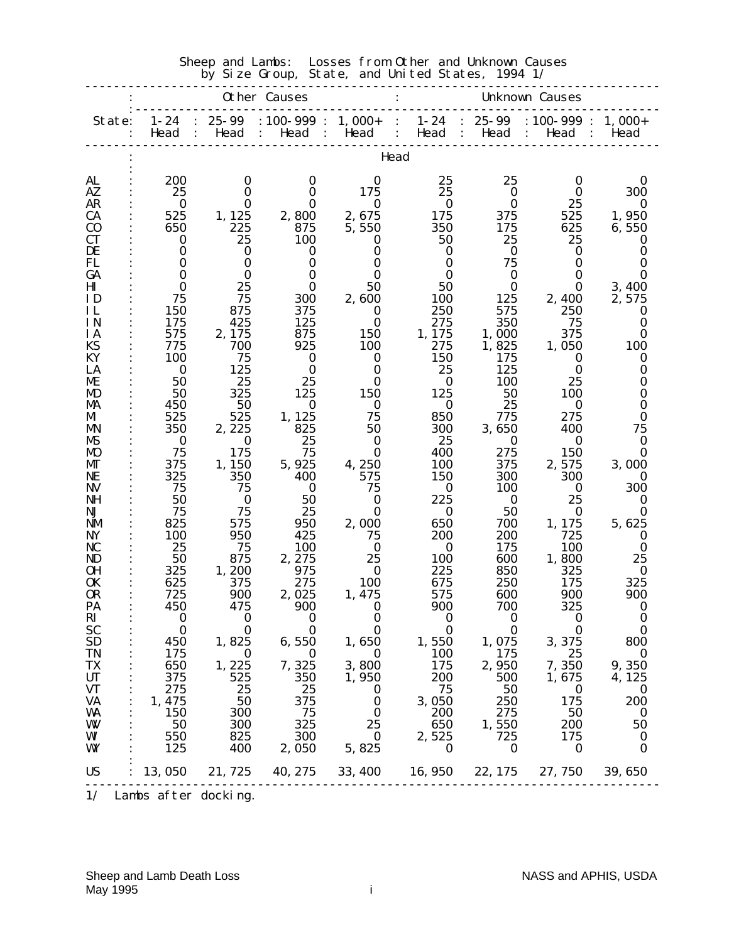|                        | Sheep and Lambs:<br>Losses from Other and Unknown Causes<br>by Size Group, State, and United States, 1994 1/ |                                 |                         |                   |                   |                                     |                                                 |                  |  |
|------------------------|--------------------------------------------------------------------------------------------------------------|---------------------------------|-------------------------|-------------------|-------------------|-------------------------------------|-------------------------------------------------|------------------|--|
|                        |                                                                                                              |                                 | <b>Other Causes</b>     |                   |                   | <b>Unknown Causes</b>               |                                                 |                  |  |
| State:                 | $1 - 24$<br>Head                                                                                             | $25 - 99$<br>Head<br>$\sim$ 1.1 | $: 100 - 999 : 1,000 +$ | Head : Head :     | $1 - 24$<br>Head  | $25 - 99$<br>Head :<br>$\mathbf{L}$ | $: 100 - 999$ :<br>Head<br>$\ddot{\phantom{0}}$ | $1,000+$<br>Head |  |
|                        |                                                                                                              |                                 |                         |                   | Head              |                                     |                                                 |                  |  |
| AL                     | 200                                                                                                          | $\bf{0}$                        | $\bf{0}$                | 0                 | 25                | 25                                  | 0                                               | 0                |  |
| AZ.<br><b>AR</b>       | 25<br>0                                                                                                      | 0<br>0                          | 0<br>$\bf{0}$           | 175<br>0          | 25<br>$\bf{0}$    | $\bf{0}$<br>0                       | 0<br>25                                         | 300<br>0         |  |
| <b>CA</b>              | 525                                                                                                          | 1, 125                          | 2,800                   | 2,675             | 175               | 375                                 | 525                                             | 1,950            |  |
| $\bf{C0}$              | 650                                                                                                          | 225                             | 875                     | 5,550             | 350               | 175                                 | 625                                             | 6,550            |  |
| <b>CT</b>              | $\bf{0}$                                                                                                     | 25                              | 100                     | 0                 | 50                | 25                                  | 25                                              | 0                |  |
| DE                     | 0<br>0                                                                                                       | 0<br>0                          | 0<br>0                  | 0<br>0            | 0<br>0            | $\bf{0}$<br>75                      | 0<br>0                                          | 0<br>0           |  |
| FL<br>GA               | 0                                                                                                            | 0                               | $\bf{0}$                | 0                 | 0                 | $\bf{0}$                            | 0                                               | 0                |  |
| $\mathbf{H}$           | 0                                                                                                            | 25                              | $\bf{0}$                | 50                | 50                | 0                                   | 0                                               | 3,400            |  |
| ID                     | 75                                                                                                           | 75                              | 300                     | 2,600             | 100               | 125                                 | 2,400                                           | 2,575            |  |
| IL                     | <b>150</b>                                                                                                   | 875                             | 375                     | $\bf{0}$          | 250               | 575                                 | 250                                             | 0                |  |
| <b>IN</b><br><b>IA</b> | 175<br>575                                                                                                   | 425<br>2, 175                   | 125<br>875              | 0<br><b>150</b>   | 275<br>1,175      | 350<br>1,000                        | 75<br>375                                       | 0<br>0           |  |
| <b>KS</b>              | 775                                                                                                          | 700                             | 925                     | 100               | 275               | 1,825                               | 1,050                                           | <b>100</b>       |  |
| KY                     | 100                                                                                                          | 75                              | $\bf{0}$                | 0                 | 150               | 175                                 | 0                                               | 0                |  |
| LA                     | 0                                                                                                            | 125                             | 0                       | 0                 | 25                | 125                                 | 0                                               | 0                |  |
| ME                     | 50                                                                                                           | 25                              | 25                      | 0                 | 0                 | 100                                 | 25                                              | 0                |  |
| MD<br>MA               | 50<br>450                                                                                                    | 325<br>50                       | 125<br>0                | 150<br>0          | 125<br>0          | 50<br>25                            | 100<br>0                                        | 0<br>0           |  |
| MI                     | 525                                                                                                          | 525                             | 1, 125                  | 75                | 850               | 775                                 | 275                                             | 0                |  |
| <b>MN</b>              | 350                                                                                                          | 2, 225                          | 825                     | 50                | 300               | 3,650                               | 400                                             | 75               |  |
| MS                     | 0                                                                                                            | 0                               | 25                      | $\bf{0}$          | 25                | $\bf{0}$                            | 0                                               | 0                |  |
| M <sub>D</sub><br>MГ   | 75<br>375                                                                                                    | 175<br>1, 150                   | 75<br>5, 925            | $\bf{0}$<br>4,250 | 400<br>100        | 275<br>375                          | 150<br>2,575                                    | 0<br>3,000       |  |
| NE                     | 325                                                                                                          | 350                             | 400                     | 575               | 150               | 300                                 | 300                                             | $\mathbf{0}$     |  |
| <b>NV</b>              | 75                                                                                                           | 75                              | $\bf{0}$                | 75                | 0                 | <b>100</b>                          | 0                                               | 300              |  |
| NH                     | 50                                                                                                           | $\bf{0}$                        | 50                      | 0                 | 225               | $\bf{0}$                            | 25                                              | 0                |  |
| NJ                     | 75                                                                                                           | 75                              | 25                      | 0                 | $\bf{0}$          | 50                                  | 0                                               | 0                |  |
| <b>NM</b><br>NY        | 825<br><b>100</b>                                                                                            | 575<br>950                      | 950<br>425              | 2,000<br>75       | 650<br>200        | 700<br>200                          | 1, 175<br>725                                   | 5,625<br>0       |  |
| NC                     | 25                                                                                                           | 75                              | 100                     | $\bf{0}$          | 0                 | 175                                 | 100                                             | 0                |  |
| ND                     | 50                                                                                                           | 875                             | 2, 275                  | 25                | 100               | 600                                 | 1,800                                           | 25               |  |
| <b>OH</b>              | 325                                                                                                          | 1,200                           | 975                     | $\bf{0}$          | 225               | 850                                 | 325                                             | 0                |  |
| <b>OK</b><br>0R        | 625<br>725                                                                                                   | 375                             | 275                     | 100               | 675<br>575        | 250<br>600                          | 175                                             | 325<br>900       |  |
| PA                     | 450                                                                                                          | 900<br>475                      | 2,025<br>900            | 1, 475<br>0       | 900               | 700                                 | 900<br>325                                      | $\bf{0}$         |  |
| RI                     | $\bf{0}$                                                                                                     | 0                               | $\bf{0}$                | 0                 | $\bf{0}$          | 0                                   | $\bf{0}$                                        | $\boldsymbol{0}$ |  |
| <b>SC</b>              | $\bf{0}$                                                                                                     | $\bf{0}$                        | $\bf{0}$                | $\bf{0}$          | $\bf{0}$          | $\bf{0}$                            | $\bf{0}$                                        | $\bf{0}$         |  |
| <b>SD</b>              | 450                                                                                                          | 1,825                           | 6,550                   | 1,650             | 1,550             | 1,075                               | 3,375                                           | 800              |  |
| <b>TN</b><br>TX        | 175<br>650                                                                                                   | 0<br>1,225                      | 0<br>7,325              | 0<br>3,800        | <b>100</b><br>175 | 175<br>2,950                        | 25<br>7,350                                     | 0<br>9,350       |  |
| <b>UT</b>              | 375                                                                                                          | 525                             | 350                     | 1,950             | 200               | 500                                 | 1,675                                           | 4, 125           |  |
| <b>VT</b>              | 275                                                                                                          | 25                              | 25                      | $\bf{0}$          | 75                | 50                                  | $\bf{0}$                                        | $\bf{0}$         |  |
| VA                     | 1, 475                                                                                                       | 50                              | 375                     | $\bf{0}$          | 3,050             | 250                                 | 175                                             | 200              |  |
| WA                     | <b>150</b>                                                                                                   | 300                             | 75                      | $\bf{0}$          | 200               | 275                                 | 50                                              | 0                |  |
| W<br>WI                | 50<br>550                                                                                                    | 300<br>825                      | 325<br>300              | 25<br>$\bf{0}$    | 650<br>2,525      | 1,550<br>725                        | 200<br>175                                      | 50<br>$\bf{0}$   |  |
| WY                     | 125                                                                                                          | 400                             | 2,050                   | 5,825             | $\bf{0}$          | $\bf{0}$                            | $\bf{0}$                                        | $\bf{0}$         |  |
| <b>US</b>              | 13,050                                                                                                       | 21,725                          | 40, 275                 | 33, 400           | 16, 950           | 22, 175                             | 27,750                                          | 39,650           |  |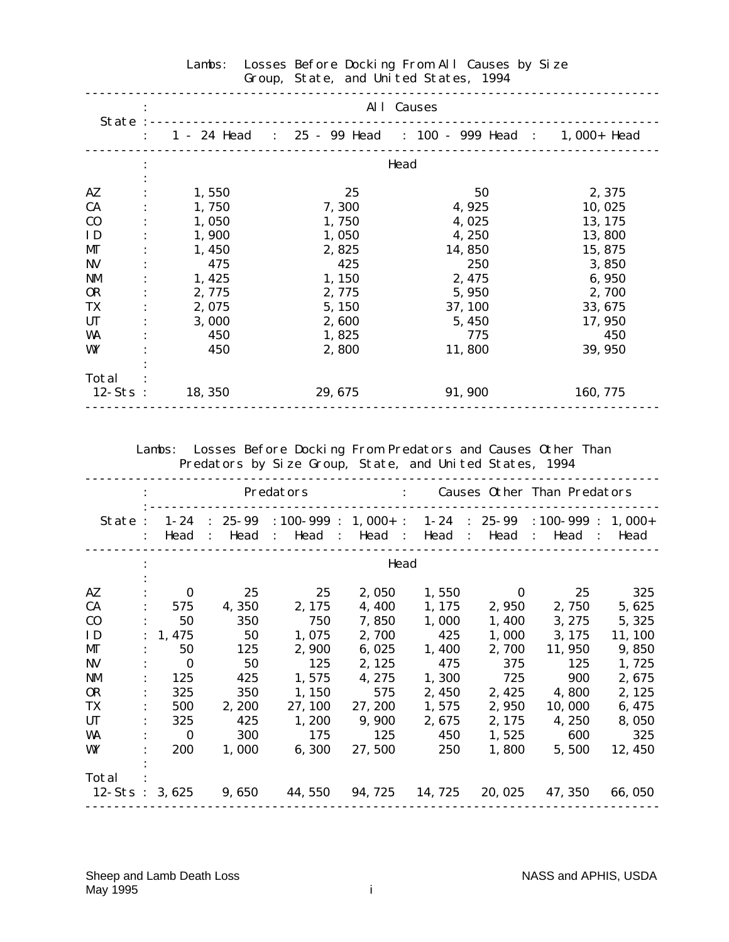|            | All Causes<br>State :---------------------- |         |                                                                      |          |  |  |  |  |  |  |  |
|------------|---------------------------------------------|---------|----------------------------------------------------------------------|----------|--|--|--|--|--|--|--|
|            |                                             |         | $: 1 - 24$ Head $: 25 - 99$ Head $: 100 - 999$ Head $: 1,000 +$ Head |          |  |  |  |  |  |  |  |
|            |                                             |         | Head                                                                 |          |  |  |  |  |  |  |  |
| AZ         | 1,550                                       | 25      | 50                                                                   | 2,375    |  |  |  |  |  |  |  |
| <b>CA</b>  | 1,750                                       | 7,300   | 4,925                                                                | 10,025   |  |  |  |  |  |  |  |
| $\bf{C0}$  | 1,050                                       | 1,750   | 4,025                                                                | 13, 175  |  |  |  |  |  |  |  |
| ID         | 1,900                                       | 1,050   | 4, 250                                                               | 13,800   |  |  |  |  |  |  |  |
| MГ         | 1,450                                       | 2,825   | 14,850                                                               | 15, 875  |  |  |  |  |  |  |  |
| <b>NV</b>  | 475                                         | 425     | 250                                                                  | 3,850    |  |  |  |  |  |  |  |
| NM         | 1,425                                       | 1,150   | 2, 475                                                               | 6,950    |  |  |  |  |  |  |  |
| <b>OR</b>  | 2,775                                       | 2,775   | 5,950                                                                | 2,700    |  |  |  |  |  |  |  |
| TX         | 2,075                                       | 5, 150  | 37, 100                                                              | 33, 675  |  |  |  |  |  |  |  |
| <b>UT</b>  | 3,000                                       | 2,600   | 5, 450                                                               | 17, 950  |  |  |  |  |  |  |  |
| WA         | 450                                         | 1,825   | 775                                                                  | 450      |  |  |  |  |  |  |  |
| WY         | 450                                         | 2,800   | 11,800                                                               | 39, 950  |  |  |  |  |  |  |  |
| Total      |                                             |         |                                                                      |          |  |  |  |  |  |  |  |
| $12-Sts$ : | 18, 350                                     | 29, 675 | 91, 900                                                              | 160, 775 |  |  |  |  |  |  |  |

# Lambs: Losses Before Docking From All Causes by Size Group, State, and United States, 1994

 Lambs: Losses Before Docking From Predators and Causes Other Than Predators by Size Group, State, and United States, 1994

|                             |                  |                |               | Predators      |                                                     |         | $\mathbf{r}$         |                  |                | Causes Other Than Predators |                |         |                                 |
|-----------------------------|------------------|----------------|---------------|----------------|-----------------------------------------------------|---------|----------------------|------------------|----------------|-----------------------------|----------------|---------|---------------------------------|
| State:                      | $1 - 24$<br>Head | $\ddot{\cdot}$ | 25-99<br>Head | $\ddot{\cdot}$ | $: 100 - 999 : 1,000 + :$<br>Head<br>$\mathbb{R}^2$ | Head    | $\ddot{\phantom{0}}$ | $1 - 24$<br>Head | $\ddot{\cdot}$ | $: 25 - 99$<br>Head         | $\ddot{\cdot}$ | Head    | $: 100 - 999 : 1,000 +$<br>Head |
|                             |                  |                |               |                |                                                     |         | Head                 |                  |                |                             |                |         |                                 |
| AZ                          | $\bf{0}$         |                | 25            |                | 25                                                  | 2,050   |                      | 1,550            |                | $\bf{0}$                    |                | 25      | 325                             |
| <b>CA</b>                   | 575              |                | 4,350         |                | 2, 175                                              | 4,400   |                      | 1, 175           |                | 2,950                       |                | 2,750   | 5,625                           |
| $\bf CO$                    | 50               |                | 350           |                | 750                                                 | 7,850   |                      | 1,000            |                | 1, 400                      |                | 3, 275  | 5, 325                          |
| <b>ID</b>                   | 1, 475           |                | 50            |                | 1,075                                               | 2,700   |                      | 425              |                | 1,000                       |                | 3, 175  | 11, 100                         |
| MГ                          | 50               |                | 125           |                | 2,900                                               | 6,025   |                      | 1,400            |                | 2,700                       |                | 11, 950 | 9,850                           |
| <b>NV</b>                   | $\bf{0}$         |                | 50            |                | 125                                                 | 2, 125  |                      | 475              |                | 375                         |                | 125     | 1,725                           |
| <b>NM</b>                   | 125              |                | 425           |                | 1,575                                               | 4, 275  |                      | 1,300            |                | 725                         |                | 900     | 2,675                           |
| <b>OR</b>                   | 325              |                | 350           |                | 1, 150                                              | 575     |                      | 2,450            |                | 2, 425                      |                | 4,800   | 2, 125                          |
| TX                          | 500              |                | 2, 200        |                | 27, 100                                             | 27, 200 |                      | 1,575            |                | 2,950                       |                | 10,000  | 6, 475                          |
| <b>UT</b>                   | 325              |                | 425           |                | 1,200                                               | 9,900   |                      | 2,675            |                | 2, 175                      |                | 4, 250  | 8,050                           |
| WA                          | $\bf{0}$         |                | 300           |                | 175                                                 | 125     |                      | 450              |                | 1,525                       |                | 600     | 325                             |
| WY                          | 200              |                | 1,000         |                | 6,300                                               | 27,500  |                      | 250              |                | 1,800                       |                | 5,500   | 12, 450                         |
|                             |                  |                |               |                |                                                     |         |                      |                  |                |                             |                |         |                                 |
| Total<br>$12-S$ ts: $3,625$ |                  |                | 9,650         |                | 44, 550                                             | 94, 725 |                      | 14, 725          |                | 20, 025                     |                | 47, 350 | 66, 050                         |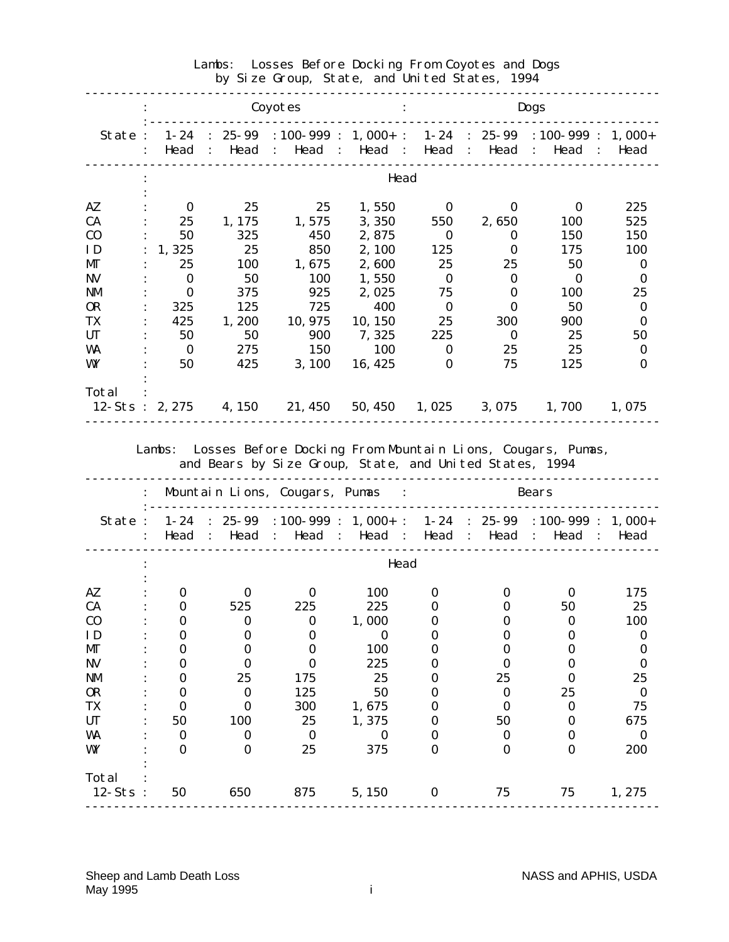|                         |                |          |            | Coyotes |                                                                                                      |         |        |              |              | <b>Dogs</b>   |                              |          |
|-------------------------|----------------|----------|------------|---------|------------------------------------------------------------------------------------------------------|---------|--------|--------------|--------------|---------------|------------------------------|----------|
| State:                  | $\ddot{\cdot}$ | Head :   | Head       |         | $1-24$ : $25-99$ : $100-999$ : $1,000+$ : $1-24$ : $25-99$ : $100-999$ : $1,000+$<br>: Head : Head : |         |        | Head :       | Head         | $\mathcal{L}$ | Head                         | : Head   |
|                         |                |          |            |         |                                                                                                      |         | Head   |              |              |               |                              |          |
| AZ                      |                | $\bf{0}$ | 25         |         | 25                                                                                                   |         | 1,550  | $\bf{0}$     | $\bf{0}$     |               | $\bf{0}$                     | 225      |
| CA                      |                | 25       | 1, 175     |         | 1,575                                                                                                |         | 3,350  | 550          | 2,650        |               | <b>100</b>                   | 525      |
| $\bf{C0}$               |                | 50       | 325        |         | 450                                                                                                  |         | 2,875  | $\bf{0}$     | $\bf{0}$     |               | 150                          | 150      |
| ID                      |                | 1,325    | 25         |         | 850                                                                                                  |         | 2, 100 | 125          | $\bf{0}$     |               | 175                          | 100      |
| MГ                      |                | 25       | <b>100</b> |         | 1,675                                                                                                |         | 2,600  | 25           | 25           |               | 50                           | $\bf{0}$ |
| <b>NV</b>               |                | $\bf{0}$ | 50         |         | 100                                                                                                  |         | 1,550  | $\mathbf{0}$ | $\bf{0}$     |               | $\mathbf{0}$                 | $\bf{0}$ |
| <b>NM</b>               |                | $\bf{0}$ | 375        |         | 925                                                                                                  |         | 2,025  | 75           | $\bf{0}$     |               | 100                          | 25       |
| <b>OR</b>               |                | 325      | 125        |         | 725                                                                                                  |         | 400    | $\mathbf{0}$ | $\mathbf{0}$ |               | 50                           | $\bf{0}$ |
| TX                      |                | 425      | 1,200      |         | 10, 975                                                                                              | 10, 150 |        | 25           | 300          |               | 900                          | $\bf{0}$ |
| <b>UT</b>               |                | 50       | 50         |         | 900                                                                                                  | 7, 325  |        | 225          | $\mathbf{0}$ |               | 25                           | 50       |
| WA                      |                | $\bf{0}$ | 275        |         | 150                                                                                                  |         | 100    | $\bf{0}$     | 25           |               | 25                           | $\bf{0}$ |
| WY                      |                | 50       | 425        |         | <b>3, 100</b>                                                                                        | 16, 425 |        | $\bf{0}$     | 75           |               | 125                          | $\bf{0}$ |
|                         |                |          |            |         |                                                                                                      |         |        |              |              |               |                              |          |
| Total                   |                |          |            |         |                                                                                                      |         |        |              |              |               |                              |          |
| $12-Sts : 2,275$ 4, 150 |                |          |            |         | 21, 450                                                                                              |         |        |              |              |               | 50, 450 1, 025 3, 075 1, 700 | 1,075    |

## Lambs: Losses Before Docking From Coyotes and Dogs by Size Group, State, and United States, 1994

and Bears by Size Group, State, and United States, 1994

|                     |              |              | Mountain Lions, Cougars, Pumas | $\sim$ 1.                                                                                                                      |              |          | <b>Bears</b> |              |
|---------------------|--------------|--------------|--------------------------------|--------------------------------------------------------------------------------------------------------------------------------|--------------|----------|--------------|--------------|
| State:              | $1 - 24$     |              |                                | : $25-99$ : 100-999 : 1,000+ : 1-24 : 25-99 : 100-999 : 1,000+<br>Head : Head : Head : Head : Head : Head : Head : Head : Head |              |          |              |              |
|                     |              |              |                                | Head                                                                                                                           |              |          |              |              |
| AZ                  | $\bf{0}$     | $\Omega$     | $\mathbf{0}$                   | <b>100</b>                                                                                                                     | 0            | 0        | $\bf{0}$     | 175          |
| <b>CA</b>           | $\bf{0}$     | 525          | 225                            | 225                                                                                                                            | 0            | 0        | 50           | 25           |
| C <sub>0</sub>      | 0            | 0            | $\bf{0}$                       | 1,000                                                                                                                          |              |          | 0            | 100          |
| ID                  | 0            | 0            | 0                              | $\Omega$                                                                                                                       |              |          |              | 0            |
| MГ                  | 0            | 0            | 0                              | 100                                                                                                                            |              |          |              | 0            |
| <b>NV</b>           | 0            | $\mathbf 0$  | 0                              | 225                                                                                                                            |              | 0        |              | $\bf{0}$     |
| <b>NM</b>           | 0            | 25           | 175                            | 25                                                                                                                             |              | 25       |              | 25           |
| <b>OR</b>           | 0            | $\bf{0}$     | 125                            | 50                                                                                                                             |              | $\bf{0}$ | 25           | $\bf{0}$     |
| TX                  | 0            | $\Omega$     | <b>300</b>                     | 1,675                                                                                                                          | 0            | 0        | 0            | 75           |
| <b>UT</b>           | 50           | 100          | 25                             | 1,375                                                                                                                          |              | 50       | 0            | 675          |
| <b>WA</b>           | $\bf{0}$     | $\mathbf{0}$ | $\mathbf{0}$                   | $\mathbf 0$                                                                                                                    |              | $\Omega$ |              | $\mathbf{0}$ |
| WY                  | $\mathbf{0}$ | $\Omega$     | 25                             | 375                                                                                                                            | 0            | $\Omega$ |              | 200          |
|                     |              |              |                                |                                                                                                                                |              |          |              |              |
| Total<br>$12-Sts$ : | 50           | 650          | 875                            | 5, 150                                                                                                                         | $\mathbf{0}$ | 75       | 75           | 1, 275       |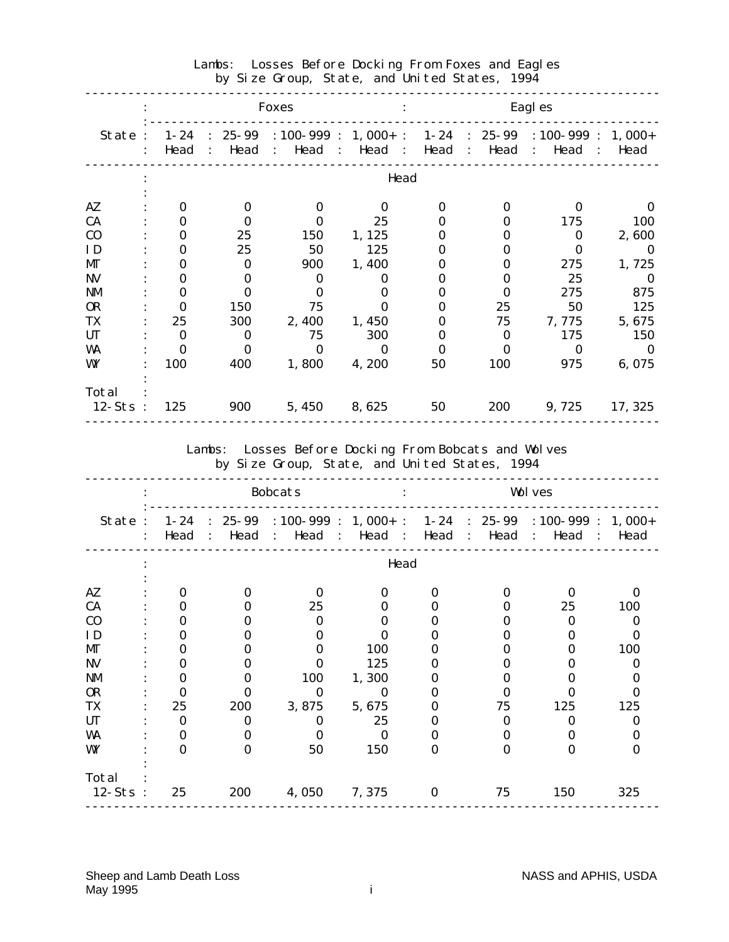|                                                                                                                     |                  |                      | <b>Foxes</b>            |                                                                                                |          |                  | Eagl es                                                        |                      |
|---------------------------------------------------------------------------------------------------------------------|------------------|----------------------|-------------------------|------------------------------------------------------------------------------------------------|----------|------------------|----------------------------------------------------------------|----------------------|
| State:                                                                                                              | $1 - 24$<br>Head | Head                 | Head :<br>$\mathcal{L}$ | $: 25-99 : 100-999 : 1,000+ :$<br>Head :                                                       | Head     | Head             | $1-24$ : 25-99 : 100-999 : 1,000+<br>Head<br>$\mathcal{L}$     | : Head               |
|                                                                                                                     |                  |                      |                         | Head                                                                                           |          |                  |                                                                |                      |
| $A\mathbf{Z}$                                                                                                       | $\bf{0}$         | $\bf{0}$             | $\bf{0}$                | $\bf{0}$                                                                                       | $\bf{0}$ | $\bf{0}$         | $\bf{0}$                                                       | $\bf{0}$             |
| CA                                                                                                                  | $\bf{0}$         | $\bf{0}$             | $\bf{0}$                | 25                                                                                             | $\bf{0}$ | $\bf{0}$         | 175                                                            | 100                  |
| C <sub>0</sub>                                                                                                      | $\bf{0}$         | 25                   | 150                     | 1, 125                                                                                         | $\bf{0}$ | $\bf{0}$         | $\bf{0}$                                                       | 2,600                |
| ID                                                                                                                  | $\bf{0}$         | 25                   | 50                      | 125                                                                                            | $\bf{0}$ | 0                | $\bf{0}$                                                       | $\bf{0}$             |
| MГ                                                                                                                  | $\bf{0}$         | $\bf{0}$             | 900                     | 1,400                                                                                          | $\bf{0}$ | 0                | 275                                                            | 1,725                |
| <b>NV</b>                                                                                                           | $\bf{0}$         | $\bf{0}$             | $\bf{0}$                | $\bf{0}$                                                                                       | $\bf{0}$ | 0                | 25                                                             | $\bf{0}$             |
| $\mathbf{N}\mathbf{M}$                                                                                              | $\bf{0}$         | $\bf{0}$             | $\bf{0}$                | $\bf{0}$                                                                                       | $\bf{0}$ | $\bf{0}$         | 275                                                            | 875                  |
| <b>OR</b>                                                                                                           | $\bf{0}$         | 150                  | 75                      | $\bf{0}$                                                                                       | $\bf{0}$ | 25               | 50                                                             | 125                  |
| TX                                                                                                                  | 25               | 300                  | 2,400                   | 1,450                                                                                          | $\bf{0}$ | 75               | 7,775                                                          | 5,675                |
| <b>UT</b>                                                                                                           | $\bf{0}$         | $\bf{0}$             | 75                      | 300                                                                                            | $\bf{0}$ | $\bf{0}$         | 175                                                            | 150                  |
| WA                                                                                                                  | $\bf{0}$         | $\bf{0}$             | $\bf{0}$                | $\bf{0}$                                                                                       | $\bf{0}$ | $\bf{0}$         | $\bf{0}$                                                       | $\bf{0}$             |
| WY                                                                                                                  | 100              | 400                  | 1,800                   | 4,200                                                                                          | 50       | 100              | 975                                                            | 6,075                |
|                                                                                                                     |                  |                      |                         |                                                                                                |          |                  |                                                                |                      |
| Total                                                                                                               |                  |                      |                         |                                                                                                |          |                  |                                                                |                      |
| $12-Sts$ :                                                                                                          | 125              | 900                  | 5,450                   | 8,625                                                                                          | 50       | 200              | 9,725                                                          | 17, 325              |
|                                                                                                                     |                  | Lambs:               |                         | Losses Before Docking From Bobcats and Wolves<br>by Size Group, State, and United States, 1994 |          |                  |                                                                |                      |
|                                                                                                                     |                  |                      | <b>Bobcats</b>          |                                                                                                |          |                  | <b>Wolves</b>                                                  |                      |
| State:                                                                                                              | $1 - 24$<br>Head | Head                 | $\mathbf{I}$            | $: 25-99 : 100-999 : 1,000+ :$<br>Head : Head :                                                | Head :   | Head             | $1-24$ : 25-99 : 100-999 : 1,000+<br>Head<br>$\sim$ 100 $\sim$ | : Head               |
|                                                                                                                     |                  |                      |                         | Head                                                                                           |          |                  |                                                                |                      |
|                                                                                                                     |                  |                      |                         |                                                                                                |          |                  |                                                                |                      |
|                                                                                                                     | $\bf{0}$         | $\bf{0}$             | $\bf{0}$                | $\bf{0}$                                                                                       | $\bf{0}$ | 0                | $\bf{0}$                                                       | $\bf{0}$             |
|                                                                                                                     | 0                | $\bf{0}$             | 25<br>$\bf{0}$          | $\bf{0}$<br>$\bf{0}$                                                                           | $\bf{0}$ | 0<br>0           | 25<br>$\bf{0}$                                                 | 100<br>$\bf{0}$      |
|                                                                                                                     | $\bf{0}$         | $\bf{0}$<br>0        | 0                       |                                                                                                | $\bf{0}$ | $\bf{0}$         |                                                                |                      |
|                                                                                                                     | $\bf{0}$         | 0                    | 0                       | $\bf{0}$                                                                                       | $\bf{0}$ | 0                | $\bf{0}$<br>0                                                  | $\bf{0}$             |
|                                                                                                                     | $\bf{0}$         |                      | $\bf{0}$                | 100                                                                                            | $\bf{0}$ | O                | 0                                                              | 100                  |
|                                                                                                                     | $\bf{0}$         | 0                    |                         | 125                                                                                            | 0        | 0                |                                                                | $\bf{0}$             |
|                                                                                                                     | $\bf{0}$         | $\bf{0}$             | 100                     | 1,300                                                                                          | 0        |                  | $\boldsymbol{0}$                                               | $\boldsymbol{0}$     |
|                                                                                                                     | $\bf{0}$         | $\bf{0}$             | $\bf{0}$                | $\bf{0}$                                                                                       | 0        | $\boldsymbol{0}$ | $\bf{0}$                                                       | $\bf{0}$             |
|                                                                                                                     | 25               | 200                  | 3,875                   | 5,675                                                                                          | 0        | 75               | 125                                                            | 125                  |
|                                                                                                                     | $\bf{0}$         | $\bf{0}$             | $\bf{0}$                | 25                                                                                             | $\bf{0}$ | $\bf{0}$<br>0    | $\bf{0}$                                                       | $\bf{0}$             |
|                                                                                                                     | $\bf{0}$         | $\bf{0}$<br>$\bf{0}$ | $\bf{0}$                | $\bf{0}$                                                                                       | $\bf{0}$ | $\bf{0}$         | $\boldsymbol{0}$<br>$\bf{0}$                                   | $\bf{0}$<br>$\bf{0}$ |
| $A\mathbf{Z}$<br>CA<br>C <sub>0</sub><br>ID<br>МГ<br>$N$ V<br><b>NM</b><br><b>OR</b><br>TX<br><b>UT</b><br>WA<br>WY | $\bf{0}$         |                      | 50                      | 150                                                                                            | $\bf{0}$ |                  |                                                                |                      |
| Total                                                                                                               |                  |                      |                         |                                                                                                |          |                  |                                                                |                      |

# Lambs: Losses Before Docking From Foxes and Eagles by Size Group, State, and United States, 1994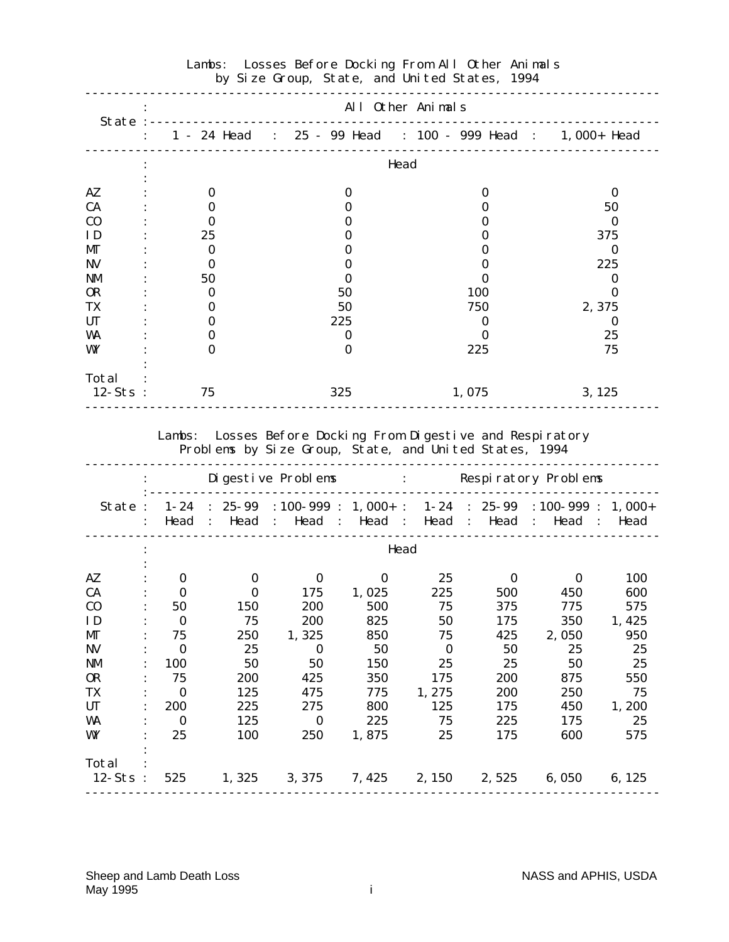|                | All Other Animals |                                                             |              |          |  |  |  |  |  |  |  |
|----------------|-------------------|-------------------------------------------------------------|--------------|----------|--|--|--|--|--|--|--|
| State:         |                   | : 1 - 24 Head : 25 - 99 Head : 100 - 999 Head : 1,000+ Head |              |          |  |  |  |  |  |  |  |
|                |                   |                                                             | Head         |          |  |  |  |  |  |  |  |
| AZ             | $\bf{0}$          |                                                             | 0            | 0        |  |  |  |  |  |  |  |
| <b>CA</b>      | o                 |                                                             |              | 50       |  |  |  |  |  |  |  |
| C <sub>0</sub> | O                 |                                                             |              | 0        |  |  |  |  |  |  |  |
| ID             | 25                |                                                             |              | 375      |  |  |  |  |  |  |  |
| MГ             | $\bf{0}$          |                                                             |              | 0        |  |  |  |  |  |  |  |
| NV             | $\bf{0}$          |                                                             |              | 225      |  |  |  |  |  |  |  |
| <b>NM</b>      | 50                |                                                             |              |          |  |  |  |  |  |  |  |
| <b>OR</b>      | 0                 | 50                                                          | 100          |          |  |  |  |  |  |  |  |
| TX             | $\mathbf{0}$      | 50                                                          | 750          | 2,375    |  |  |  |  |  |  |  |
| <b>UT</b>      | 0                 | 225                                                         | 0            | $\bf{0}$ |  |  |  |  |  |  |  |
| WA             | O                 | 0                                                           | $\mathbf{0}$ | 25       |  |  |  |  |  |  |  |
| WY             | $\Omega$          |                                                             | 225          | 75       |  |  |  |  |  |  |  |
| Total          |                   |                                                             |              |          |  |  |  |  |  |  |  |
| $12-Sts$ :     | 75                | 325                                                         | 1,075        | 3, 125   |  |  |  |  |  |  |  |

#### Lambs: Losses Before Docking From All Other Animals by Size Group, State, and United States, 1994

 Lambs: Losses Before Docking From Digestive and Respiratory Problems by Size Group, State, and United States, 1994

|            |                      |                    |          | Di gesti ve Problems                                                                                                           |       |          |                         | : Respiratory Problems      |        |
|------------|----------------------|--------------------|----------|--------------------------------------------------------------------------------------------------------------------------------|-------|----------|-------------------------|-----------------------------|--------|
| State:     | $\ddot{\phantom{a}}$ | $1 - 24$<br>Head : | Head     | : $25-99$ : $100-999$ : $1,000+$ : $1-24$ : $25-99$ : $100-999$ : $1,000+$<br>$\therefore$ Head $\therefore$ Head $\therefore$ |       | Head     | $\sim$ 1.               | Head : Head<br>$\mathbf{r}$ | Head   |
|            |                      |                    |          |                                                                                                                                |       | Head     |                         |                             |        |
| AZ         |                      | $\bf{0}$           | $\bf{0}$ | $\bf{0}$                                                                                                                       | 0     | 25       | $\mathbf{0}$            | $\mathbf{0}$                | 100    |
| CA         |                      | $\mathbf{0}$       | $\bf{0}$ | 175                                                                                                                            | 1,025 | 225      | 500                     | 450                         | 600    |
| $\bf CO$   |                      | 50                 | 150      | 200                                                                                                                            | 500   | 75       | 375                     | 775                         | 575    |
| ID         |                      | $\mathbf{0}$       | 75       | 200                                                                                                                            | 825   | 50       | 175                     | 350                         | 1,425  |
| MГ         |                      | 75                 | 250      | 1,325                                                                                                                          | 850   | 75       | 425                     | 2,050                       | 950    |
| <b>NV</b>  |                      | $\bf{0}$           | 25       | $\bf{0}$                                                                                                                       | 50    | $\bf{0}$ | 50                      | 25                          | 25     |
| NM         |                      | 100                | 50       | 50                                                                                                                             | 150   | 25       | 25                      | 50                          | 25     |
| <b>OR</b>  |                      | 75                 | 200      | 425                                                                                                                            | 350   | 175      | 200                     | 875                         | 550    |
| TX         |                      | $\bf{0}$           | 125      | 475                                                                                                                            | 775   | 1,275    | 200                     | 250                         | 75     |
| <b>UT</b>  |                      | 200                | 225      | 275                                                                                                                            | 800   | 125      | 175                     | 450                         | 1,200  |
| WA         |                      | $\mathbf{0}$       | 125      | $\bf{0}$                                                                                                                       | 225   | 75       | 225                     | 175                         | 25     |
| WY         |                      | 25                 | 100      | 250                                                                                                                            | 1,875 | 25       | 175                     | 600                         | 575    |
| Total      |                      |                    |          |                                                                                                                                |       |          |                         |                             |        |
| $12-Sts$ : |                      | 525                | 1,325    | 3, 375                                                                                                                         |       |          | $7,425$ $2,150$ $2,525$ | 6,050                       | 6, 125 |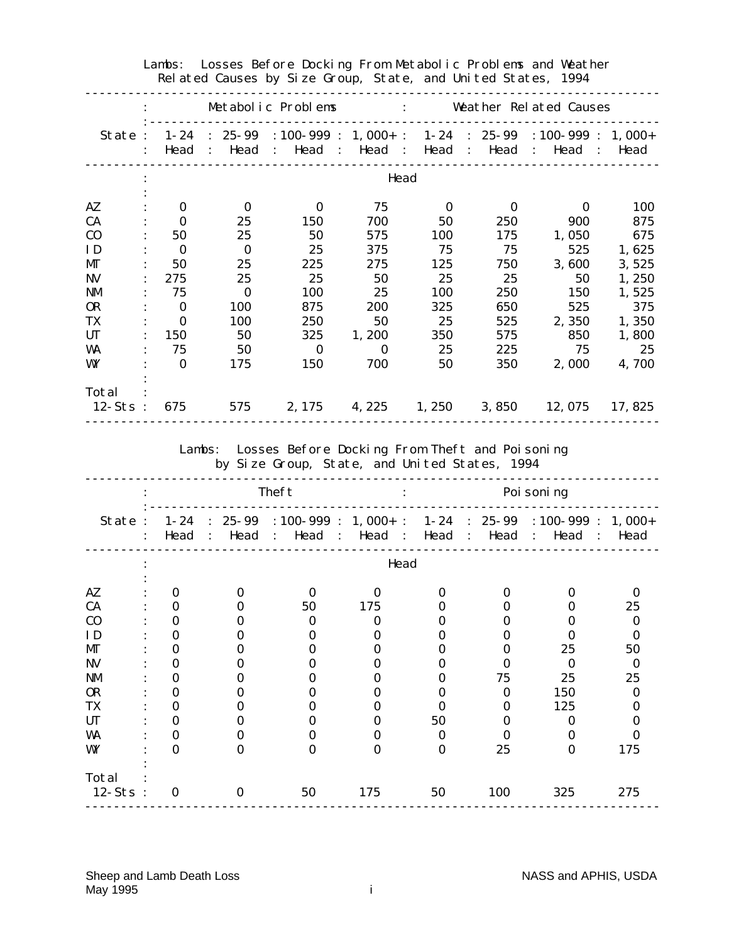|                                                                                     |                      |          | Metabolic Problems : Weather Related Causes                                                                                     |                       |                      |                        |                                                 |                |
|-------------------------------------------------------------------------------------|----------------------|----------|---------------------------------------------------------------------------------------------------------------------------------|-----------------------|----------------------|------------------------|-------------------------------------------------|----------------|
|                                                                                     |                      |          | State: 1-24: 25-99:100-999: 1,000+: 1-24: 25-99:100-999: 1,000+<br>Head : Head : Head : Head : Head : Head : Head : Head : Head |                       |                      |                        |                                                 |                |
|                                                                                     |                      |          |                                                                                                                                 | Head                  |                      |                        |                                                 |                |
| $A\mathbf{Z}$                                                                       | $\bf{0}$             | $\bf{0}$ | $\bf{0}$                                                                                                                        | 75                    | $\bf{0}$             | $\bf{0}$               | $\bf{0}$                                        | <b>100</b>     |
| CA                                                                                  | $\bf{0}$             | 25       | 150                                                                                                                             | 700                   | 50                   | 250                    | 900                                             | 875            |
| C <sub>0</sub>                                                                      | 50                   | 25       | 50                                                                                                                              | 575                   | 100                  | 175                    | 1,050                                           | 675            |
| ID                                                                                  | $\bf{0}$             | $\bf{0}$ | 25                                                                                                                              | 375                   | 75                   | 75                     | 525                                             | 1,625          |
| МГ                                                                                  | 50                   | 25       | 225                                                                                                                             | 275                   | 125                  | 750                    | 3,600                                           | 3,525          |
| <b>NV</b>                                                                           | 275                  | 25       | 25                                                                                                                              | 50                    | 25                   | 25                     | 50                                              | 1,250          |
| <b>NM</b>                                                                           | 75                   | $\bf{0}$ | 100                                                                                                                             | 25                    | 100                  | 250                    | 150                                             | 1,525          |
| <b>OR</b>                                                                           | $\bf{0}$             | 100      | 875                                                                                                                             | 200                   | 325                  | 650                    | 525                                             | 375            |
| TX                                                                                  | $\bf{0}$             | 100      | 250                                                                                                                             | 50                    | 25                   | 525                    | 2,350                                           | 1,350          |
| <b>UT</b>                                                                           | 150                  | 50       | 325                                                                                                                             | 1,200                 | 350                  | 575                    | 850                                             | 1,800          |
| WA                                                                                  | 75                   | 50       | $\bf{0}$                                                                                                                        | $\bf{0}$              | 25                   | 225                    | 75                                              | 25             |
| WY                                                                                  | $\bf{0}$             | 175      | 150                                                                                                                             | 700                   | 50                   | 350                    | 2,000                                           | 4,700          |
| Total                                                                               |                      |          |                                                                                                                                 |                       |                      |                        |                                                 |                |
|                                                                                     |                      |          |                                                                                                                                 |                       |                      |                        | 575 2, 175 4, 225 1, 250 3, 850 12, 075 17, 825 |                |
| $12-Sts$ :                                                                          | 675                  |          | Lambs: Losses Before Docking From Theft and Poisoning<br>by Size Group, State, and United States, 1994                          |                       |                      |                        |                                                 |                |
|                                                                                     |                      |          | Theft                                                                                                                           | $\sim 100$ M $_\odot$ |                      |                        | Poi soni ng                                     |                |
|                                                                                     |                      |          | State: 1-24: 25-99:100-999: 1,000+: 1-24: 25-99:100-999: 1,000+<br>Head : Head : Head : Head : Head : Head : Head : Head : Head |                       |                      |                        |                                                 |                |
|                                                                                     |                      |          |                                                                                                                                 | Head                  |                      |                        |                                                 |                |
|                                                                                     | $\bf{0}$             | $\bf{0}$ | $\bf{0}$                                                                                                                        | $\bf{0}$              | $\bf{0}$             | $\bf{0}$               | $\bf{0}$                                        | $\bf{0}$       |
|                                                                                     | 0                    | 0        | 50                                                                                                                              | 175                   | $\bf{0}$             | 0                      | $\bf{0}$                                        | 25             |
|                                                                                     |                      | 0        | $\bf{0}$                                                                                                                        |                       | $\bf{0}$             | 0                      |                                                 | $\bf{0}$       |
|                                                                                     | $\bf{0}$<br>$\bf{0}$ | 0        | $\bf{0}$                                                                                                                        | $\bf{0}$<br>$\bf{0}$  | $\bf{0}$             | 0                      | $\boldsymbol{0}$<br>$\bf{0}$                    | $\bf{0}$       |
|                                                                                     | $\boldsymbol{0}$     | 0        | $\bf{0}$                                                                                                                        | $\bf{0}$              | 0                    | $\boldsymbol{0}$       |                                                 |                |
|                                                                                     | $\boldsymbol{0}$     | 0        | $\bf{0}$                                                                                                                        | $\bf{0}$              | 0                    | $\boldsymbol{0}$       | 25<br>$\bf{0}$                                  | 50<br>$\bf{0}$ |
|                                                                                     | 0                    | 0        | $\bf{0}$                                                                                                                        | $\bf{0}$              | 0                    | 75                     | 25                                              | 25             |
|                                                                                     | 0                    | 0        | $\bf{0}$                                                                                                                        | $\bf{0}$              | $\boldsymbol{0}$     | $\bf{0}$               |                                                 | $\bf{0}$       |
|                                                                                     | 0                    | 0        | $\bf{0}$                                                                                                                        | $\bf{0}$              | $\bf{0}$             | $\boldsymbol{0}$       | 150                                             | $\bf{0}$       |
| AZ<br>CA<br>C <sub>0</sub><br>ID<br>МГ<br><b>NV</b><br><b>NM</b><br><b>OR</b><br>TX |                      | 0        |                                                                                                                                 |                       |                      |                        | 125                                             |                |
|                                                                                     | 0                    |          | $\bf{0}$                                                                                                                        | $\bf{0}$              | 50                   | $\boldsymbol{0}$       | $\bf{0}$                                        | $\bf{0}$       |
|                                                                                     | $\bf{0}$<br>$\bf{0}$ | 0<br>0   | $\bf{0}$<br>$\bf{0}$                                                                                                            | $\bf{0}$<br>$\bf{0}$  | $\bf{0}$<br>$\bf{0}$ | $\boldsymbol{0}$<br>25 | $\boldsymbol{0}$<br>$\bf{0}$                    | 0<br>175       |
| <b>UT</b><br><b>WA</b><br>WY<br>Total                                               |                      |          |                                                                                                                                 |                       |                      |                        |                                                 |                |

 Lambs: Losses Before Docking From Metabolic Problems and Weather Related Causes by Size Group, State, and United States, 1994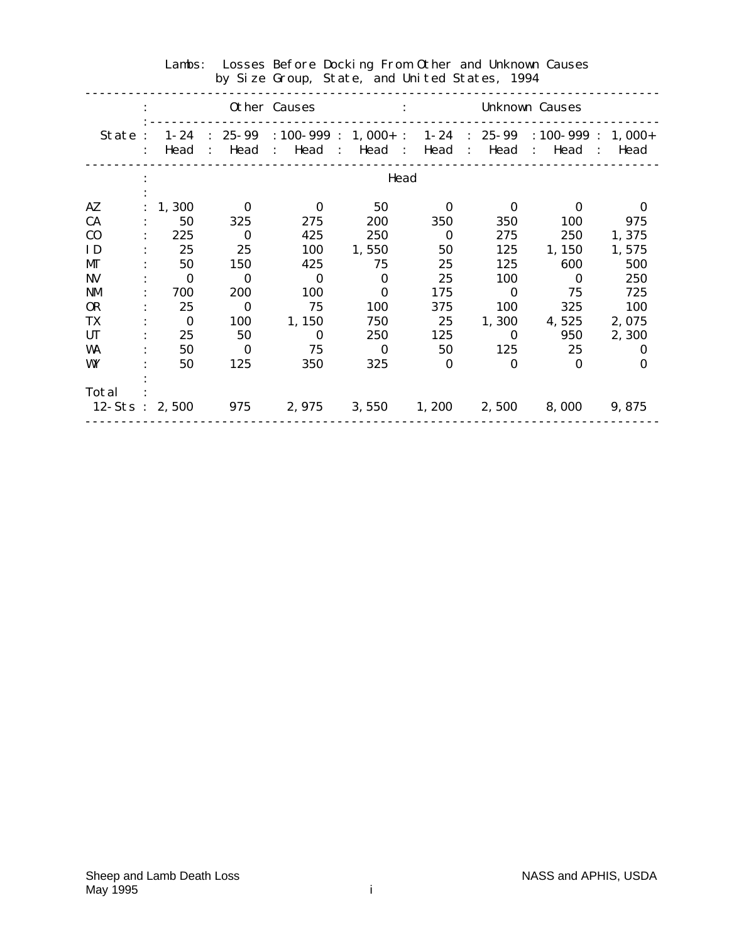|                           |                  |                        | Other Causes                                                                                  |                                 |              |              | <b>Unknown Causes</b> |            |
|---------------------------|------------------|------------------------|-----------------------------------------------------------------------------------------------|---------------------------------|--------------|--------------|-----------------------|------------|
| State:                    | $1 - 24$<br>Head | Head<br>$\ddot{\cdot}$ | : $25-99$ : $100-999$ : $1,000+$ : $1-24$ : $25-99$ : $100-999$ : $1,000+$<br>: Head : Head : |                                 | Head         |              | : Head : Head         | : Head     |
|                           |                  |                        |                                                                                               | Head                            |              |              |                       |            |
| AZ                        | 1,300            | $\bf{0}$               | $\bf{0}$                                                                                      | 50                              | $\mathbf{0}$ | $\Omega$     | 0                     | 0          |
| <b>CA</b>                 | 50               | 325                    | 275                                                                                           | 200                             | 350          | 350          | 100                   | 975        |
| C <sub>0</sub>            | 225              | $\bf{0}$               | 425                                                                                           | 250                             | $\bf{0}$     | 275          | 250                   | 1,375      |
| ID                        | 25               | 25                     | 100                                                                                           | 1,550                           | 50           | 125          | 1, 150                | 1,575      |
| MГ                        | 50               | <b>150</b>             | 425                                                                                           | 75                              | 25           | 125          | 600                   | 500        |
| <b>NV</b>                 | $\bf{0}$         | $\bf{0}$               | $\mathbf{0}$                                                                                  | $\mathbf{0}$                    | 25           | 100          | $\bf{0}$              | 250        |
| <b>NM</b>                 | 700              | <b>200</b>             | <b>100</b>                                                                                    | $\mathbf{0}$                    | 175          | $\bf{0}$     | 75                    | 725        |
| <b>OR</b>                 | 25               | $\bf{0}$               | 75                                                                                            | <b>100</b>                      | 375          | 100          | 325                   | <b>100</b> |
| TX                        | $\bf{0}$         | 100                    | 1, 150                                                                                        | 750                             | 25           | 1,300        | 4,525                 | 2,075      |
| <b>UT</b>                 | 25               | 50                     | $\mathbf{0}$                                                                                  | <b>250</b>                      | 125          | $\bf{0}$     | 950                   | 2,300      |
| WA                        | 50               | $\bf{0}$               | 75                                                                                            | $\Omega$                        | 50           | 125          | 25                    | $\bf{0}$   |
| WY                        | 50               | 125                    | 350                                                                                           | 325                             | $\mathbf{0}$ | $\mathbf{0}$ | $\mathbf{0}$          | 0          |
| Total<br>$12-S$ ts: 2,500 |                  | 975                    |                                                                                               | $2,975$ $3,550$ $1,200$ $2,500$ |              |              | 8,000                 | 9,875      |
|                           |                  |                        |                                                                                               |                                 |              |              |                       |            |

# Lambs: Losses Before Docking From Other and Unknown Causes by Size Group, State, and United States, 1994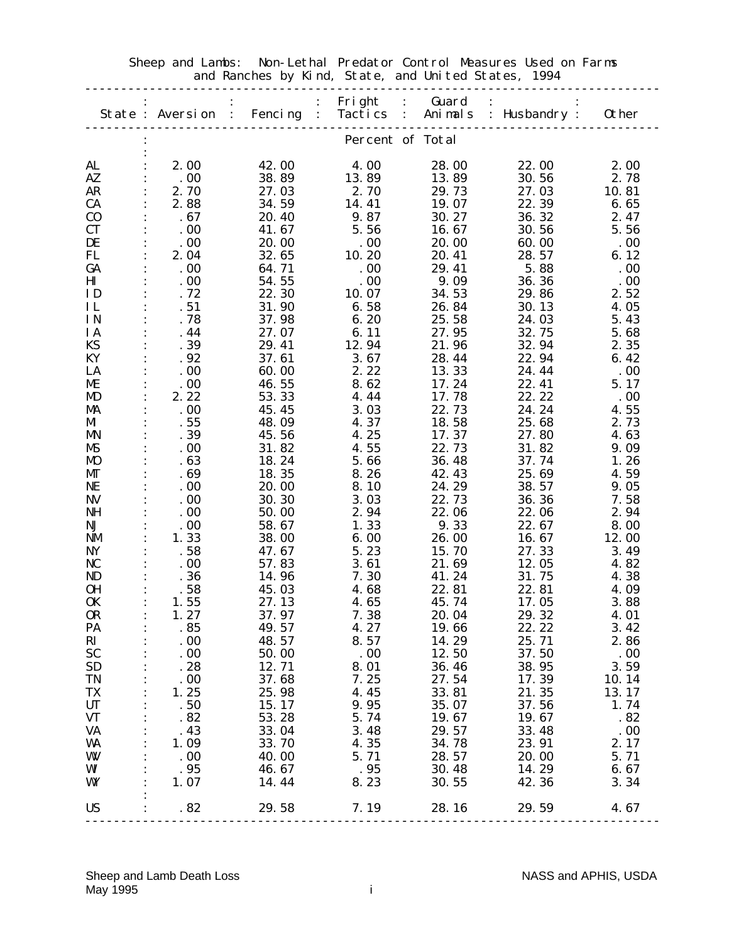|                        | State: Aversion :      | $\ddot{\cdot}$<br><b>Fencing</b><br>$\mathbb{R}^{\mathbb{Z}}$ |                  | Fright : Guard<br>$\therefore$ | Tactics : Animals : Husbandry : | <b>Other</b>    |
|------------------------|------------------------|---------------------------------------------------------------|------------------|--------------------------------|---------------------------------|-----------------|
|                        |                        |                                                               |                  |                                |                                 |                 |
|                        |                        |                                                               | Percent of Total |                                |                                 |                 |
|                        |                        |                                                               |                  |                                |                                 |                 |
| AL                     | 2.00                   | 42.00                                                         | 4.00             | 28.00                          | 22.00                           | 2.00            |
| AZ                     | .00                    | 38.89                                                         | 13.89            | 13.89                          | 30.56                           | 2.78            |
| <b>AR</b>              | 2.70                   | 27.03                                                         | 2.70             | 29.73                          | 27.03                           | 10.81           |
| CA                     | 2.88                   | 34.59                                                         | 14.41            | 19.07                          | 22.39                           | 6.65            |
| $\bf CO$               | .67                    | 20.40                                                         | 9.87             | 30.27                          | 36.32                           | 2.47            |
| CT                     | .00                    | 41.67                                                         | 5.56             | 16.67                          | 30.56                           | 5.56            |
| DE<br>FL               | .00<br>2.04            | 20.00<br>32.65                                                | .00<br>10.20     | 20.00<br>20.41                 | 60.00<br>28.57                  | .00<br>6.12     |
| GA                     | .00                    | 64.71                                                         | .00              | 29.41                          | 5.88                            | .00             |
| $\mathbf{H}\mathbf{I}$ | .00                    | 54.55                                                         | .00              | 9.09                           | 36.36                           | .00             |
| ID                     | .72                    | 22.30                                                         | 10.07            | 34.53                          | 29.86                           | 2.52            |
| IL                     | .51                    | 31.90                                                         | 6.58             | 26.84                          | 30.13                           | 4.05            |
| IN                     | .78                    | 37.98                                                         | 6.20             | 25.58                          | 24.03                           | 5.43            |
| IA                     | .44                    | 27.07                                                         | 6.11             | 27.95                          | 32.75                           | 5.68            |
| KS                     | .39                    | 29.41                                                         | 12.94            | 21.96                          | 32.94                           | 2.35            |
| KY                     | .92                    | 37.61                                                         | 3.67             | 28.44                          | 22.94                           | 6.42            |
| LA                     | .00                    | 60.00                                                         | 2.22             | 13.33                          | 24.44                           | .00             |
| МE                     | .00                    | 46.55                                                         | 8.62             | 17.24                          | 22.41                           | 5.17            |
| MD                     | 2.22                   | 53.33                                                         | 4.44             | 17.78                          | 22.22                           | .00             |
| MA                     | .00                    | 45.45                                                         | 3.03             | 22.73                          | 24.24                           | 4.55            |
| MI                     | .55                    | 48.09                                                         | 4.37             | 18.58                          | 25.68                           | 2.73            |
| <b>MN</b>              | .39                    | 45.56                                                         | 4.25             | 17.37                          | 27.80                           | 4.63            |
| MS                     | .00                    | 31.82                                                         | 4.55             | 22.73                          | 31.82                           | 9.09            |
| <b>MO</b>              | .63                    | 18.24                                                         | 5.66             | 36.48                          | 37.74                           | 1.26            |
| MГ                     | .69                    | 18.35                                                         | 8.26             | 42.43                          | 25.69                           | 4.59            |
| NE                     | .00                    | 20.00                                                         | 8.10             | 24.29                          | 38.57                           | 9.05            |
| <b>NV</b>              | .00                    | 30.30                                                         | 3.03             | 22.73                          | 36.36                           | 7.58            |
| <b>NH</b>              | .00                    | 50.00                                                         | 2.94             | 22.06                          | 22.06                           | 2.94            |
| NJ                     | .00                    | 58.67                                                         | 1.33             | 9.33                           | 22.67                           | 8.00            |
| NM                     | 1.33                   | 38.00                                                         | 6.00             | 26.00                          | 16.67                           | 12.00           |
| NY                     | .58                    | 47.67                                                         | 5.23             | 15.70                          | 27.33                           | 3.49            |
| NC                     | .00                    | 57.83                                                         | 3.61             | 21.69                          | 12.05                           | 4.82            |
| ND                     | .36                    | 14.96                                                         | 7.30             | 41.24                          | 31.75                           | 4.38            |
| 0H                     | .58                    | 45.03                                                         | 4.68             | 22.81                          | 22.81                           | 4.09            |
| <b>OK</b>              | 1.55                   | 27.13                                                         | 4.65             | 45.74                          | 17.05                           | 3.88            |
| <b>OR</b>              | 1.27                   | 37.97                                                         | 7.38             | 20.04                          | 29.32                           | 4.01            |
| PA                     | .85                    | 49.57                                                         | 4.27             | 19.66                          | 22.22                           | 3.42            |
| RI                     | $\cdot$ . 00           | 48.57                                                         | 8.57             | 14.29                          | 25.71                           | 2.86            |
| <b>SC</b>              | .00                    | 50.00                                                         | .00              | 12.50                          | 37.50                           | $\ldots 00$     |
| <b>SD</b>              | .28                    | 12.71                                                         | 8.01             | 36.46                          | 38.95                           | 3.59            |
| TN                     | .00                    | 37.68                                                         | 7.25             | 27.54                          | 17.39                           | 10.14           |
| TX                     | 1.25                   | 25.98                                                         | 4.45             | 33.81                          | 21.35                           | 13.17           |
| <b>UT</b>              | .50                    | 15.17                                                         | 9.95             | 35.07                          | 37.56                           | 1.74            |
| <b>VT</b><br>VA        | .82<br>.43             | 53.28                                                         | 5.74<br>3.48     | 19.67                          | 19.67<br>33.48                  | .82<br>$\,$ .00 |
| WA                     | 1.09<br>$\ddot{\cdot}$ | 33.04<br>33.70                                                | 4.35             | 29.57<br>34.78                 | 23.91                           | 2.17            |
| W                      | .00                    | 40.00                                                         | 5.71             | 28.57                          | <b>20.00</b>                    | 5.71            |
| WI                     | .95                    | 46.67                                                         | .95              | 30.48                          | 14.29                           | 6.67            |
| WY                     | 1.07                   | 14.44                                                         | 8.23             | 30.55                          | 42.36                           | 3.34            |
|                        |                        |                                                               |                  |                                |                                 |                 |
| <b>US</b>              | .82                    | 29.58 7.19                                                    |                  | 28.16                          | 29.59                           | 4.67            |
|                        |                        |                                                               |                  |                                |                                 |                 |

 Sheep and Lambs: Non-Lethal Predator Control Measures Used on Farms and Ranches by Kind, State, and United States, 1994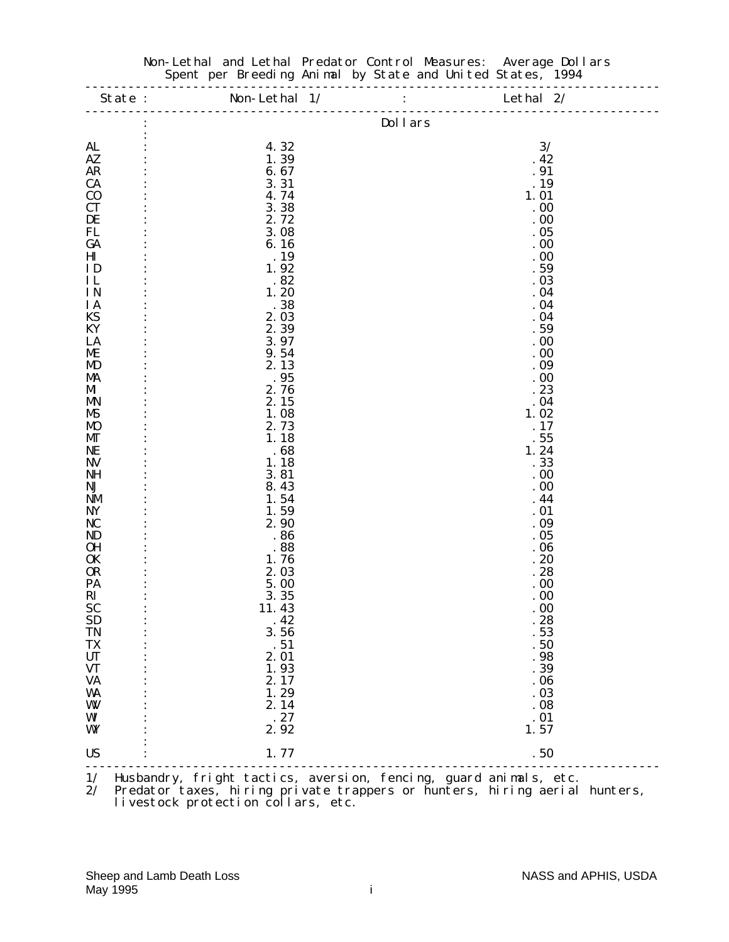| AL<br>$A\mathbf{Z}$<br><b>AR</b><br><b>CA</b><br>C <sub>0</sub><br><b>CT</b><br>DE<br>FL<br>GA<br>$\mathbf{H}\mathbf{I}$<br>ID<br>IL<br><b>IN</b><br><b>IA</b><br>KS<br>KY<br>LA<br>ME<br>MD<br>MA<br>MI<br><b>MN</b><br><b>MS</b><br>MO<br>МT<br><b>NE</b><br><b>NV</b><br><b>NH</b><br>NJ<br><b>NM</b> | 4.32<br>1.39<br>6.67<br>3.31<br>4.74<br>3.38<br>2.72<br>3.08<br>6.16<br>. 19<br>1.92<br>.82<br>1.20<br>.38<br>2.03<br>2.39<br>3.97<br>9.54<br>2.13 | <b>Dollars</b><br>3/<br>.42<br>.91<br>. 19<br>1.01<br>.00<br>.00<br>.05<br>.00<br>.00<br>.59<br>.03<br>.04<br>.04<br>.04<br>.59<br>.00 |
|----------------------------------------------------------------------------------------------------------------------------------------------------------------------------------------------------------------------------------------------------------------------------------------------------------|----------------------------------------------------------------------------------------------------------------------------------------------------|----------------------------------------------------------------------------------------------------------------------------------------|
|                                                                                                                                                                                                                                                                                                          |                                                                                                                                                    |                                                                                                                                        |
|                                                                                                                                                                                                                                                                                                          |                                                                                                                                                    |                                                                                                                                        |
|                                                                                                                                                                                                                                                                                                          |                                                                                                                                                    |                                                                                                                                        |
|                                                                                                                                                                                                                                                                                                          |                                                                                                                                                    |                                                                                                                                        |
|                                                                                                                                                                                                                                                                                                          |                                                                                                                                                    |                                                                                                                                        |
|                                                                                                                                                                                                                                                                                                          |                                                                                                                                                    |                                                                                                                                        |
|                                                                                                                                                                                                                                                                                                          |                                                                                                                                                    |                                                                                                                                        |
|                                                                                                                                                                                                                                                                                                          |                                                                                                                                                    |                                                                                                                                        |
|                                                                                                                                                                                                                                                                                                          |                                                                                                                                                    |                                                                                                                                        |
|                                                                                                                                                                                                                                                                                                          |                                                                                                                                                    |                                                                                                                                        |
|                                                                                                                                                                                                                                                                                                          |                                                                                                                                                    |                                                                                                                                        |
|                                                                                                                                                                                                                                                                                                          |                                                                                                                                                    |                                                                                                                                        |
|                                                                                                                                                                                                                                                                                                          |                                                                                                                                                    |                                                                                                                                        |
|                                                                                                                                                                                                                                                                                                          |                                                                                                                                                    |                                                                                                                                        |
|                                                                                                                                                                                                                                                                                                          |                                                                                                                                                    |                                                                                                                                        |
|                                                                                                                                                                                                                                                                                                          |                                                                                                                                                    |                                                                                                                                        |
|                                                                                                                                                                                                                                                                                                          |                                                                                                                                                    |                                                                                                                                        |
|                                                                                                                                                                                                                                                                                                          |                                                                                                                                                    | .00                                                                                                                                    |
|                                                                                                                                                                                                                                                                                                          |                                                                                                                                                    | .09                                                                                                                                    |
|                                                                                                                                                                                                                                                                                                          | .95                                                                                                                                                | .00                                                                                                                                    |
|                                                                                                                                                                                                                                                                                                          | 2.76                                                                                                                                               | .23                                                                                                                                    |
|                                                                                                                                                                                                                                                                                                          | 2.15                                                                                                                                               | .04                                                                                                                                    |
|                                                                                                                                                                                                                                                                                                          | 1.08                                                                                                                                               | 1.02                                                                                                                                   |
|                                                                                                                                                                                                                                                                                                          | 2.73                                                                                                                                               | .17                                                                                                                                    |
|                                                                                                                                                                                                                                                                                                          | 1.18                                                                                                                                               | .55                                                                                                                                    |
|                                                                                                                                                                                                                                                                                                          | .68<br>1.18                                                                                                                                        | 1.24<br>.33                                                                                                                            |
|                                                                                                                                                                                                                                                                                                          | 3.81                                                                                                                                               | .00                                                                                                                                    |
|                                                                                                                                                                                                                                                                                                          | 8.43                                                                                                                                               | .00                                                                                                                                    |
|                                                                                                                                                                                                                                                                                                          | 1.54                                                                                                                                               | .44                                                                                                                                    |
| <b>NY</b>                                                                                                                                                                                                                                                                                                | 1.59                                                                                                                                               | .01                                                                                                                                    |
| NC                                                                                                                                                                                                                                                                                                       | 2.90                                                                                                                                               | .09                                                                                                                                    |
| ND                                                                                                                                                                                                                                                                                                       | .86                                                                                                                                                | .05                                                                                                                                    |
| <b>OH</b>                                                                                                                                                                                                                                                                                                | .88                                                                                                                                                | .06                                                                                                                                    |
| <b>OK</b>                                                                                                                                                                                                                                                                                                | 1.76                                                                                                                                               | .20                                                                                                                                    |
| <b>OR</b>                                                                                                                                                                                                                                                                                                | 2.03                                                                                                                                               | .28                                                                                                                                    |
| PA                                                                                                                                                                                                                                                                                                       | 5.00                                                                                                                                               | .00                                                                                                                                    |
| RI                                                                                                                                                                                                                                                                                                       | 3.35                                                                                                                                               | .00                                                                                                                                    |
| <b>SC</b>                                                                                                                                                                                                                                                                                                | 11.43                                                                                                                                              | .00                                                                                                                                    |
| <b>SD</b><br><b>TN</b>                                                                                                                                                                                                                                                                                   | .42<br>3.56                                                                                                                                        | .28<br>.53                                                                                                                             |
| <b>TX</b>                                                                                                                                                                                                                                                                                                | .51                                                                                                                                                | .50                                                                                                                                    |
| <b>UT</b>                                                                                                                                                                                                                                                                                                | 2.01                                                                                                                                               | .98                                                                                                                                    |
| $\pmb{V}\pmb{T}$                                                                                                                                                                                                                                                                                         | 1.93                                                                                                                                               | .39                                                                                                                                    |
| <b>VA</b>                                                                                                                                                                                                                                                                                                | 2.17                                                                                                                                               | .06                                                                                                                                    |
| <b>WA</b>                                                                                                                                                                                                                                                                                                | 1.29                                                                                                                                               | .03                                                                                                                                    |
| W                                                                                                                                                                                                                                                                                                        | 2.14                                                                                                                                               | .08                                                                                                                                    |
| WI                                                                                                                                                                                                                                                                                                       | .27                                                                                                                                                | .01                                                                                                                                    |
| WY                                                                                                                                                                                                                                                                                                       | 2.92                                                                                                                                               | 1.57                                                                                                                                   |
| <b>US</b>                                                                                                                                                                                                                                                                                                | 1.77                                                                                                                                               | .50                                                                                                                                    |

#### Non-Lethal and Lethal Predator Control Measures: Average Dollars Spent per Breeding Animal by State and United States, 1994

2/ Predator taxes, hiring private trappers or hunters, hiring aerial hunters, livestock protection collars, etc.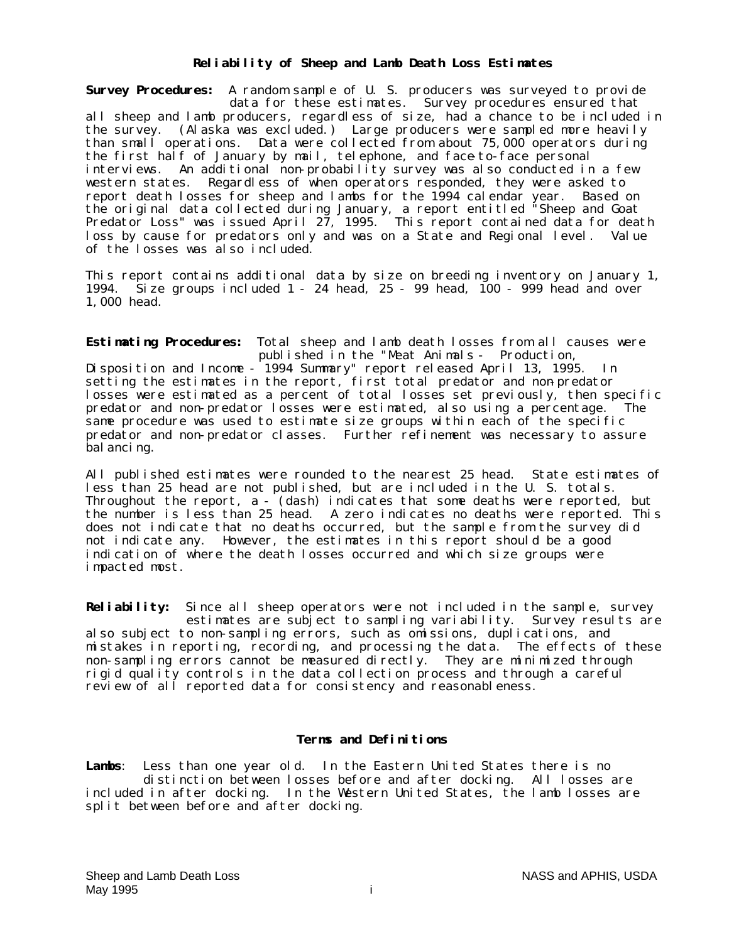#### **Reliability of Sheep and Lamb Death Loss Estimates**

**Survey Procedures:** A random sample of U. S. producers was surveyed to provide data for these estimates. Survey procedures ensured that all sheep and lamb producers, regardless of size, had a chance to be included in the survey. (Alaska was excluded.) Large producers were sampled more heavily than small operations. Data were collected from about 75,000 operators during the first half of January by mail, telephone, and face-to-face personal interviews. An additional non-probability survey was also conducted in a few western states. Regardless of when operators responded, they were asked to Regardless of when operators responded, they were asked to report death losses for sheep and lambs for the 1994 calendar year. Based on the original data collected during January, a report entitled "Sheep and Goat Predator Loss" was issued April 27, 1995. This report contained data for death loss by cause for predators only and was on a State and Regional level. Value of the losses was also included.

This report contains additional data by size on breeding inventory on January 1, 1994. Size groups included 1 - 24 head, 25 - 99 head, 100 - 999 head and over 1,000 head.

**Estimating Procedures:** Total sheep and lamb death losses from all causes were published in the "Meat Animals - Production,

Disposition and Income - 1994 Summary" report released April 13, 1995. In setting the estimates in the report, first total predator and non-predator losses were estimated as a percent of total losses set previously, then specific predator and non-predator losses were estimated, also using a percentage. The same procedure was used to estimate size groups within each of the specific predator and non-predator classes. Further refinement was necessary to assure bal ancing.

All published estimates were rounded to the nearest 25 head. State estimates of less than 25 head are not published, but are included in the U. S. totals. Throughout the report, a - (dash) indicates that some deaths were reported, but the number is less than 25 head. A zero indicates no deaths were reported. This does not indicate that no deaths occurred, but the sample from the survey did not indicate any. However, the estimates in this report should be a good indication of where the death losses occurred and which size groups were impacted most.

**Reliability:** Since all sheep operators were not included in the sample, survey estimates are subject to sampling variability. Survey results are also subject to non-sampling errors, such as omissions, duplications, and mistakes in reporting, recording, and processing the data. The effects of these non-sampling errors cannot be measured directly. They are minimized through rigid quality controls in the data collection process and through a careful review of all reported data for consistency and reasonableness.

#### **Terms and Definitions**

**Lambs**: Less than one year old. In the Eastern United States there is no distinction between losses before and after docking. All losses are included in after docking. In the Western United States, the lamb losses are split between before and after docking.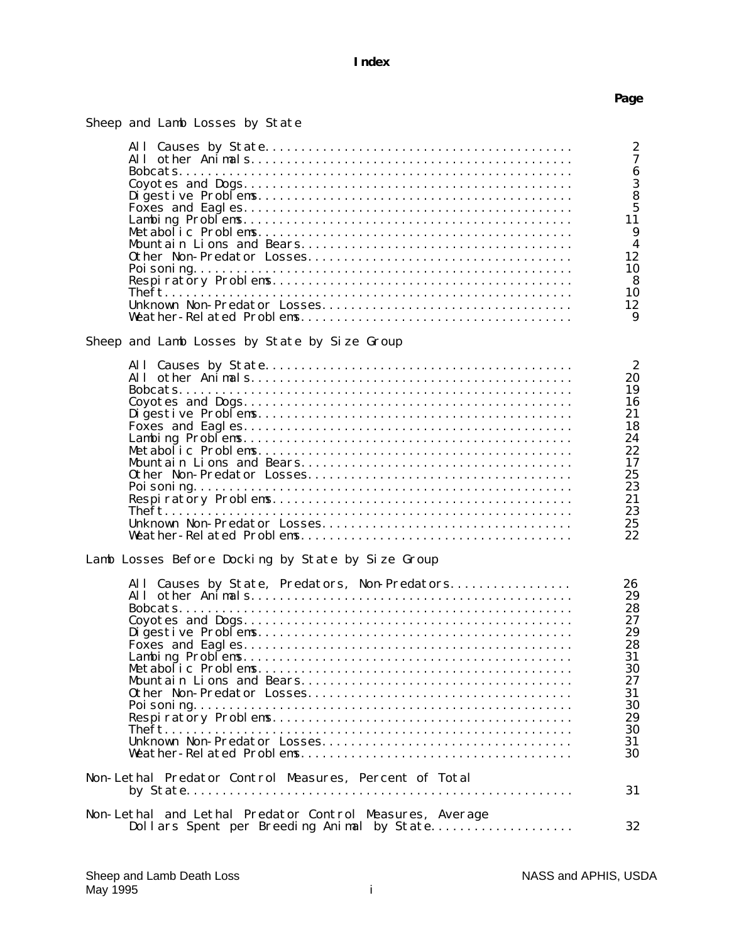# **Index**

#### **Page Page**

| Sheep and Lamb Losses by State |  |  |  |  |  |  |
|--------------------------------|--|--|--|--|--|--|
|--------------------------------|--|--|--|--|--|--|

|                                                          | $\boldsymbol{2}$                   |
|----------------------------------------------------------|------------------------------------|
|                                                          | $\overline{7}$<br>$\boldsymbol{6}$ |
|                                                          | 3                                  |
|                                                          | 8                                  |
|                                                          | $\overline{5}$                     |
|                                                          | 11                                 |
|                                                          | 9                                  |
|                                                          | $\boldsymbol{4}$                   |
|                                                          | 12                                 |
|                                                          | 10                                 |
|                                                          | 8<br>10                            |
|                                                          | 12                                 |
|                                                          | 9                                  |
|                                                          |                                    |
| Sheep and Lamb Losses by State by Size Group             |                                    |
|                                                          | $\boldsymbol{2}$                   |
|                                                          | 20                                 |
|                                                          | 19                                 |
|                                                          | 16                                 |
|                                                          | 21                                 |
|                                                          | 18                                 |
|                                                          | 24                                 |
|                                                          | 22                                 |
|                                                          | 17                                 |
|                                                          | 25                                 |
|                                                          | 23                                 |
|                                                          | 21<br>23                           |
|                                                          | 25                                 |
|                                                          | 22                                 |
|                                                          |                                    |
| Lamb Losses Before Docking by State by Size Group        |                                    |
| All Causes by State, Predators, Non-Predators            | 26                                 |
|                                                          | 29                                 |
|                                                          | 28                                 |
|                                                          | 27                                 |
|                                                          | 29                                 |
|                                                          | 28<br>31                           |
|                                                          | 30                                 |
|                                                          | 27                                 |
|                                                          | 31                                 |
|                                                          | 30                                 |
|                                                          | 29                                 |
|                                                          | 30                                 |
|                                                          | 31                                 |
|                                                          | 30                                 |
| Non-Lethal Predator Control Measures, Percent of Total   |                                    |
|                                                          | 31                                 |
|                                                          |                                    |
| Non-Lethal and Lethal Predator Control Measures, Average |                                    |
| Dollars Spent per Breeding Animal by State               | 32                                 |